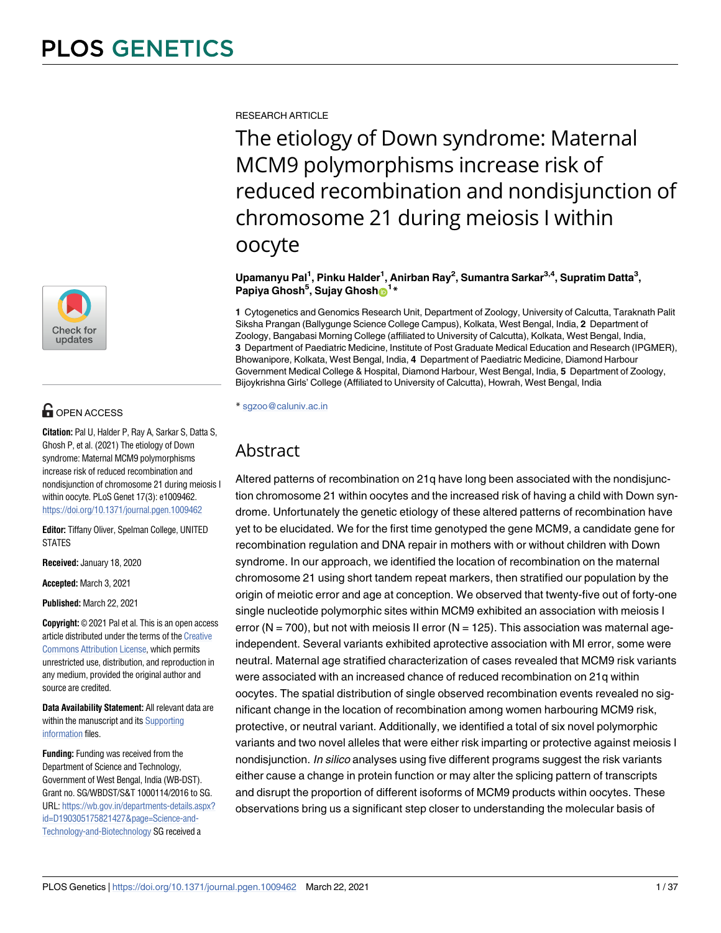

# **OPEN ACCESS**

**Citation:** Pal U, Halder P, Ray A, Sarkar S, Datta S, Ghosh P, et al. (2021) The etiology of Down syndrome: Maternal MCM9 polymorphisms increase risk of reduced recombination and nondisjunction of chromosome 21 during meiosis I within oocyte. PLoS Genet 17(3): e1009462. <https://doi.org/10.1371/journal.pgen.1009462>

**Editor:** Tiffany Oliver, Spelman College, UNITED STATES

**Received:** January 18, 2020

**Accepted:** March 3, 2021

**Published:** March 22, 2021

**Copyright:** © 2021 Pal et al. This is an open access article distributed under the terms of the [Creative](http://creativecommons.org/licenses/by/4.0/) [Commons Attribution License](http://creativecommons.org/licenses/by/4.0/), which permits unrestricted use, distribution, and reproduction in any medium, provided the original author and source are credited.

**Data Availability Statement:** All relevant data are within the manuscript and its [Supporting](#page-33-0) [information](#page-33-0) files.

**Funding:** Funding was received from the Department of Science and Technology, Government of West Bengal, India (WB-DST). Grant no. SG/WBDST/S&T 1000114/2016 to SG. URL: [https://wb.gov.in/departments-details.aspx?](https://wb.gov.in/departments-details.aspx?id=D190305175821427&page=Science-and-Technology-and-Biotechnology) [id=D190305175821427&page=Science-and-](https://wb.gov.in/departments-details.aspx?id=D190305175821427&page=Science-and-Technology-and-Biotechnology)[Technology-and-Biotechnology](https://wb.gov.in/departments-details.aspx?id=D190305175821427&page=Science-and-Technology-and-Biotechnology) SG received a

RESEARCH ARTICLE

The etiology of Down syndrome: Maternal MCM9 polymorphisms increase risk of reduced recombination and nondisjunction of chromosome 21 during meiosis I within oocyte

**Upamanyu Pal<sup>1</sup> , Pinku Halder<sup>1</sup> , Anirban Ray<sup>2</sup> , Sumantra Sarkar3,4, Supratim Datta<sup>3</sup> , Papiya Ghosh<sup>5</sup> , Sujay Ghosh[ID](https://orcid.org/0000-0003-1703-8446)1\***

**1** Cytogenetics and Genomics Research Unit, Department of Zoology, University of Calcutta, Taraknath Palit Siksha Prangan (Ballygunge Science College Campus), Kolkata, West Bengal, India, **2** Department of Zoology, Bangabasi Morning College (affiliated to University of Calcutta), Kolkata, West Bengal, India, **3** Department of Paediatric Medicine, Institute of Post Graduate Medical Education and Research (IPGMER), Bhowanipore, Kolkata, West Bengal, India, **4** Department of Paediatric Medicine, Diamond Harbour Government Medical College & Hospital, Diamond Harbour, West Bengal, India, **5** Department of Zoology, Bijoykrishna Girls' College (Affiliated to University of Calcutta), Howrah, West Bengal, India

\* sgzoo@caluniv.ac.in

# Abstract

Altered patterns of recombination on 21q have long been associated with the nondisjunction chromosome 21 within oocytes and the increased risk of having a child with Down syndrome. Unfortunately the genetic etiology of these altered patterns of recombination have yet to be elucidated. We for the first time genotyped the gene MCM9, a candidate gene for recombination regulation and DNA repair in mothers with or without children with Down syndrome. In our approach, we identified the location of recombination on the maternal chromosome 21 using short tandem repeat markers, then stratified our population by the origin of meiotic error and age at conception. We observed that twenty-five out of forty-one single nucleotide polymorphic sites within MCM9 exhibited an association with meiosis I error (N = 700), but not with meiosis II error (N = 125). This association was maternal ageindependent. Several variants exhibited aprotective association with MI error, some were neutral. Maternal age stratified characterization of cases revealed that MCM9 risk variants were associated with an increased chance of reduced recombination on 21q within oocytes. The spatial distribution of single observed recombination events revealed no significant change in the location of recombination among women harbouring MCM9 risk, protective, or neutral variant. Additionally, we identified a total of six novel polymorphic variants and two novel alleles that were either risk imparting or protective against meiosis I nondisjunction. In silico analyses using five different programs suggest the risk variants either cause a change in protein function or may alter the splicing pattern of transcripts and disrupt the proportion of different isoforms of MCM9 products within oocytes. These observations bring us a significant step closer to understanding the molecular basis of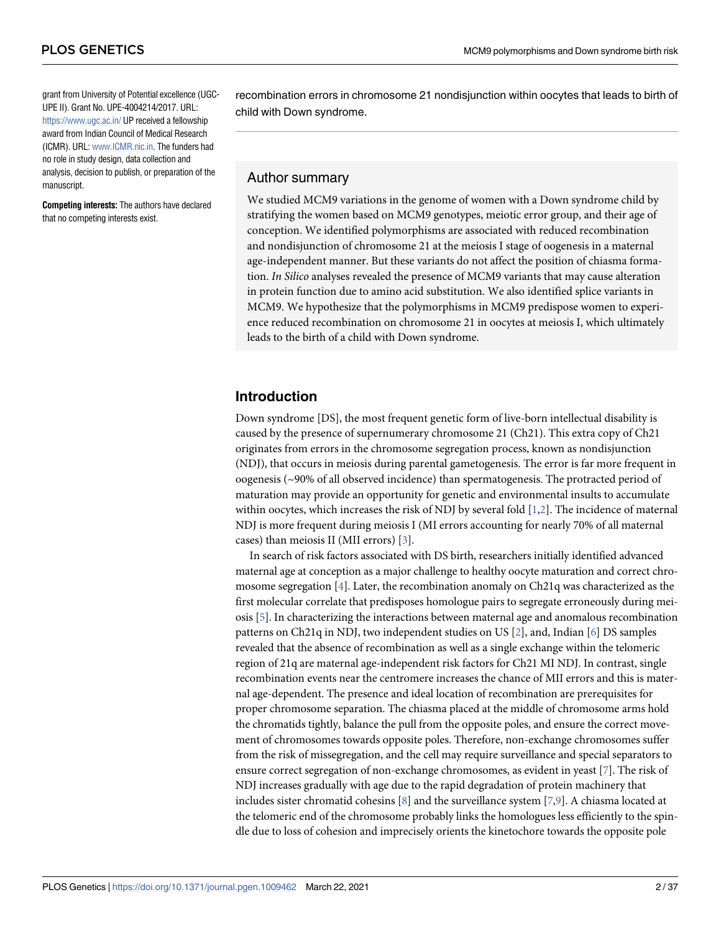<span id="page-1-0"></span>grant from University of Potential excellence (UGC-UPE II). Grant No. UPE-4004214/2017. URL: <https://www.ugc.ac.in/> UP received a fellowship award from Indian Council of Medical Research (ICMR). URL: [www.ICMR.nic.in.](http://www.ICMR.nic.in) The funders had no role in study design, data collection and analysis, decision to publish, or preparation of the manuscript.

**Competing interests:** The authors have declared that no competing interests exist.

recombination errors in chromosome 21 nondisjunction within oocytes that leads to birth of child with Down syndrome.

### Author summary

We studied MCM9 variations in the genome of women with a Down syndrome child by stratifying the women based on MCM9 genotypes, meiotic error group, and their age of conception. We identified polymorphisms are associated with reduced recombination and nondisjunction of chromosome 21 at the meiosis I stage of oogenesis in a maternal age-independent manner. But these variants do not affect the position of chiasma formation. In Silico analyses revealed the presence of MCM9 variants that may cause alteration in protein function due to amino acid substitution. We also identified splice variants in MCM9. We hypothesize that the polymorphisms in MCM9 predispose women to experience reduced recombination on chromosome 21 in oocytes at meiosis I, which ultimately leads to the birth of a child with Down syndrome.

# **Introduction**

Down syndrome [DS], the most frequent genetic form of live-born intellectual disability is caused by the presence of supernumerary chromosome 21 (Ch21). This extra copy of Ch21 originates from errors in the chromosome segregation process, known as nondisjunction (NDJ), that occurs in meiosis during parental gametogenesis. The error is far more frequent in oogenesis (~90% of all observed incidence) than spermatogenesis. The protracted period of maturation may provide an opportunity for genetic and environmental insults to accumulate within oocytes, which increases the risk of NDJ by several fold [[1,2\]](#page-34-0). The incidence of maternal NDJ is more frequent during meiosis I (MI errors accounting for nearly 70% of all maternal cases) than meiosis II (MII errors) [[3](#page-34-0)].

In search of risk factors associated with DS birth, researchers initially identified advanced maternal age at conception as a major challenge to healthy oocyte maturation and correct chromosome segregation [\[4\]](#page-34-0). Later, the recombination anomaly on Ch21q was characterized as the first molecular correlate that predisposes homologue pairs to segregate erroneously during meiosis [\[5](#page-34-0)]. In characterizing the interactions between maternal age and anomalous recombination patterns on Ch21q in NDJ, two independent studies on US [[2](#page-34-0)], and, Indian [[6](#page-34-0)] DS samples revealed that the absence of recombination as well as a single exchange within the telomeric region of 21q are maternal age-independent risk factors for Ch21 MI NDJ. In contrast, single recombination events near the centromere increases the chance of MII errors and this is maternal age-dependent. The presence and ideal location of recombination are prerequisites for proper chromosome separation. The chiasma placed at the middle of chromosome arms hold the chromatids tightly, balance the pull from the opposite poles, and ensure the correct movement of chromosomes towards opposite poles. Therefore, non-exchange chromosomes suffer from the risk of missegregation, and the cell may require surveillance and special separators to ensure correct segregation of non-exchange chromosomes, as evident in yeast [\[7\]](#page-34-0). The risk of NDJ increases gradually with age due to the rapid degradation of protein machinery that includes sister chromatid cohesins  $[8]$  and the surveillance system  $[7,9]$ . A chiasma located at the telomeric end of the chromosome probably links the homologues less efficiently to the spindle due to loss of cohesion and imprecisely orients the kinetochore towards the opposite pole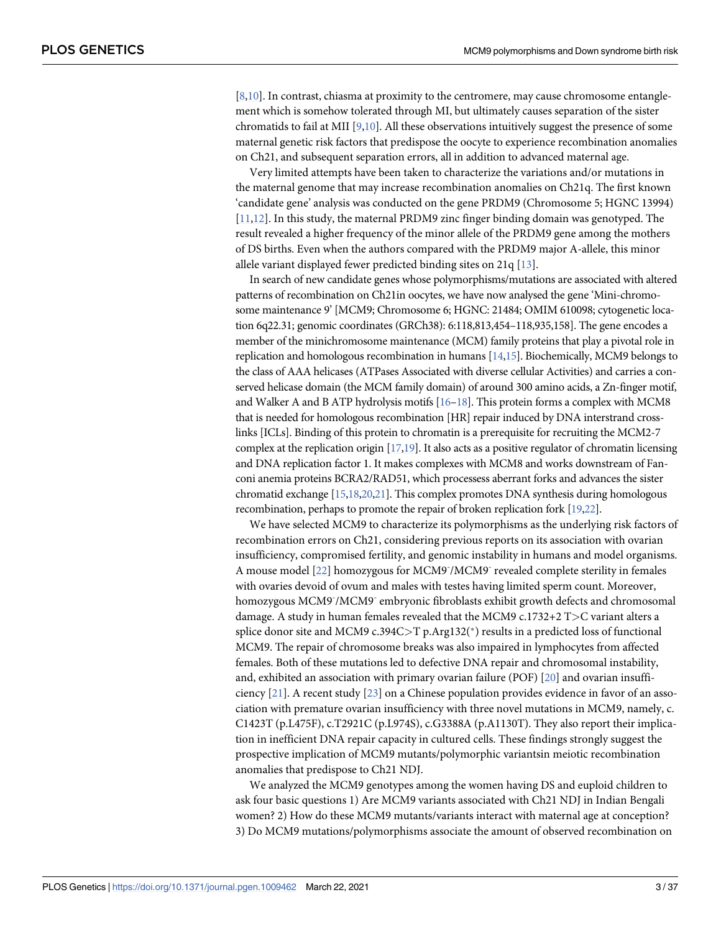<span id="page-2-0"></span>[\[8,10\]](#page-34-0). In contrast, chiasma at proximity to the centromere, may cause chromosome entanglement which is somehow tolerated through MI, but ultimately causes separation of the sister chromatids to fail at MII [[9](#page-34-0),[10\]](#page-34-0). All these observations intuitively suggest the presence of some maternal genetic risk factors that predispose the oocyte to experience recombination anomalies on Ch21, and subsequent separation errors, all in addition to advanced maternal age.

Very limited attempts have been taken to characterize the variations and/or mutations in the maternal genome that may increase recombination anomalies on Ch21q. The first known 'candidate gene' analysis was conducted on the gene PRDM9 (Chromosome 5; HGNC 13994) [\[11,12\]](#page-34-0). In this study, the maternal PRDM9 zinc finger binding domain was genotyped. The result revealed a higher frequency of the minor allele of the PRDM9 gene among the mothers of DS births. Even when the authors compared with the PRDM9 major A-allele, this minor allele variant displayed fewer predicted binding sites on 21q [\[13\]](#page-34-0).

In search of new candidate genes whose polymorphisms/mutations are associated with altered patterns of recombination on Ch21in oocytes, we have now analysed the gene 'Mini-chromosome maintenance 9' [MCM9; Chromosome 6; HGNC: 21484; OMIM 610098; cytogenetic location 6q22.31; genomic coordinates (GRCh38): 6:118,813,454–118,935,158]. The gene encodes a member of the minichromosome maintenance (MCM) family proteins that play a pivotal role in replication and homologous recombination in humans [\[14,15\]](#page-35-0). Biochemically, MCM9 belongs to the class of AAA helicases (ATPases Associated with diverse cellular Activities) and carries a conserved helicase domain (the MCM family domain) of around 300 amino acids, a Zn-finger motif, and Walker A and B ATP hydrolysis motifs  $[16-18]$ . This protein forms a complex with MCM8 that is needed for homologous recombination [HR] repair induced by DNA interstrand crosslinks [ICLs]. Binding of this protein to chromatin is a prerequisite for recruiting the MCM2-7 complex at the replication origin  $[17,19]$  $[17,19]$  $[17,19]$ . It also acts as a positive regulator of chromatin licensing and DNA replication factor 1. It makes complexes with MCM8 and works downstream of Fanconi anemia proteins BCRA2/RAD51, which processess aberrant forks and advances the sister chromatid exchange [\[15,18,20,21\]](#page-35-0). This complex promotes DNA synthesis during homologous recombination, perhaps to promote the repair of broken replication fork [\[19](#page-35-0),[22\]](#page-35-0).

We have selected MCM9 to characterize its polymorphisms as the underlying risk factors of recombination errors on Ch21, considering previous reports on its association with ovarian insufficiency, compromised fertility, and genomic instability in humans and model organisms. A mouse model [\[22\]](#page-35-0) homozygous for MCM9<sup>-</sup>/MCM9<sup>-</sup> revealed complete sterility in females with ovaries devoid of ovum and males with testes having limited sperm count. Moreover, homozygous MCM9<sup>-</sup>/MCM9<sup>-</sup> embryonic fibroblasts exhibit growth defects and chromosomal damage. A study in human females revealed that the MCM9 c.1732+2 T*>*C variant alters a splice donor site and MCM9 c.394C>T p.Arg132(\*) results in a predicted loss of functional MCM9. The repair of chromosome breaks was also impaired in lymphocytes from affected females. Both of these mutations led to defective DNA repair and chromosomal instability, and, exhibited an association with primary ovarian failure (POF) [[20](#page-35-0)] and ovarian insufficiency [\[21\]](#page-35-0). A recent study [[23](#page-35-0)] on a Chinese population provides evidence in favor of an association with premature ovarian insufficiency with three novel mutations in MCM9, namely, c. C1423T (p.L475F), c.T2921C (p.L974S), c.G3388A (p.A1130T). They also report their implication in inefficient DNA repair capacity in cultured cells. These findings strongly suggest the prospective implication of MCM9 mutants/polymorphic variantsin meiotic recombination anomalies that predispose to Ch21 NDJ.

We analyzed the MCM9 genotypes among the women having DS and euploid children to ask four basic questions 1) Are MCM9 variants associated with Ch21 NDJ in Indian Bengali women? 2) How do these MCM9 mutants/variants interact with maternal age at conception? 3) Do MCM9 mutations/polymorphisms associate the amount of observed recombination on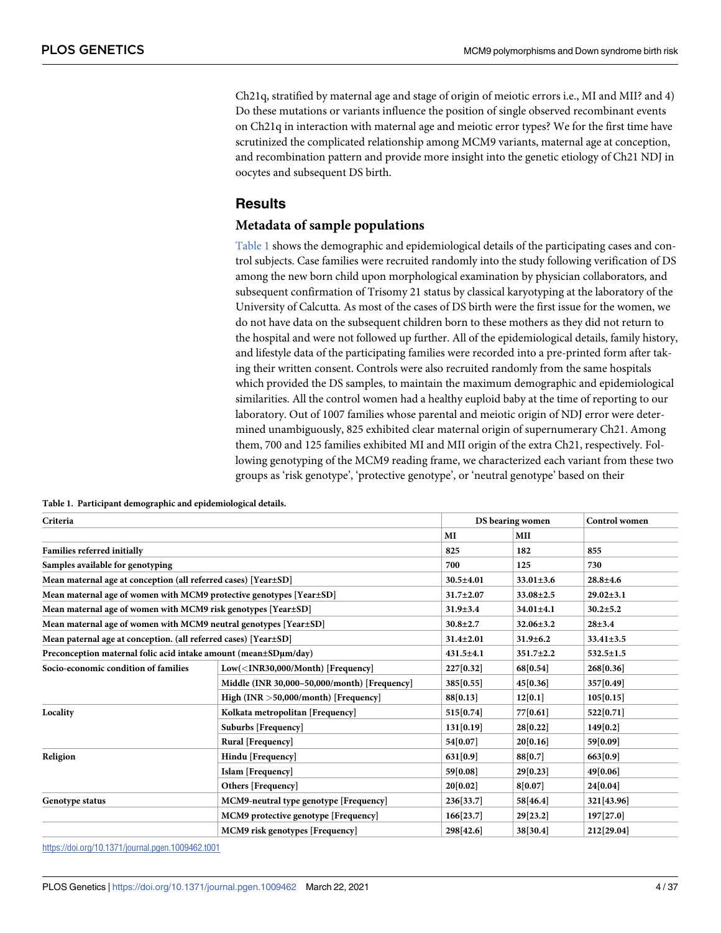<span id="page-3-0"></span>Ch21q, stratified by maternal age and stage of origin of meiotic errors i.e., MI and MII? and 4) Do these mutations or variants influence the position of single observed recombinant events on Ch21q in interaction with maternal age and meiotic error types? We for the first time have scrutinized the complicated relationship among MCM9 variants, maternal age at conception, and recombination pattern and provide more insight into the genetic etiology of Ch21 NDJ in oocytes and subsequent DS birth.

## **Results**

#### **Metadata of sample populations**

Table 1 shows the demographic and epidemiological details of the participating cases and control subjects. Case families were recruited randomly into the study following verification of DS among the new born child upon morphological examination by physician collaborators, and subsequent confirmation of Trisomy 21 status by classical karyotyping at the laboratory of the University of Calcutta. As most of the cases of DS birth were the first issue for the women, we do not have data on the subsequent children born to these mothers as they did not return to the hospital and were not followed up further. All of the epidemiological details, family history, and lifestyle data of the participating families were recorded into a pre-printed form after taking their written consent. Controls were also recruited randomly from the same hospitals which provided the DS samples, to maintain the maximum demographic and epidemiological similarities. All the control women had a healthy euploid baby at the time of reporting to our laboratory. Out of 1007 families whose parental and meiotic origin of NDJ error were determined unambiguously, 825 exhibited clear maternal origin of supernumerary Ch21. Among them, 700 and 125 families exhibited MI and MII origin of the extra Ch21, respectively. Following genotyping of the MCM9 reading frame, we characterized each variant from these two groups as 'risk genotype', 'protective genotype', or 'neutral genotype' based on their

|                                                                     |                 |                 | <b>Control</b> women |
|---------------------------------------------------------------------|-----------------|-----------------|----------------------|
|                                                                     | MI              | <b>MII</b>      |                      |
|                                                                     | 825             | 182             | 855                  |
|                                                                     | 700             | 125             | 730                  |
| Mean maternal age at conception (all referred cases) [Year±SD]      | $30.5 \pm 4.01$ | $33.01 \pm 3.6$ | $28.8 + 4.6$         |
| Mean maternal age of women with MCM9 protective genotypes [Year±SD] | $31.7 \pm 2.07$ | $33.08 \pm 2.5$ | $29.02 \pm 3.1$      |
| Mean maternal age of women with MCM9 risk genotypes [Year±SD]       | $31.9 \pm 3.4$  | $34.01 \pm 4.1$ | $30.2 \pm 5.2$       |
| Mean maternal age of women with MCM9 neutral genotypes [Year±SD]    | $30.8 \pm 2.7$  | $32.06 \pm 3.2$ | $28 + 3.4$           |
| Mean paternal age at conception. (all referred cases) [Year±SD]     | $31.4 \pm 2.01$ | $31.9 \pm 6.2$  | $33.41 \pm 3.5$      |
| Preconception maternal folic acid intake amount (mean±SDµm/day)     | 431.5±4.1       | $351.7 \pm 2.2$ | $532.5 \pm 1.5$      |
| $Low(INR30,000/Month)$ [Frequency]                                  | 227[0.32]       | 68[0.54]        | 268[0.36]            |
| Middle (INR 30,000-50,000/month) [Frequency]                        | 385[0.55]       | 45[0.36]        | 357[0.49]            |
| High (INR $>50,000/m$ onth) [Frequency]                             | 88[0.13]        | 12[0.1]         | 105[0.15]            |
| Kolkata metropolitan [Frequency]                                    | 515[0.74]       | 77[0.61]        | 522[0.71]            |
| Suburbs [Frequency]                                                 | 131[0.19]       | 28[0.22]        | 149[0.2]             |
| Rural [Frequency]                                                   | 54[0.07]        | 20[0.16]        | 59[0.09]             |
| Hindu [Frequency]                                                   | 631[0.9]        | 88[0.7]         | 663[0.9]             |
| Islam [Frequency]                                                   | 59[0.08]        | 29[0.23]        | 49[0.06]             |
| Others [Frequency]                                                  | 20[0.02]        | 8[0.07]         | 24[0.04]             |
| MCM9-neutral type genotype [Frequency]                              | 236[33.7]       | 58[46.4]        | 321[43.96]           |
| MCM9 protective genotype [Frequency]                                | 166[23.7]       | 29[23.2]        | 197[27.0]            |
| MCM9 risk genotypes [Frequency]                                     | 298[42.6]       | 38[30.4]        | 212[29.04]           |
|                                                                     |                 |                 | DS bearing women     |

**Table 1. Participant demographic and epidemiological details.**

<https://doi.org/10.1371/journal.pgen.1009462.t001>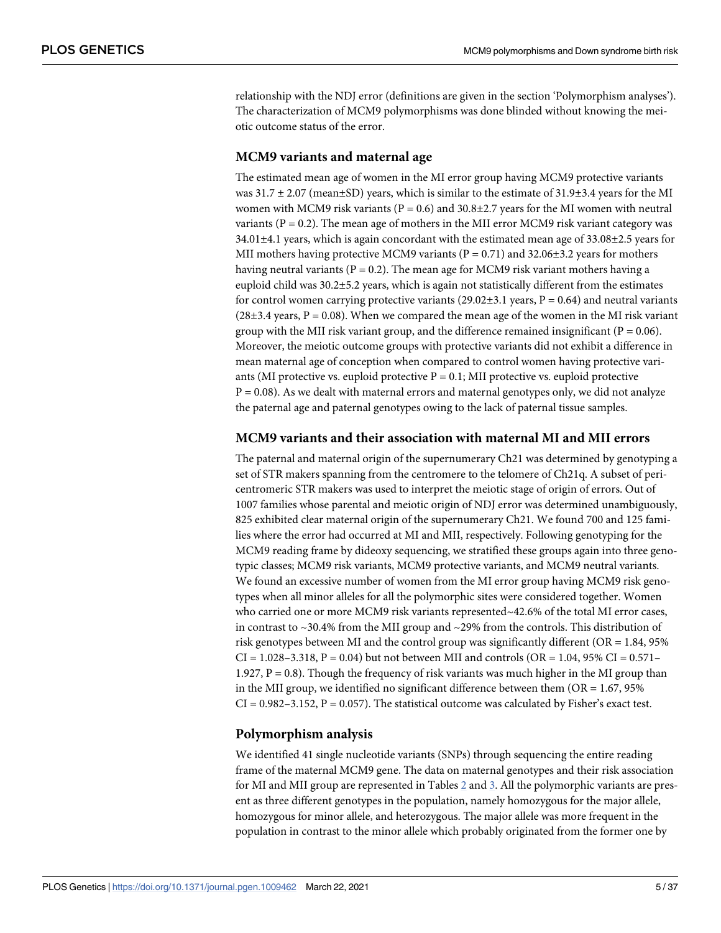<span id="page-4-0"></span>relationship with the NDJ error (definitions are given in the section 'Polymorphism analyses'). The characterization of MCM9 polymorphisms was done blinded without knowing the meiotic outcome status of the error.

#### **MCM9 variants and maternal age**

The estimated mean age of women in the MI error group having MCM9 protective variants was  $31.7 \pm 2.07$  (mean $\pm$ SD) years, which is similar to the estimate of  $31.9\pm3.4$  years for the MI women with MCM9 risk variants ( $P = 0.6$ ) and 30.8±2.7 years for the MI women with neutral variants ( $P = 0.2$ ). The mean age of mothers in the MII error MCM9 risk variant category was  $34.01\pm4.1$  years, which is again concordant with the estimated mean age of  $33.08\pm2.5$  years for MII mothers having protective MCM9 variants ( $P = 0.71$ ) and 32.06 $\pm$ 3.2 years for mothers having neutral variants ( $P = 0.2$ ). The mean age for MCM9 risk variant mothers having a euploid child was 30.2±5.2 years, which is again not statistically different from the estimates for control women carrying protective variants  $(29.02\pm3.1$  years,  $P = 0.64$ ) and neutral variants (28 $\pm$ 3.4 years, P = 0.08). When we compared the mean age of the women in the MI risk variant group with the MII risk variant group, and the difference remained insignificant ( $P = 0.06$ ). Moreover, the meiotic outcome groups with protective variants did not exhibit a difference in mean maternal age of conception when compared to control women having protective variants (MI protective vs. euploid protective  $P = 0.1$ ; MII protective vs. euploid protective  $P = 0.08$ ). As we dealt with maternal errors and maternal genotypes only, we did not analyze the paternal age and paternal genotypes owing to the lack of paternal tissue samples.

#### **MCM9 variants and their association with maternal MI and MII errors**

The paternal and maternal origin of the supernumerary Ch21 was determined by genotyping a set of STR makers spanning from the centromere to the telomere of Ch21q. A subset of pericentromeric STR makers was used to interpret the meiotic stage of origin of errors. Out of 1007 families whose parental and meiotic origin of NDJ error was determined unambiguously, 825 exhibited clear maternal origin of the supernumerary Ch21. We found 700 and 125 families where the error had occurred at MI and MII, respectively. Following genotyping for the MCM9 reading frame by dideoxy sequencing, we stratified these groups again into three genotypic classes; MCM9 risk variants, MCM9 protective variants, and MCM9 neutral variants. We found an excessive number of women from the MI error group having MCM9 risk genotypes when all minor alleles for all the polymorphic sites were considered together. Women who carried one or more MCM9 risk variants represented~42.6% of the total MI error cases, in contrast to  $\sim$ 30.4% from the MII group and  $\sim$ 29% from the controls. This distribution of risk genotypes between MI and the control group was significantly different (OR = 1.84, 95%  $CI = 1.028 - 3.318$ ,  $P = 0.04$ ) but not between MII and controls (OR = 1.04, 95% CI = 0.571– 1.927,  $P = 0.8$ ). Though the frequency of risk variants was much higher in the MI group than in the MII group, we identified no significant difference between them  $(OR = 1.67, 95\%)$  $CI = 0.982 - 3.152$ ,  $P = 0.057$ ). The statistical outcome was calculated by Fisher's exact test.

#### **Polymorphism analysis**

We identified 41 single nucleotide variants (SNPs) through sequencing the entire reading frame of the maternal MCM9 gene. The data on maternal genotypes and their risk association for MI and MII group are represented in Tables [2](#page-5-0) and [3.](#page-10-0) All the polymorphic variants are present as three different genotypes in the population, namely homozygous for the major allele, homozygous for minor allele, and heterozygous. The major allele was more frequent in the population in contrast to the minor allele which probably originated from the former one by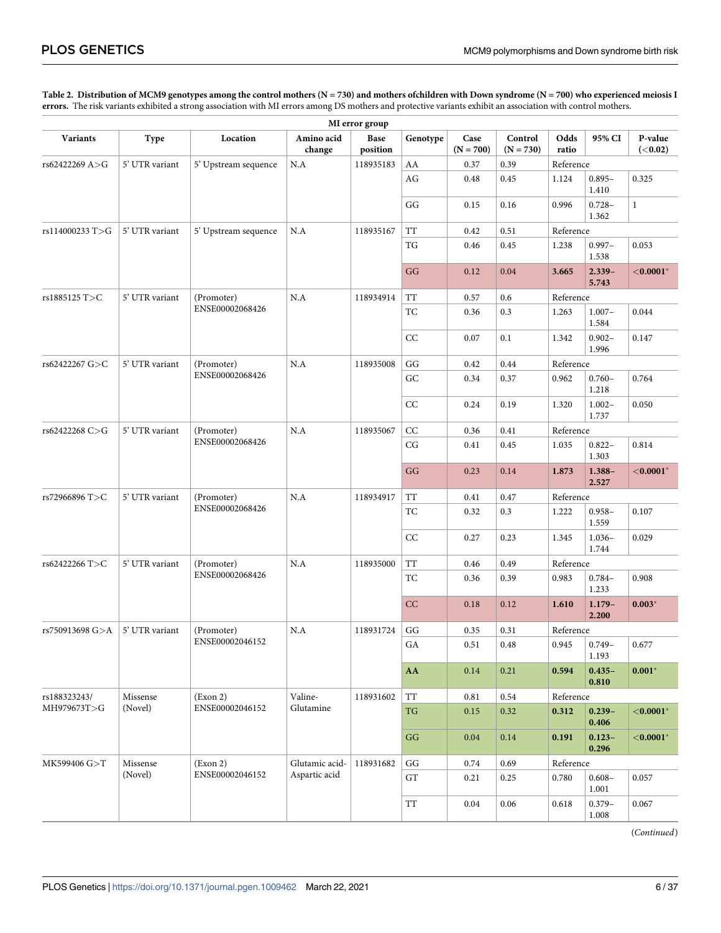#### <span id="page-5-0"></span>[Table 2.](#page-4-0) Distribution of MCM9 genotypes among the control mothers (N = 730) and mothers ofchildren with Down syndrome (N = 700) who experienced meiosis I **errors.** The risk variants exhibited a strong association with MI errors among DS mothers and protective variants exhibit an association with control mothers.

| MI error group  |                |                      |                      |                  |                                                    |                     |                        |               |                    |                            |  |
|-----------------|----------------|----------------------|----------------------|------------------|----------------------------------------------------|---------------------|------------------------|---------------|--------------------|----------------------------|--|
| <b>Variants</b> | Type           | Location             | Amino acid<br>change | Base<br>position | Genotype                                           | Case<br>$(N = 700)$ | Control<br>$(N = 730)$ | Odds<br>ratio | 95% CI             | P-value<br>( <b>0.02</b> ) |  |
| rs62422269 A>G  | 5' UTR variant | 5' Upstream sequence | N.A                  | 118935183        | AA                                                 | 0.37                | 0.39                   | Reference     |                    |                            |  |
|                 |                |                      |                      |                  | AG                                                 | 0.48                | 0.45                   | 1.124         | $0.895 -$<br>1.410 | 0.325                      |  |
|                 |                |                      |                      |                  | GG                                                 | 0.15                | 0.16                   | 0.996         | $0.728 -$<br>1.362 | $\mathbf{1}$               |  |
| rs114000233 T>G | 5' UTR variant | 5' Upstream sequence | N.A                  | 118935167        | <b>TT</b>                                          | 0.42                | 0.51                   | Reference     |                    |                            |  |
|                 |                |                      |                      |                  | TG                                                 | 0.46                | 0.45                   | 1.238         | $0.997 -$<br>1.538 | 0.053                      |  |
|                 |                |                      |                      |                  | GG                                                 | 0.12                | 0.04                   | 3.665         | $2.339-$<br>5.743  | $<$ 0.0001 $^*$            |  |
| rs1885125 T>C   | 5' UTR variant | (Promoter)           | N.A                  | 118934914        | <b>TT</b>                                          | 0.57                | 0.6                    | Reference     |                    |                            |  |
|                 |                | ENSE00002068426      |                      |                  | <b>TC</b>                                          | 0.36                | 0.3                    | 1.263         | $1.007 -$<br>1.584 | 0.044                      |  |
|                 |                |                      |                      |                  | CC                                                 | 0.07                | 0.1                    | 1.342         | $0.902 -$<br>1.996 | 0.147                      |  |
| rs62422267 G>C  | 5' UTR variant | (Promoter)           | N.A                  | 118935008        | $\mathbf{G}\mathbf{G}$                             | 0.42                | 0.44                   | Reference     |                    |                            |  |
|                 |                | ENSE00002068426      |                      |                  | GC                                                 | 0.34                | 0.37                   | 0.962         | $0.760 -$<br>1.218 | 0.764                      |  |
|                 |                |                      |                      |                  | CC                                                 | 0.24                | 0.19                   | 1.320         | $1.002 -$<br>1.737 | 0.050                      |  |
| rs62422268 C>G  | 5' UTR variant | (Promoter)           | N.A                  | 118935067        | $\rm CC$                                           | 0.36                | 0.41                   | Reference     |                    |                            |  |
|                 |                | ENSE00002068426      |                      |                  | CG                                                 | 0.41                | 0.45                   | 1.035         | $0.822 -$<br>1.303 | 0.814                      |  |
|                 |                |                      |                      |                  | GG                                                 | 0.23                | 0.14                   | 1.873         | $1.388 -$<br>2.527 | $<$ 0.0001 $^*$            |  |
| rs72966896 T>C  | 5' UTR variant | (Promoter)           | N.A                  | 118934917        | TT                                                 | 0.41                | 0.47                   | Reference     |                    |                            |  |
|                 |                | ENSE00002068426      |                      |                  | TC                                                 | 0.32                | 0.3                    | 1.222         | $0.958 -$<br>1.559 | 0.107                      |  |
|                 |                |                      |                      |                  | CC                                                 | 0.27                | 0.23                   | 1.345         | $1.036-$<br>1.744  | 0.029                      |  |
| rs62422266 T>C  | 5' UTR variant | (Promoter)           | N.A                  | 118935000        | TT                                                 | 0.46                | 0.49                   | Reference     |                    |                            |  |
|                 |                | ENSE00002068426      |                      |                  | <b>TC</b>                                          | 0.36                | 0.39                   | 0.983         | $0.784 -$<br>1.233 | 0.908                      |  |
|                 |                |                      |                      |                  | CC                                                 | 0.18                | 0.12                   | 1.610         | $1.179-$<br>2.200  | $0.003*$                   |  |
| rs750913698 G>A | 5' UTR variant | (Promoter)           | N.A                  | 118931724        | GG                                                 | 0.35                | 0.31                   | Reference     |                    |                            |  |
|                 |                | ENSE00002046152      |                      |                  | ${\rm GA}$                                         | 0.51                | $\rm 0.48$             | 0.945         | $0.749 -$<br>1.193 | 0.677                      |  |
|                 |                |                      |                      |                  | AA                                                 | 0.14                | 0.21                   | 0.594         | $0.435 -$<br>0.810 | $0.001*$                   |  |
| rs188323243/    | Missense       | (Exon 2)             | Valine-              | 118931602        | $\ensuremath{\mathcal{T}}\ensuremath{\mathcal{T}}$ | $0.81\,$            | $0.54\,$               | Reference     |                    |                            |  |
| MH979673T>G     | (Novel)        | ENSE00002046152      | Glutamine            |                  | TG                                                 | 0.15                | 0.32                   | 0.312         | $0.239 -$<br>0.406 | $<$ 0.0001 $^*$            |  |
|                 |                |                      |                      |                  | $\mathbf{G}\mathbf{G}$                             | 0.04                | $0.14\,$               | 0.191         | $0.123 -$<br>0.296 | ${<}0.0001*$               |  |
| MK599406 G>T    | Missense       | (Exon 2)             | Glutamic acid-       | 118931682        | $\mathbf{G}\mathbf{G}$                             | 0.74                | 0.69                   | Reference     |                    |                            |  |
|                 | (Novel)        | ENSE00002046152      | Aspartic acid        |                  | GT                                                 | 0.21                | 0.25                   | 0.780         | $0.608 -$<br>1.001 | 0.057                      |  |
|                 |                |                      |                      |                  | TT                                                 | 0.04                | 0.06                   | 0.618         | $0.379 -$<br>1.008 | 0.067                      |  |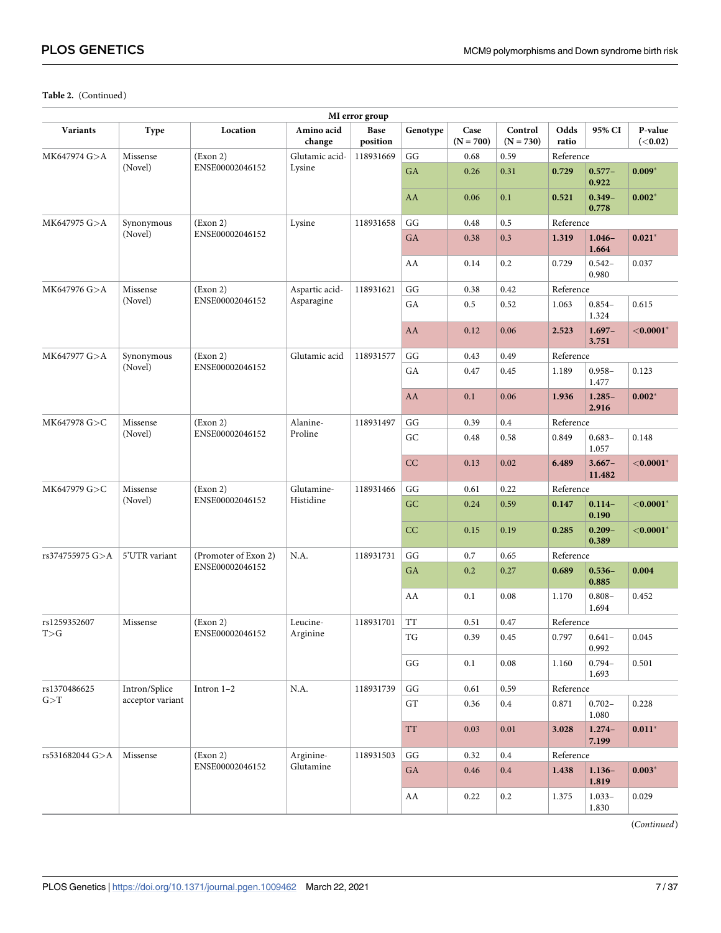| MI error group  |                  |                             |                      |                  |                          |                     |                        |               |                    |                            |  |
|-----------------|------------------|-----------------------------|----------------------|------------------|--------------------------|---------------------|------------------------|---------------|--------------------|----------------------------|--|
| <b>Variants</b> | Type             | Location                    | Amino acid<br>change | Base<br>position | Genotype                 | Case<br>$(N = 700)$ | Control<br>$(N = 730)$ | Odds<br>ratio | 95% CI             | P-value<br>( <b>0.02</b> ) |  |
| MK647974 G>A    | Missense         | (Exon 2)                    | Glutamic acid-       | 118931669        | GG                       | 0.68                | 0.59                   | Reference     |                    |                            |  |
|                 | (Novel)          | ENSE00002046152             | Lysine               |                  | GA                       | 0.26                | 0.31                   | 0.729         | $0.577 -$<br>0.922 | $0.009*$                   |  |
|                 |                  |                             |                      |                  | AA                       | 0.06                | 0.1                    | 0.521         | $0.349 -$<br>0.778 | $0.002*$                   |  |
| MK647975 G>A    | Synonymous       | (Exon 2)                    | Lysine               | 118931658        | GG                       | 0.48                | 0.5                    | Reference     |                    |                            |  |
|                 | (Novel)          | ENSE00002046152             |                      |                  | GA                       | 0.38                | 0.3                    | 1.319         | $1.046 -$<br>1.664 | $0.021*$                   |  |
|                 |                  |                             |                      |                  | AA                       | 0.14                | 0.2                    | 0.729         | $0.542 -$<br>0.980 | 0.037                      |  |
| MK647976 G>A    | Missense         | (Exon 2)                    | Aspartic acid-       | 118931621        | GG                       | 0.38                | 0.42                   | Reference     |                    |                            |  |
|                 | (Novel)          | ENSE00002046152             | Asparagine           |                  | ${\rm GA}$               | 0.5                 | 0.52                   | 1.063         | $0.854 -$<br>1.324 | 0.615                      |  |
|                 |                  |                             |                      |                  | AA                       | 0.12                | 0.06                   | 2.523         | $1.697-$<br>3.751  | $<$ 0.0001 $*$             |  |
| MK647977 G>A    | Synonymous       | (Exon 2)                    | Glutamic acid        | 118931577        | GG                       | 0.43                | 0.49                   | Reference     |                    |                            |  |
|                 | (Novel)          | ENSE00002046152             |                      |                  | GA                       | 0.47                | 0.45                   | 1.189         | $0.958 -$<br>1.477 | 0.123                      |  |
|                 |                  |                             |                      |                  | AA                       | 0.1                 | 0.06                   | 1.936         | $1.285 -$<br>2.916 | $0.002*$                   |  |
| MK647978 G>C    | Missense         | (Exon 2)                    | Alanine-             | 118931497        | GG                       | 0.39                | 0.4                    | Reference     |                    |                            |  |
|                 | (Novel)          | ENSE00002046152             | Proline              |                  | GC                       | 0.48                | 0.58                   | 0.849         | $0.683 -$<br>1.057 | 0.148                      |  |
|                 |                  |                             |                      |                  | CC                       | 0.13                | 0.02                   | 6.489         | $3.667-$<br>11.482 | ${<}0.0001*$               |  |
| MK647979 G>C    | Missense         | (Exon 2)<br>ENSE00002046152 | Glutamine-           | 118931466        | GG                       | 0.61                | 0.22                   | Reference     |                    |                            |  |
|                 | (Novel)          |                             | Histidine            |                  | GC                       | 0.24                | 0.59                   | 0.147         | $0.114-$<br>0.190  | $<$ 0.0001 $*$             |  |
|                 |                  |                             |                      |                  | CC                       | 0.15                | 0.19                   | 0.285         | $0.209 -$<br>0.389 | $<$ 0.0001 $*$             |  |
| rs374755975 G>A | 5'UTR variant    | (Promoter of Exon 2)        | N.A.                 | 118931731        | GG                       | 0.7                 | 0.65                   | Reference     |                    |                            |  |
|                 |                  | ENSE00002046152             |                      |                  | GA                       | 0.2                 | 0.27                   | 0.689         | $0.536 -$<br>0.885 | 0.004                      |  |
|                 |                  |                             |                      |                  | AA                       | 0.1                 | 0.08                   | 1.170         | $0.808 -$<br>1.694 | 0.452                      |  |
| rs1259352607    | Missense         | (Exon 2)                    | Leucine-             | 118931701        | <b>TT</b>                | 0.51                | 0.47                   | Reference     |                    |                            |  |
| T>G             |                  | ENSE00002046152             | Arginine             |                  | $\mathcal{T}\mathcal{G}$ | 0.39                | 0.45                   | 0.797         | $0.641 -$<br>0.992 | $0.045\,$                  |  |
|                 |                  |                             |                      |                  | GG                       | 0.1                 | $0.08\,$               | 1.160         | $0.794 -$<br>1.693 | 0.501                      |  |
| rs1370486625    | Intron/Splice    | Intron $1-2$                | N.A.                 | 118931739        | $\mathbf{G}\mathbf{G}$   | $0.61\,$            | 0.59                   |               | Reference          |                            |  |
| G > T           | acceptor variant |                             |                      |                  | ${\rm GT}$               | 0.36                | $\rm 0.4$              | 0.871         | $0.702 -$<br>1.080 | 0.228                      |  |
|                 |                  |                             |                      |                  | <b>TT</b>                | 0.03                | $0.01\,$               | 3.028         | $1.274-$<br>7.199  | $0.011*$                   |  |
| rs531682044 G>A | Missense         | (Exon 2)                    | Arginine-            | 118931503        | GG                       | 0.32                | 0.4                    | Reference     |                    |                            |  |
|                 |                  | ENSE00002046152             | Glutamine            |                  | GA                       | 0.46                | $0.4\,$                | 1.438         | $1.136-$<br>1.819  | $0.003*$                   |  |
|                 |                  |                             |                      |                  | AA                       | 0.22                | $0.2\,$                | 1.375         | $1.033-$<br>1.830  | 0.029                      |  |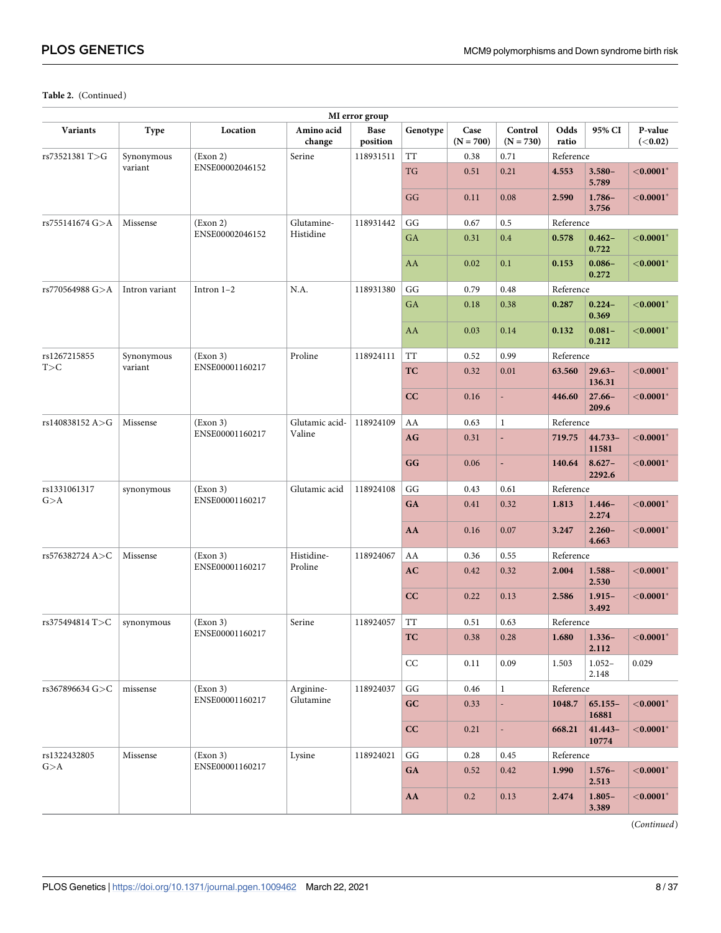| MI error group  |                |                 |                      |                  |                        |                     |                        |               |                     |                            |  |
|-----------------|----------------|-----------------|----------------------|------------------|------------------------|---------------------|------------------------|---------------|---------------------|----------------------------|--|
| <b>Variants</b> | <b>Type</b>    | Location        | Amino acid<br>change | Base<br>position | Genotype               | Case<br>$(N = 700)$ | Control<br>$(N = 730)$ | Odds<br>ratio | 95% CI              | P-value<br>( <b>0.02</b> ) |  |
| rs73521381 T>G  | Synonymous     | (Exon 2)        | Serine               | 118931511        | <b>TT</b>              | 0.38                | 0.71                   | Reference     |                     |                            |  |
|                 | variant        | ENSE00002046152 |                      |                  | TG                     | 0.51                | 0.21                   | 4.553         | $3.580 -$<br>5.789  | ${<}0.0001*$               |  |
|                 |                |                 |                      |                  | GG                     | 0.11                | 0.08                   | 2.590         | $1.786-$<br>3.756   | ${<}0.0001*$               |  |
| rs755141674 G>A | Missense       | (Exon 2)        | Glutamine-           | 118931442        | GG                     | 0.67                | 0.5                    | Reference     |                     |                            |  |
|                 |                | ENSE00002046152 | Histidine            |                  | GA                     | 0.31                | 0.4                    | 0.578         | $0.462 -$<br>0.722  | ${<}0.0001*$               |  |
|                 |                |                 |                      |                  | AA                     | 0.02                | 0.1                    | 0.153         | $0.086 -$<br>0.272  | ${<}0.0001*$               |  |
| rs770564988 G>A | Intron variant | Intron 1-2      | N.A.                 | 118931380        | GG                     | 0.79                | 0.48                   | Reference     |                     |                            |  |
|                 |                |                 |                      |                  | GA                     | 0.18                | 0.38                   | 0.287         | $0.224 -$<br>0.369  | ${<}0.0001*$               |  |
|                 |                |                 |                      |                  | AA                     | 0.03                | 0.14                   | 0.132         | $0.081 -$<br>0.212  | ${<}0.0001*$               |  |
| rs1267215855    | Synonymous     | (Exon 3)        | Proline              | 118924111        | <b>TT</b>              | 0.52                | 0.99                   | Reference     |                     |                            |  |
| T>C             | variant        | ENSE00001160217 |                      |                  | TC                     | 0.32                | 0.01                   | 63.560        | $29.63-$<br>136.31  | $<$ 0.0001 $^*$            |  |
|                 |                |                 |                      |                  | CC                     | 0.16                | ÷,                     | 446.60        | $27.66 -$<br>209.6  | ${<}0.0001*$               |  |
| rs140838152 A>G | Missense       | (Exon 3)        | Glutamic acid-       | 118924109        | AA                     | 0.63                | $\mathbf{1}$           | Reference     |                     |                            |  |
|                 |                | ENSE00001160217 | Valine               |                  | AG                     | 0.31                | ÷,                     | 719.75        | $44.733 -$<br>11581 | ${<}0.0001*$               |  |
|                 |                |                 |                      |                  | GG                     | 0.06                | ÷,                     | 140.64        | $8.627 -$<br>2292.6 | ${<}0.0001*$               |  |
| rs1331061317    | synonymous     | (Exon 3)        | Glutamic acid        | 118924108        | GG                     | 0.43                | 0.61                   | Reference     |                     |                            |  |
| G > A           |                | ENSE00001160217 |                      |                  | GA                     | 0.41                | 0.32                   | 1.813         | $1.446-$<br>2.274   | $<$ 0.0001 $^*$            |  |
|                 |                |                 |                      |                  | AA                     | 0.16                | 0.07                   | 3.247         | $2.260 -$<br>4.663  | $<$ 0.0001 $^*$            |  |
| rs576382724 A>C | Missense       | (Exon 3)        | Histidine-           | 118924067        | AA                     | 0.36                | 0.55                   | Reference     |                     |                            |  |
|                 |                | ENSE00001160217 | Proline              |                  | AC                     | 0.42                | 0.32                   | 2.004         | $1.588 -$<br>2.530  | $<$ 0.0001 $^*$            |  |
|                 |                |                 |                      |                  | CC                     | 0.22                | 0.13                   | 2.586         | $1.915 -$<br>3.492  | ${<}0.0001*$               |  |
| rs375494814 T>C | synonymous     | (Exon 3)        | Serine               | 118924057        | <b>TT</b>              | 0.51                | 0.63                   | Reference     |                     |                            |  |
|                 |                | ENSE00001160217 |                      |                  | TC                     | 0.38                | 0.28                   | 1.680         | $1.336-$<br>2.112   | ${<}0.0001*$               |  |
|                 |                |                 |                      |                  | CC                     | 0.11                | 0.09                   | 1.503         | $1.052 -$<br>2.148  | 0.029                      |  |
| rs367896634 G>C | missense       | (Exon 3)        | Arginine-            | 118924037        | $\mathbf{G}\mathbf{G}$ | 0.46                | $\mathbf{1}$           | Reference     |                     |                            |  |
|                 |                | ENSE00001160217 | Glutamine            |                  | GC                     | 0.33                | ÷,                     | 1048.7        | $65.155 -$<br>16881 | ${<}0.0001*$               |  |
|                 |                |                 |                      |                  | CC                     | 0.21                | $\Box$                 | 668.21        | $41.443 -$<br>10774 | ${<}0.0001*$               |  |
| rs1322432805    | Missense       | (Exon 3)        | Lysine               | 118924021        | $\mathbf{G}\mathbf{G}$ | 0.28                | 0.45                   | Reference     |                     |                            |  |
| G>A             |                | ENSE00001160217 |                      |                  | GA                     | 0.52                | 0.42                   | 1.990         | $1.576-$<br>2.513   | $<$ 0.0001 $^*$            |  |
|                 |                |                 |                      |                  | AA                     | 0.2                 | 0.13                   | 2.474         | $1.805 -$<br>3.389  | ${<}0.0001*$               |  |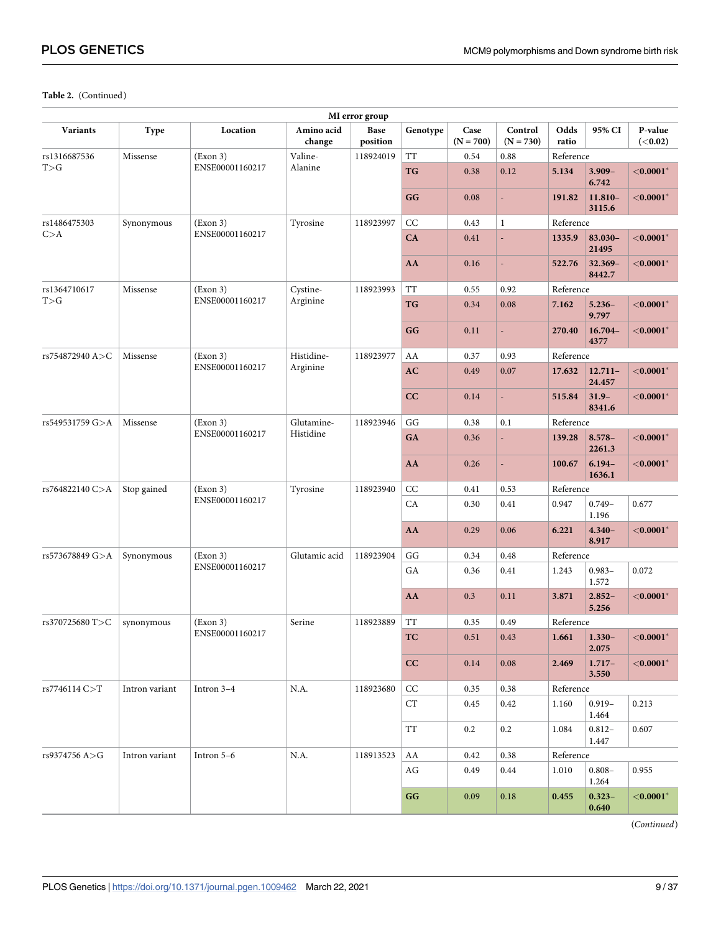| MI error group  |                |                 |                      |                  |                    |                     |                        |               |                      |                            |  |
|-----------------|----------------|-----------------|----------------------|------------------|--------------------|---------------------|------------------------|---------------|----------------------|----------------------------|--|
| <b>Variants</b> | <b>Type</b>    | Location        | Amino acid<br>change | Base<br>position | Genotype           | Case<br>$(N = 700)$ | Control<br>$(N = 730)$ | Odds<br>ratio | 95% CI               | P-value<br>( <b>0.02</b> ) |  |
| rs1316687536    | Missense       | (Exon 3)        | Valine-              | 118924019        | <b>TT</b>          | 0.54                | 0.88                   | Reference     |                      |                            |  |
| T>G             |                | ENSE00001160217 | Alanine              |                  | TG                 | 0.38                | 0.12                   | 5.134         | $3.909 -$<br>6.742   | ${<}0.0001*$               |  |
|                 |                |                 |                      |                  | GG                 | 0.08                | ÷,                     | 191.82        | 11.810-<br>3115.6    | ${<}0.0001*$               |  |
| rs1486475303    | Synonymous     | (Exon 3)        | Tyrosine             | 118923997        | CC                 | 0.43                | $\mathbf{1}$           | Reference     |                      |                            |  |
| C > A           |                | ENSE00001160217 |                      |                  | CA                 | 0.41                | ä,                     | 1335.9        | 83.030-<br>21495     | ${<}0.0001*$               |  |
|                 |                |                 |                      |                  | AA                 | 0.16                | L,                     | 522.76        | 32.369-<br>8442.7    | ${<}0.0001*$               |  |
| rs1364710617    | Missense       | (Exon 3)        | Cystine-             | 118923993        | <b>TT</b>          | 0.55                | 0.92                   | Reference     |                      |                            |  |
| T>G             |                | ENSE00001160217 | Arginine             |                  | TG                 | 0.34                | 0.08                   | 7.162         | $5.236-$<br>9.797    | $<$ 0.0001 $^*$            |  |
|                 |                |                 |                      |                  | GG                 | 0.11                | ÷,                     | 270.40        | $16.704 -$<br>4377   | ${<}0.0001*$               |  |
| rs754872940 A>C | Missense       | (Exon 3)        | Histidine-           | 118923977        | AA                 | 0.37                | 0.93                   | Reference     |                      |                            |  |
|                 |                | ENSE00001160217 | Arginine             |                  | AC                 | 0.49                | 0.07                   | 17.632        | $12.711 -$<br>24.457 | $<$ 0.0001 $^*$            |  |
|                 |                |                 |                      |                  | CC                 | 0.14                | ÷,                     | 515.84        | $31.9 -$<br>8341.6   | ${<}0.0001*$               |  |
| rs549531759 G>A | Missense       | (Exon 3)        | Glutamine-           | 118923946        | GG                 | 0.38                | 0.1                    | Reference     |                      |                            |  |
|                 |                | ENSE00001160217 | Histidine            |                  | GA                 | 0.36                | ÷,                     | 139.28        | $8.578-$<br>2261.3   | ${<}0.0001*$               |  |
|                 |                |                 |                      |                  | AA                 | 0.26                | ÷,                     | 100.67        | $6.194 -$<br>1636.1  | ${<}0.0001*$               |  |
| rs764822140 C>A | Stop gained    | (Exon 3)        | Tyrosine             | 118923940        | CC                 | 0.41                | 0.53                   | Reference     |                      |                            |  |
|                 |                | ENSE00001160217 |                      |                  | CA                 | 0.30                | 0.41                   | 0.947         | $0.749 -$<br>1.196   | 0.677                      |  |
|                 |                |                 |                      |                  | AA                 | 0.29                | 0.06                   | 6.221         | $4.340 -$<br>8.917   | $<$ 0.0001 $^*$            |  |
| rs573678849 G>A | Synonymous     | (Exon 3)        | Glutamic acid        | 118923904        | GG                 | 0.34                | 0.48                   | Reference     |                      |                            |  |
|                 |                | ENSE00001160217 |                      |                  | GA                 | 0.36                | 0.41                   | 1.243         | $0.983 -$<br>1.572   | 0.072                      |  |
|                 |                |                 |                      |                  | AA                 | 0.3                 | 0.11                   | 3.871         | $2.852 -$<br>5.256   | ${<}0.0001*$               |  |
| rs370725680 T>C | synonymous     | (Exon 3)        | Serine               | 118923889        | <b>TT</b>          | 0.35                | 0.49                   | Reference     |                      |                            |  |
|                 |                | ENSE00001160217 |                      |                  | TC                 | 0.51                | 0.43                   | 1.661         | $1.330-$<br>2.075    | ${<}0.0001*$               |  |
|                 |                |                 |                      |                  | cc                 | 0.14                | 0.08                   | 2.469         | $1.717-$<br>3.550    | ${<}0.0001*$               |  |
| rs7746114 C>T   | Intron variant | Intron $3-4$    | N.A.                 | 118923680        | CC                 | 0.35                | 0.38                   | Reference     |                      |                            |  |
|                 |                |                 |                      |                  | ${\cal C}{\cal T}$ | 0.45                | 0.42                   | 1.160         | $0.919 -$<br>1.464   | 0.213                      |  |
|                 |                |                 |                      |                  | TT                 | 0.2                 | 0.2                    | 1.084         | $0.812 -$<br>1.447   | 0.607                      |  |
| rs9374756 A>G   | Intron variant | Intron 5-6      | N.A.                 | 118913523        | AA                 | 0.42                | 0.38                   | Reference     |                      |                            |  |
|                 |                |                 |                      |                  | AG                 | 0.49                | 0.44                   | 1.010         | $0.808 -$<br>1.264   | 0.955                      |  |
|                 |                |                 |                      |                  | GG                 | 0.09                | 0.18                   | 0.455         | $0.323 -$<br>0.640   | ${<}0.0001*$               |  |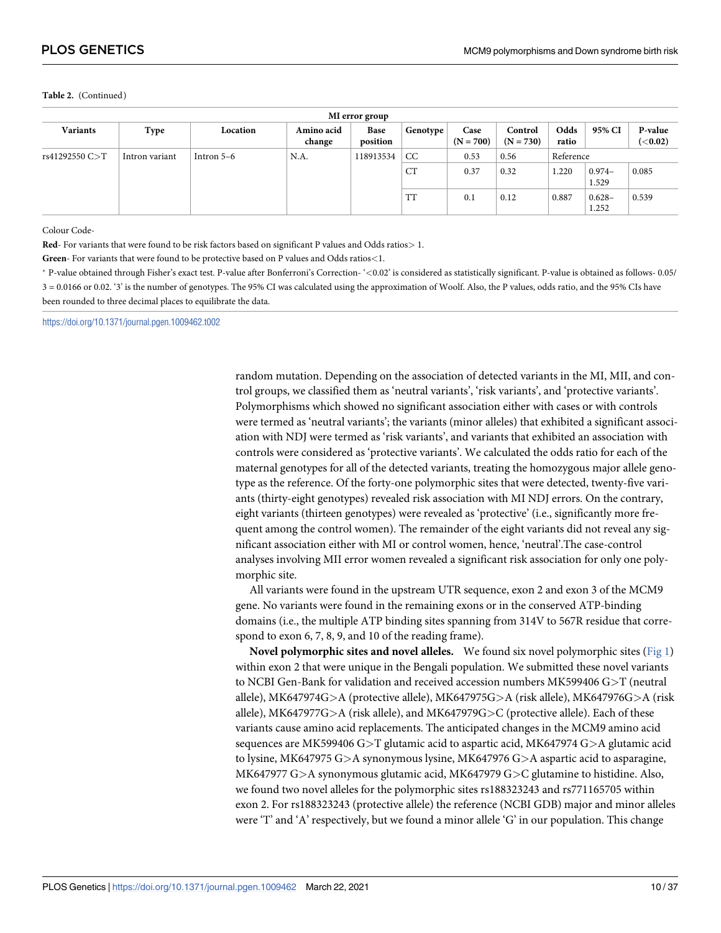<span id="page-9-0"></span>

| MI error group |                |              |                      |                  |           |                     |                        |               |                    |                            |  |
|----------------|----------------|--------------|----------------------|------------------|-----------|---------------------|------------------------|---------------|--------------------|----------------------------|--|
| Variants       | Type           | Location     | Amino acid<br>change | Base<br>position | Genotype  | Case<br>$(N = 700)$ | Control<br>$(N = 730)$ | Odds<br>ratio | 95% CI             | P-value<br>( <b>0.02</b> ) |  |
| rs41292550 C>T | Intron variant | Intron $5-6$ | N.A.                 | 118913534        | CC        | 0.53                | 0.56                   | Reference     |                    |                            |  |
|                |                |              |                      |                  | <b>CT</b> | 0.37                | 0.32                   | 1.220         | $0.974-$<br>1.529  | 0.085                      |  |
|                |                |              |                      |                  | <b>TT</b> | 0.1                 | 0.12                   | 0.887         | $0.628 -$<br>1.252 | 0.539                      |  |

Colour Code-

**Red**- For variants that were found to be risk factors based on significant P values and Odds ratios*>* 1.

**Green**- For variants that were found to be protective based on P values and Odds ratios*<*1.

� P-value obtained through Fisher's exact test. P-value after Bonferroni's Correction- '*<*0.02' is considered as statistically significant. P-value is obtained as follows- 0.05/ 3 = 0.0166 or 0.02. '3' is the number of genotypes. The 95% CI was calculated using the approximation of Woolf. Also, the P values, odds ratio, and the 95% CIs have been rounded to three decimal places to equilibrate the data.

<https://doi.org/10.1371/journal.pgen.1009462.t002>

random mutation. Depending on the association of detected variants in the MI, MII, and control groups, we classified them as 'neutral variants', 'risk variants', and 'protective variants'. Polymorphisms which showed no significant association either with cases or with controls were termed as 'neutral variants'; the variants (minor alleles) that exhibited a significant association with NDJ were termed as 'risk variants', and variants that exhibited an association with controls were considered as 'protective variants'. We calculated the odds ratio for each of the maternal genotypes for all of the detected variants, treating the homozygous major allele genotype as the reference. Of the forty-one polymorphic sites that were detected, twenty-five variants (thirty-eight genotypes) revealed risk association with MI NDJ errors. On the contrary, eight variants (thirteen genotypes) were revealed as 'protective' (i.e., significantly more frequent among the control women). The remainder of the eight variants did not reveal any significant association either with MI or control women, hence, 'neutral'.The case-control analyses involving MII error women revealed a significant risk association for only one polymorphic site.

All variants were found in the upstream UTR sequence, exon 2 and exon 3 of the MCM9 gene. No variants were found in the remaining exons or in the conserved ATP-binding domains (i.e., the multiple ATP binding sites spanning from 314V to 567R residue that correspond to exon 6, 7, 8, 9, and 10 of the reading frame).

**Novel polymorphic sites and novel alleles.** We found six novel polymorphic sites [\(Fig 1](#page-14-0)) within exon 2 that were unique in the Bengali population. We submitted these novel variants to NCBI Gen-Bank for validation and received accession numbers MK599406 G*>*T (neutral allele), MK647974G*>*A (protective allele), MK647975G*>*A (risk allele), MK647976G*>*A (risk allele), MK647977G*>*A (risk allele), and MK647979G*>*C (protective allele). Each of these variants cause amino acid replacements. The anticipated changes in the MCM9 amino acid sequences are MK599406 G*>*T glutamic acid to aspartic acid, MK647974 G*>*A glutamic acid to lysine, MK647975 G*>*A synonymous lysine, MK647976 G*>*A aspartic acid to asparagine, MK647977 G*>*A synonymous glutamic acid, MK647979 G*>*C glutamine to histidine. Also, we found two novel alleles for the polymorphic sites rs188323243 and rs771165705 within exon 2. For rs188323243 (protective allele) the reference (NCBI GDB) major and minor alleles were 'T' and 'A' respectively, but we found a minor allele 'G' in our population. This change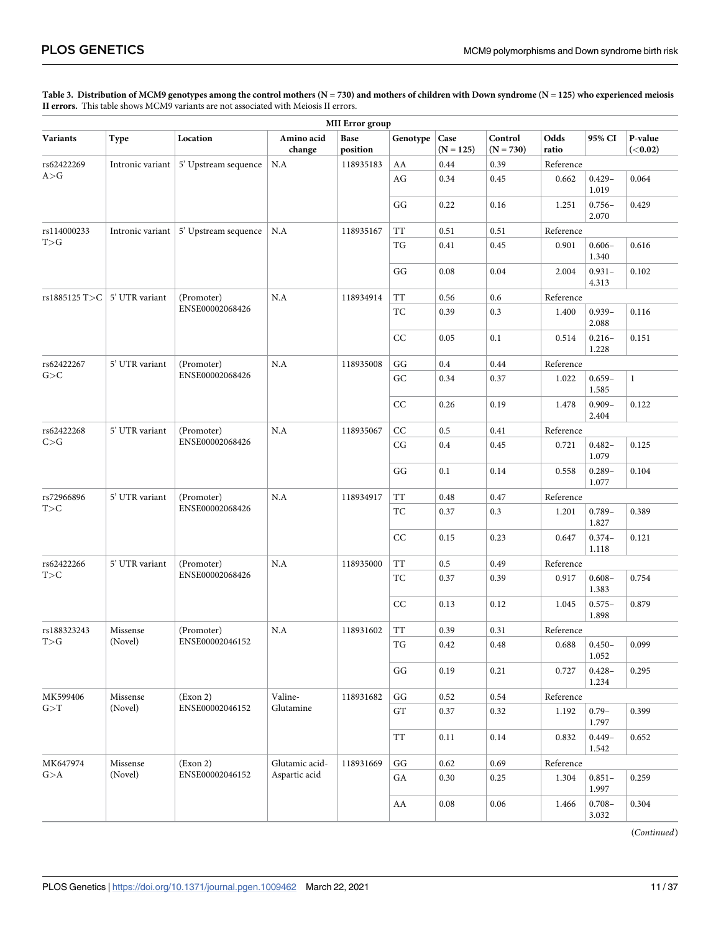#### <span id="page-10-0"></span>[Table 3.](#page-4-0) Distribution of MCM9 genotypes among the control mothers (N = 730) and mothers of children with Down syndrome (N = 125) who experienced meiosis **II errors.** This table shows MCM9 variants are not associated with Meiosis II errors.

| <b>MII</b> Error group               |                  |                                               |                      |                  |                              |                     |                        |               |                    |                            |  |
|--------------------------------------|------------------|-----------------------------------------------|----------------------|------------------|------------------------------|---------------------|------------------------|---------------|--------------------|----------------------------|--|
| <b>Variants</b>                      | Type             | Location                                      | Amino acid<br>change | Base<br>position | Genotype                     | Case<br>$(N = 125)$ | Control<br>$(N = 730)$ | Odds<br>ratio | 95% CI             | P-value<br>( <b>0.02</b> ) |  |
| rs62422269                           | Intronic variant | 5' Upstream sequence                          | N.A                  | 118935183        | AA                           | 0.44                | 0.39                   | Reference     |                    |                            |  |
| A>G                                  |                  |                                               |                      |                  | AG                           | 0.34                | 0.45                   | 0.662         | $0.429 -$<br>1.019 | 0.064                      |  |
|                                      |                  |                                               |                      |                  | GG                           | 0.22                | 0.16                   | 1.251         | $0.756 -$<br>2.070 | 0.429                      |  |
| rs114000233                          |                  | Intronic variant $\vert$ 5' Upstream sequence | N.A                  | 118935167        | TT                           | 0.51                | 0.51                   | Reference     |                    |                            |  |
| T>G                                  |                  |                                               |                      |                  | TG                           | 0.41                | 0.45                   | 0.901         | $0.606 -$<br>1.340 | 0.616                      |  |
|                                      |                  |                                               |                      |                  | GG                           | 0.08                | 0.04                   | 2.004         | $0.931 -$<br>4.313 | 0.102                      |  |
| rs1885125 T>C $\vert$ 5' UTR variant |                  | (Promoter)                                    | N.A                  | 118934914        | $\operatorname{TT}$          | 0.56                | 0.6                    | Reference     |                    |                            |  |
|                                      |                  | ENSE00002068426                               |                      |                  | TC                           | 0.39                | 0.3                    | 1.400         | $0.939 -$<br>2.088 | 0.116                      |  |
|                                      |                  |                                               |                      |                  | CC                           | 0.05                | 0.1                    | 0.514         | $0.216 -$<br>1.228 | 0.151                      |  |
| rs62422267                           | 5' UTR variant   | (Promoter)                                    | N.A                  | 118935008        | $\mathbf{G}\mathbf{G}$       | 0.4                 | 0.44                   | Reference     |                    |                            |  |
| G>C                                  |                  | ENSE00002068426                               |                      |                  | ${\rm GC}$                   | 0.34                | 0.37                   | 1.022         | $0.659 -$<br>1.585 | $\,1$                      |  |
|                                      |                  |                                               |                      |                  | CC                           | 0.26                | 0.19                   | 1.478         | $0.909 -$<br>2.404 | 0.122                      |  |
| rs62422268                           | 5' UTR variant   | (Promoter)                                    | N.A                  | 118935067        | CC                           | 0.5                 | 0.41                   | Reference     |                    |                            |  |
| C > G                                |                  | ENSE00002068426                               |                      |                  | CG                           | 0.4                 | 0.45                   | 0.721         | $0.482 -$<br>1.079 | 0.125                      |  |
|                                      |                  |                                               |                      |                  | GG                           | 0.1                 | 0.14                   | 0.558         | $0.289 -$<br>1.077 | 0.104                      |  |
| rs72966896                           | 5' UTR variant   | (Promoter)                                    |                      | N.A              | 118934917                    | <b>TT</b>           | 0.48                   | 0.47          | Reference          |                            |  |
| T>C                                  |                  | ENSE00002068426                               |                      |                  | TC                           | 0.37                | 0.3                    | 1.201         | $0.789 -$<br>1.827 | 0.389                      |  |
|                                      |                  |                                               |                      |                  | CC                           | 0.15                | 0.23                   | 0.647         | $0.374-$<br>1.118  | 0.121                      |  |
| rs62422266                           | 5' UTR variant   | (Promoter)                                    | N.A                  | 118935000        | <b>TT</b>                    | 0.5                 | 0.49                   | Reference     |                    |                            |  |
| T>C                                  |                  | ENSE00002068426                               |                      |                  | TC                           | 0.37                | 0.39                   | 0.917         | $0.608 -$<br>1.383 | 0.754                      |  |
|                                      |                  |                                               |                      |                  | CC                           | 0.13                | 0.12                   | 1.045         | $0.575 -$<br>1.898 | 0.879                      |  |
| rs188323243                          | Missense         | (Promoter)                                    | N.A                  | 118931602        | TT                           | 0.39                | 0.31                   | Reference     |                    |                            |  |
| T>G                                  | (Novel)          | ENSE00002046152                               |                      |                  | $\operatorname{\mathsf{TG}}$ | 0.42                | 0.48                   | 0.688         | $0.450 -$<br>1.052 | 0.099                      |  |
|                                      |                  |                                               |                      |                  | GG                           | 0.19                | 0.21                   | 0.727         | $0.428 -$<br>1.234 | 0.295                      |  |
| MK599406                             | Missense         | (Exon 2)                                      | Valine-              | 118931682        | $\mathbf{G}\mathbf{G}$       | 0.52                | 0.54                   | Reference     |                    |                            |  |
| G > T                                | (Novel)          | ENSE00002046152                               | Glutamine            |                  | ${\rm GT}$                   | 0.37                | 0.32                   | 1.192         | $0.79 -$<br>1.797  | 0.399                      |  |
|                                      |                  |                                               |                      |                  | TT                           | 0.11                | $0.14\,$               | 0.832         | $0.449 -$<br>1.542 | 0.652                      |  |
| MK647974                             | Missense         | (Exon 2)                                      | Glutamic acid-       | 118931669        | GG                           | 0.62                | 0.69                   | Reference     |                    |                            |  |
| G>A                                  | (Novel)          | ENSE00002046152                               | Aspartic acid        |                  | ${\rm GA}$                   | 0.30                | 0.25                   | 1.304         | $0.851 -$<br>1.997 | 0.259                      |  |
|                                      |                  |                                               |                      |                  | ${\rm AA}$                   | 0.08                | 0.06                   | 1.466         | $0.708 -$<br>3.032 | 0.304                      |  |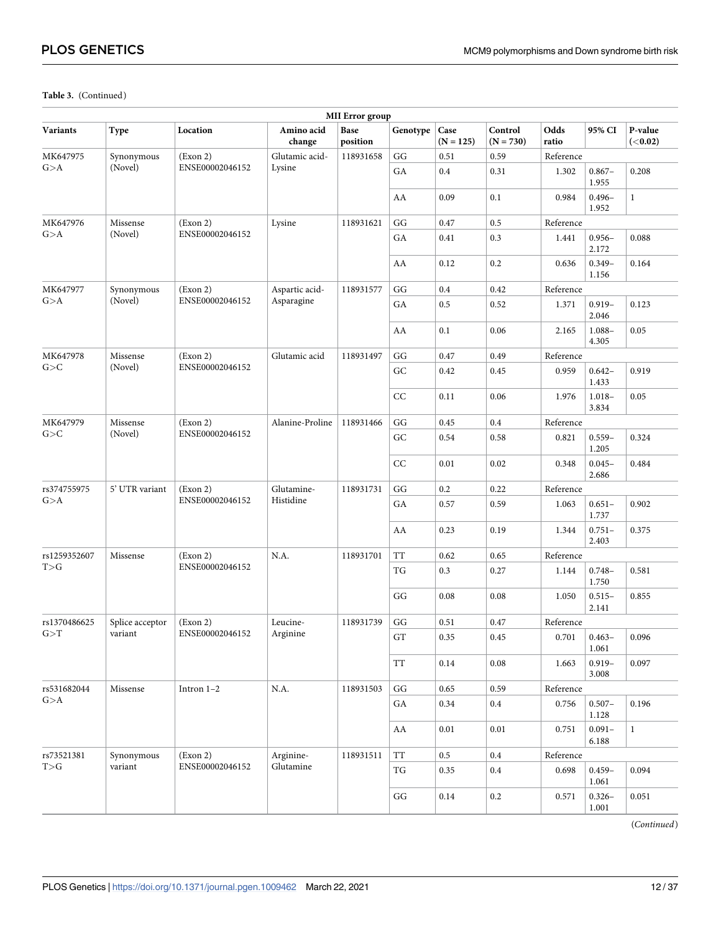| <b>MII</b> Error group |                 |                 |                      |                  |                          |                     |                        |                    |                    |                            |  |
|------------------------|-----------------|-----------------|----------------------|------------------|--------------------------|---------------------|------------------------|--------------------|--------------------|----------------------------|--|
| Variants               | Type            | Location        | Amino acid<br>change | Base<br>position | Genotype                 | Case<br>$(N = 125)$ | Control<br>$(N = 730)$ | Odds<br>ratio      | 95% CI             | P-value<br>( <b>0.02</b> ) |  |
| MK647975               | Synonymous      | (Exon 2)        | Glutamic acid-       | 118931658        | GG                       | 0.51                | 0.59                   | Reference          |                    |                            |  |
| G > A                  | (Novel)         | ENSE00002046152 | Lysine               |                  | GA                       | 0.4                 | 0.31                   | 1.302              | $0.867 -$<br>1.955 | 0.208                      |  |
|                        |                 |                 |                      |                  | AA                       | 0.09                | 0.1                    | 0.984              | $0.496 -$<br>1.952 | $\mathbf{1}$               |  |
| MK647976               | Missense        | (Exon 2)        | Lysine               | 118931621        | GG                       | 0.47                | 0.5                    | Reference          |                    |                            |  |
| G > A                  | (Novel)         | ENSE00002046152 |                      |                  | GA                       | 0.41                | 0.3                    | 1.441              | $0.956 -$<br>2.172 | 0.088                      |  |
|                        |                 |                 |                      |                  | AA                       | 0.12                | 0.2                    | 0.636              | $0.349 -$<br>1.156 | 0.164                      |  |
| MK647977               | Synonymous      | (Exon 2)        | Aspartic acid-       | 118931577        | GG                       | 0.4                 | 0.42                   | Reference          |                    |                            |  |
| G > A                  | (Novel)         | ENSE00002046152 | Asparagine           |                  | GA                       | 0.5                 | 0.52                   | 1.371              | $0.919 -$<br>2.046 | 0.123                      |  |
|                        |                 |                 |                      |                  | AA                       | 0.1                 | 0.06                   | 2.165              | $1.088 -$<br>4.305 | 0.05                       |  |
| MK647978               | Missense        | (Exon 2)        | Glutamic acid        | 118931497        | GG                       | 0.47                | 0.49                   | Reference          |                    |                            |  |
| G>C                    | (Novel)         | ENSE00002046152 |                      |                  | ${\rm GC}$               | 0.42                | 0.45                   | 0.959              | $0.642 -$<br>1.433 | 0.919                      |  |
|                        |                 |                 |                      |                  | CC                       | 0.11                | 0.06                   | 1.976              | $1.018 -$<br>3.834 | 0.05                       |  |
| MK647979               | Missense        | (Exon 2)        | Alanine-Proline      | 118931466        | GG                       | 0.45                | 0.4                    | Reference          |                    |                            |  |
| G>C<br>(Novel)         |                 | ENSE00002046152 |                      |                  | GC                       | 0.54                | 0.58                   | 0.821              | $0.559 -$<br>1.205 | 0.324                      |  |
|                        |                 |                 |                      | CC               | 0.01                     | 0.02                | 0.348                  | $0.045 -$<br>2.686 | 0.484              |                            |  |
| rs374755975            | 5' UTR variant  | (Exon 2)        | Glutamine-           | 118931731        | GG                       | 0.2                 | 0.22                   | Reference          |                    |                            |  |
| G>A                    |                 | ENSE00002046152 | Histidine            |                  | GA                       | 0.57                | 0.59                   | 1.063              | $0.651 -$<br>1.737 | 0.902                      |  |
|                        |                 |                 |                      |                  | AA                       | 0.23                | 0.19                   | 1.344              | $0.751 -$<br>2.403 | 0.375                      |  |
| rs1259352607           | Missense        | (Exon 2)        | N.A.                 | 118931701        | TT                       | 0.62                | 0.65                   | Reference          |                    |                            |  |
| T>G                    |                 | ENSE00002046152 |                      |                  | TG                       | 0.3                 | 0.27                   | 1.144              | $0.748 -$<br>1.750 | 0.581                      |  |
|                        |                 |                 |                      |                  | GG                       | 0.08                | 0.08                   | 1.050              | $0.515 -$<br>2.141 | 0.855                      |  |
| rs1370486625           | Splice acceptor | (Exon 2)        | Leucine-             | 118931739        | GG                       | 0.51                | 0.47                   | Reference          |                    |                            |  |
| G > T                  | variant         | ENSE00002046152 | Arginine             |                  | GT                       | 0.35                | $0.45\,$               | 0.701              | $0.463 -$<br>1.061 | 0.096                      |  |
|                        |                 |                 |                      |                  | TT                       | 0.14                | $0.08\,$               | 1.663              | $0.919 -$<br>3.008 | 0.097                      |  |
| rs531682044            | Missense        | Intron $1-2$    | N.A.                 | 118931503        | $\mathbf{G}\mathbf{G}$   | $0.65\,$            | 0.59                   |                    | Reference          |                            |  |
| G > A                  |                 |                 |                      |                  | GA                       | 0.34                | $0.4\,$                | 0.756              | $0.507 -$<br>1.128 | 0.196                      |  |
|                        |                 |                 |                      |                  | AA                       | 0.01                | 0.01                   | 0.751              | $0.091 -$<br>6.188 | $\mathbf{1}$               |  |
| rs73521381             | Synonymous      | (Exon 2)        | Arginine-            | 118931511        | TT                       | 0.5                 | $0.4\,$                | Reference          |                    |                            |  |
| T>G                    | variant         | ENSE00002046152 | Glutamine            |                  | $\mathcal{T}\mathcal{G}$ | 0.35                | $0.4\,$                | 0.698              | $0.459 -$<br>1.061 | 0.094                      |  |
|                        |                 |                 |                      |                  | $\mathbf{G}\mathbf{G}$   | 0.14                | $0.2\,$                | 0.571              | $0.326 -$<br>1.001 | 0.051                      |  |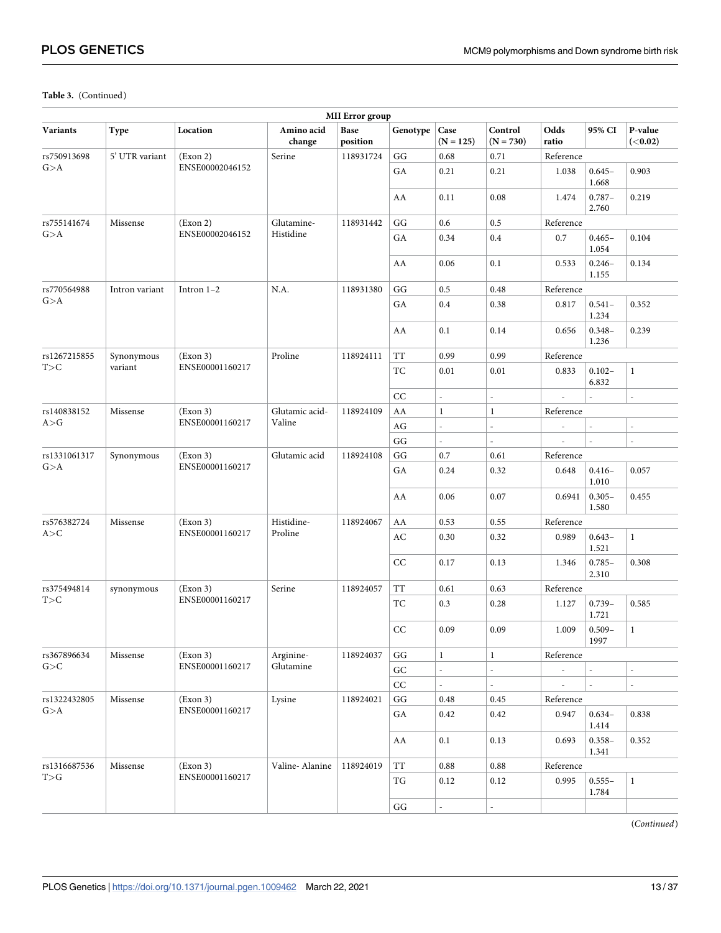| <b>MII</b> Error group |                |                 |                      |                  |                          |                          |                          |                          |                          |                            |  |
|------------------------|----------------|-----------------|----------------------|------------------|--------------------------|--------------------------|--------------------------|--------------------------|--------------------------|----------------------------|--|
| <b>Variants</b>        | Type           | Location        | Amino acid<br>change | Base<br>position | Genotype                 | Case<br>$(N = 125)$      | Control<br>$(N = 730)$   | Odds<br>ratio            | 95% CI                   | P-value<br>( <b>0.02</b> ) |  |
| rs750913698            | 5' UTR variant | (Exon 2)        | Serine               | 118931724        | GG                       | 0.68                     | 0.71                     | Reference                |                          |                            |  |
| G>A                    |                | ENSE00002046152 |                      |                  | GA                       | 0.21                     | 0.21                     | 1.038                    | $0.645 -$<br>1.668       | 0.903                      |  |
|                        |                |                 |                      |                  | AA                       | 0.11                     | 0.08                     | 1.474                    | $0.787 -$<br>2.760       | 0.219                      |  |
| rs755141674            | Missense       | (Exon 2)        | Glutamine-           | 118931442        | GG                       | 0.6                      | 0.5                      | Reference                |                          |                            |  |
| G > A                  |                | ENSE00002046152 | Histidine            |                  | GA                       | 0.34                     | $0.4\,$                  | 0.7                      | $0.465 -$<br>1.054       | 0.104                      |  |
|                        |                |                 |                      |                  | AA                       | 0.06                     | 0.1                      | 0.533                    | $0.246 -$<br>1.155       | 0.134                      |  |
| rs770564988            | Intron variant | Intron $1-2$    | N.A.                 | 118931380        | GG                       | 0.5                      | 0.48                     | Reference                |                          |                            |  |
| G > A                  |                |                 |                      |                  | GA                       | 0.4                      | 0.38                     | 0.817                    | $0.541 -$<br>1.234       | 0.352                      |  |
|                        |                |                 |                      |                  | AA                       | 0.1                      | 0.14                     | 0.656                    | $0.348 -$<br>1.236       | 0.239                      |  |
| rs1267215855           | Synonymous     | (Exon 3)        | Proline              | 118924111        | TT                       | 0.99                     | 0.99                     | Reference                |                          |                            |  |
| T>C                    | variant        | ENSE00001160217 |                      |                  | TC                       | 0.01                     | 0.01                     | 0.833                    | $0.102 -$<br>6.832       | $\mathbf{1}$               |  |
|                        |                |                 |                      |                  | CC                       | $\overline{a}$           | $\overline{\phantom{a}}$ | $\overline{\phantom{a}}$ | $\overline{\phantom{a}}$ | $\overline{\phantom{a}}$   |  |
| rs140838152            | Missense       | (Exon 3)        | Glutamic acid-       | 118924109        | AA                       | $\mathbf{1}$             | 1                        | Reference                |                          |                            |  |
| A>G                    |                | ENSE00001160217 | Valine               |                  | AG                       | $\overline{a}$           | $\mathbb{L}$             |                          |                          |                            |  |
|                        |                |                 |                      |                  | GG                       | $\overline{a}$           | $\mathbf{r}$             |                          |                          |                            |  |
| rs1331061317           | Synonymous     | (Exon 3)        | Glutamic acid        | 118924108        | $\mathbf{G}\mathbf{G}$   | $0.7\,$                  | 0.61                     | Reference                |                          |                            |  |
| G > A                  |                | ENSE00001160217 |                      |                  | GA                       | 0.24                     | 0.32                     | 0.648                    | $0.416 -$<br>1.010       | 0.057                      |  |
|                        |                |                 |                      | AA               | 0.06                     | 0.07                     | 0.6941                   | $0.305 -$<br>1.580       | 0.455                    |                            |  |
| rs576382724            | Missense       | (Exon 3)        | Histidine-           | 118924067        | AA                       | 0.53                     | 0.55                     | Reference                |                          |                            |  |
| A > C                  |                | ENSE00001160217 | Proline              |                  | AC                       | 0.30                     | 0.32                     | 0.989                    | $0.643 -$<br>1.521       | $\mathbf{1}$               |  |
|                        |                |                 |                      |                  | CC                       | 0.17                     | 0.13                     | 1.346                    | $0.785 -$<br>2.310       | 0.308                      |  |
| rs375494814            | synonymous     | (Exon 3)        | Serine               | 118924057        | <b>TT</b>                | 0.61                     | 0.63                     | Reference                |                          |                            |  |
| T>C                    |                | ENSE00001160217 |                      |                  | TC                       | 0.3                      | 0.28                     | 1.127                    | $0.739 -$<br>1.721       | 0.585                      |  |
|                        |                |                 |                      |                  | CC                       | 0.09                     | 0.09                     | 1.009                    | $0.509 -$<br>1997        | $\mathbf{1}$               |  |
| rs367896634            | Missense       | (Exon 3)        | Arginine-            | 118924037        | GG                       | $\mathbf{1}$             | $\mathbf{1}$             | Reference                |                          |                            |  |
| G>C                    |                | ENSE00001160217 | Glutamine            |                  | ${\rm GC}$               | $\overline{\phantom{a}}$ | L,                       |                          |                          |                            |  |
|                        |                |                 |                      |                  | $\rm CC$                 | $\overline{\phantom{a}}$ | $\Box$                   |                          |                          | $\overline{\phantom{a}}$   |  |
| rs1322432805           | Missense       | (Exon 3)        | Lysine               | 118924021        | $\mathbf{G}\mathbf{G}$   | 0.48                     | 0.45                     | Reference                |                          |                            |  |
| G>A                    |                | ENSE00001160217 |                      |                  | ${\rm GA}$               | 0.42                     | 0.42                     | 0.947                    | $0.634-$<br>1.414        | 0.838                      |  |
|                        |                |                 |                      |                  | AA                       | 0.1                      | 0.13                     | 0.693                    | $0.358 -$<br>1.341       | 0.352                      |  |
| rs1316687536           | Missense       | (Exon 3)        | Valine-Alanine       | 118924019        | $\operatorname{TT}$      | 0.88                     | 0.88                     | ${\rm Reference}$        |                          |                            |  |
| T>G                    |                | ENSE00001160217 |                      |                  | $\mathcal{T}\mathcal{G}$ | 0.12                     | 0.12                     | 0.995                    | $0.555 -$<br>1.784       | $\mathbf{1}$               |  |
|                        |                |                 |                      |                  | $\mathbf{G}\mathbf{G}$   |                          | $\overline{a}$           |                          |                          |                            |  |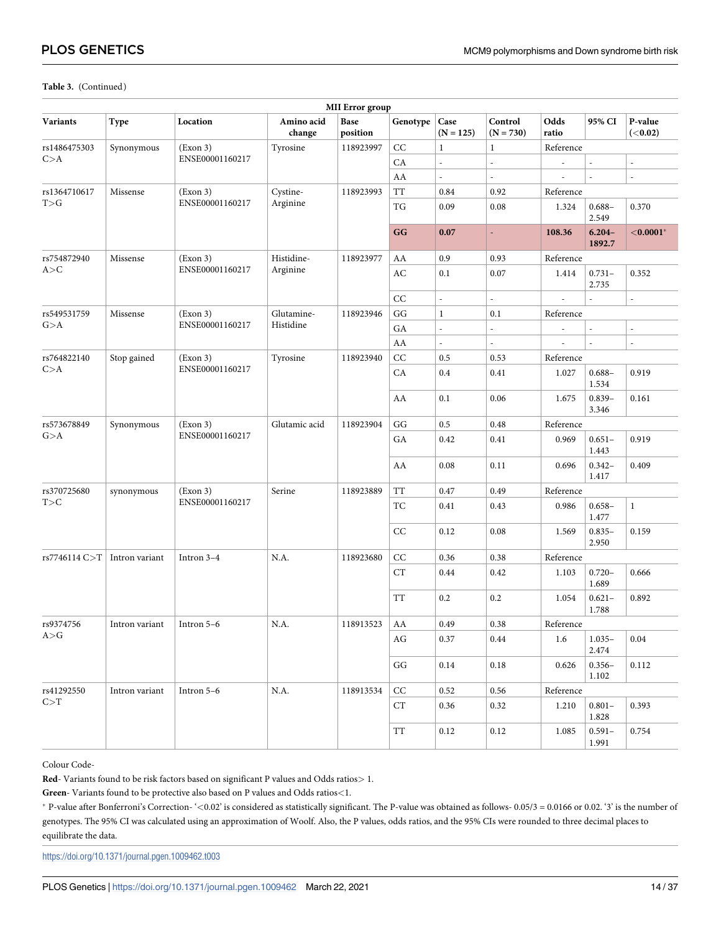| <b>MII</b> Error group |                |                           |                      |                  |                        |                          |                          |                    |                          |                            |       |
|------------------------|----------------|---------------------------|----------------------|------------------|------------------------|--------------------------|--------------------------|--------------------|--------------------------|----------------------------|-------|
| <b>Variants</b>        | Type           | Location                  | Amino acid<br>change | Base<br>position | Genotype               | Case<br>$(N = 125)$      | Control<br>$(N = 730)$   | Odds<br>ratio      | 95% CI                   | P-value<br>( <b>0.02</b> ) |       |
| rs1486475303           | Synonymous     | (Exon 3)                  | Tyrosine             | 118923997        | CC                     | $\mathbf{1}$             | $\mathbf{1}$             | Reference          |                          |                            |       |
| C > A                  |                | ENSE00001160217           |                      |                  | CA                     | $\overline{a}$           | L,                       |                    |                          | $\overline{\phantom{a}}$   |       |
|                        |                |                           |                      |                  | AA                     |                          |                          |                    |                          | L.                         |       |
| rs1364710617           | Missense       | (Exon 3)                  | Cystine-             | 118923993        | <b>TT</b>              | 0.84                     | 0.92                     | Reference          |                          |                            |       |
| T>G                    |                | ENSE00001160217           | Arginine             |                  | TG                     | 0.09                     | 0.08                     | 1.324              | $0.688 -$<br>2.549       | 0.370                      |       |
|                        |                |                           |                      |                  | GG                     | 0.07                     | L.                       | 108.36             | $6.204 -$<br>1892.7      | $< 0.0001$ *               |       |
| rs754872940            | Missense       | (Exon 3)                  | Histidine-           | 118923977        | AA                     | 0.9                      | 0.93                     | Reference          |                          |                            |       |
| A > C                  |                | ENSE00001160217           | Arginine             |                  | AC                     | 0.1                      | 0.07                     | 1.414              | $0.731 -$<br>2.735       | 0.352                      |       |
|                        |                |                           |                      |                  | CC                     | $\overline{a}$           | $\overline{a}$           |                    |                          |                            |       |
| rs549531759            | Missense       | (Exon 3)                  | Glutamine-           | 118923946        | GG                     | $\mathbf{1}$             | 0.1                      | Reference          |                          |                            |       |
| G>A                    |                | ENSE00001160217           | Histidine            |                  | GA                     | $\overline{\phantom{a}}$ | $\overline{\phantom{0}}$ |                    | $\overline{\phantom{m}}$ | $\overline{\phantom{a}}$   |       |
|                        |                |                           |                      |                  | AA                     | $\overline{a}$           | $\overline{\phantom{a}}$ | $\overline{a}$     |                          | $\overline{\phantom{a}}$   |       |
| rs764822140            | Stop gained    | (Exon 3)                  | Tyrosine             | 118923940        | CC                     | 0.5                      | 0.53                     | Reference          |                          |                            |       |
| C > A                  |                | ENSE00001160217           |                      |                  |                        | CA                       | 0.4                      | 0.41               | 1.027                    | $0.688 -$<br>1.534         | 0.919 |
|                        |                |                           |                      | AA               | 0.1                    | 0.06                     | 1.675                    | $0.839 -$<br>3.346 | 0.161                    |                            |       |
| rs573678849            | Synonymous     | (Exon 3)<br>Glutamic acid |                      | 118923904        | GG                     | 0.5                      | 0.48                     | Reference          |                          |                            |       |
| G>A                    |                | ENSE00001160217           |                      |                  | GA                     | 0.42                     | 0.41                     | 0.969              | $0.651 -$<br>1.443       | 0.919                      |       |
|                        |                |                           |                      |                  | AA                     | 0.08                     | 0.11                     | 0.696              | $0.342 -$<br>1.417       | 0.409                      |       |
| rs370725680            | synonymous     | (Exon 3)                  | Serine               | 118923889        | TT                     | 0.47                     | 0.49                     | Reference          |                          |                            |       |
| T>C                    |                | ENSE00001160217           |                      |                  | TC                     | 0.41                     | 0.43                     | 0.986              | $0.658 -$<br>1.477       | $\mathbf{1}$               |       |
|                        |                |                           |                      |                  | CC                     | 0.12                     | 0.08                     | 1.569              | $0.835 -$<br>2.950       | 0.159                      |       |
| rs7746114 C>T          | Intron variant | Intron 3-4                | N.A.                 | 118923680        | CC                     | 0.36                     | 0.38                     | Reference          |                          |                            |       |
|                        |                |                           |                      |                  | CT                     | 0.44                     | 0.42                     | 1.103              | $0.720 -$<br>1.689       | 0.666                      |       |
|                        |                |                           |                      |                  | TT                     | 0.2                      | 0.2                      | 1.054              | $0.621 -$<br>1.788       | 0.892                      |       |
| rs9374756              | Intron variant | Intron 5-6                | N.A.                 | 118913523        | AA                     | 0.49                     | 0.38                     | Reference          |                          |                            |       |
| A>G                    |                |                           |                      |                  | AG                     | 0.37                     | 0.44                     | 1.6                | $1.035-$<br>2.474        | 0.04                       |       |
|                        |                |                           |                      |                  | $\mathbf{G}\mathbf{G}$ | $0.14\,$                 | $0.18\,$                 | 0.626              | $0.356 -$<br>1.102       | 0.112                      |       |
| rs41292550             | Intron variant | Intron 5-6                | N.A.                 | 118913534        | CC                     | 0.52                     | 0.56                     | Reference          |                          |                            |       |
| C > T                  |                |                           |                      |                  | CT                     | 0.36                     | 0.32                     | 1.210              | $0.801 -$<br>1.828       | 0.393                      |       |
|                        |                |                           |                      |                  | $\operatorname{TT}$    | 0.12                     | 0.12                     | 1.085              | $0.591 -$<br>1.991       | 0.754                      |       |

Colour Code-

**Red**- Variants found to be risk factors based on significant P values and Odds ratios*>* 1.

**Green**- Variants found to be protective also based on P values and Odds ratios*<*1.

� P-value after Bonferroni's Correction- '*<*0.02' is considered as statistically significant. The P-value was obtained as follows- 0.05/3 = 0.0166 or 0.02. '3' is the number of genotypes. The 95% CI was calculated using an approximation of Woolf. Also, the P values, odds ratios, and the 95% CIs were rounded to three decimal places to equilibrate the data.

<https://doi.org/10.1371/journal.pgen.1009462.t003>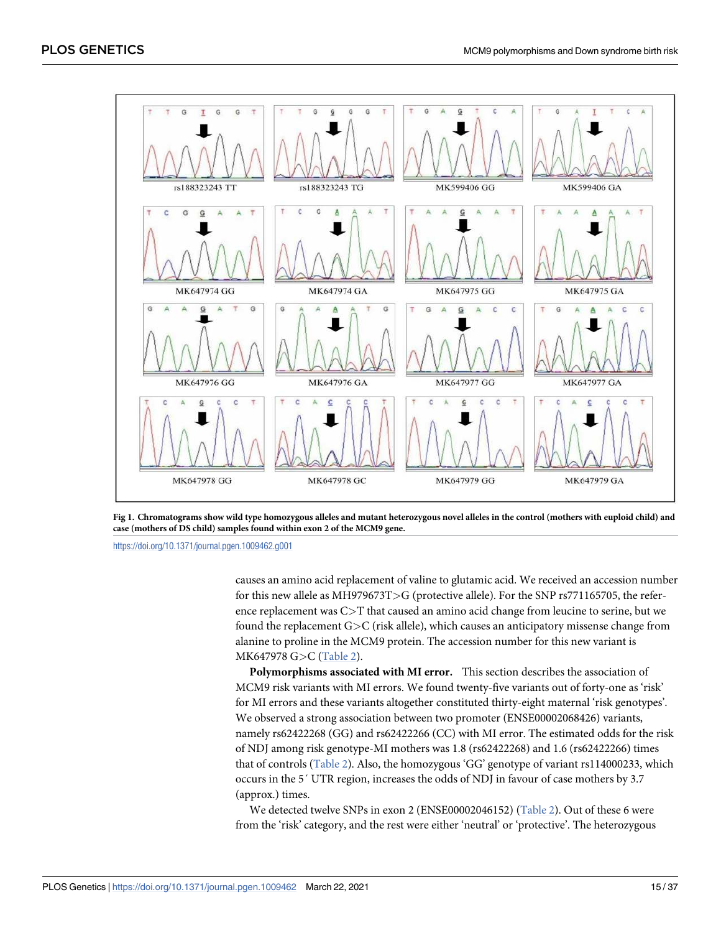<span id="page-14-0"></span>

**[Fig 1. C](#page-9-0)hromatograms show wild type homozygous alleles and mutant heterozygous novel alleles in the control (mothers with euploid child) and case (mothers of DS child) samples found within exon 2 of the MCM9 gene.**

<https://doi.org/10.1371/journal.pgen.1009462.g001>

causes an amino acid replacement of valine to glutamic acid. We received an accession number for this new allele as MH979673T*>*G (protective allele). For the SNP rs771165705, the reference replacement was C*>*T that caused an amino acid change from leucine to serine, but we found the replacement G*>*C (risk allele), which causes an anticipatory missense change from alanine to proline in the MCM9 protein. The accession number for this new variant is MK647978 G*>*C [\(Table 2\)](#page-5-0).

**Polymorphisms associated with MI error.** This section describes the association of MCM9 risk variants with MI errors. We found twenty-five variants out of forty-one as 'risk' for MI errors and these variants altogether constituted thirty-eight maternal 'risk genotypes'. We observed a strong association between two promoter (ENSE00002068426) variants, namely rs62422268 (GG) and rs62422266 (CC) with MI error. The estimated odds for the risk of NDJ among risk genotype-MI mothers was 1.8 (rs62422268) and 1.6 (rs62422266) times that of controls [\(Table 2](#page-5-0)). Also, the homozygous 'GG' genotype of variant rs114000233, which occurs in the 5´ UTR region, increases the odds of NDJ in favour of case mothers by 3.7 (approx.) times.

We detected twelve SNPs in exon 2 (ENSE00002046152) [\(Table 2](#page-5-0)). Out of these 6 were from the 'risk' category, and the rest were either 'neutral' or 'protective'. The heterozygous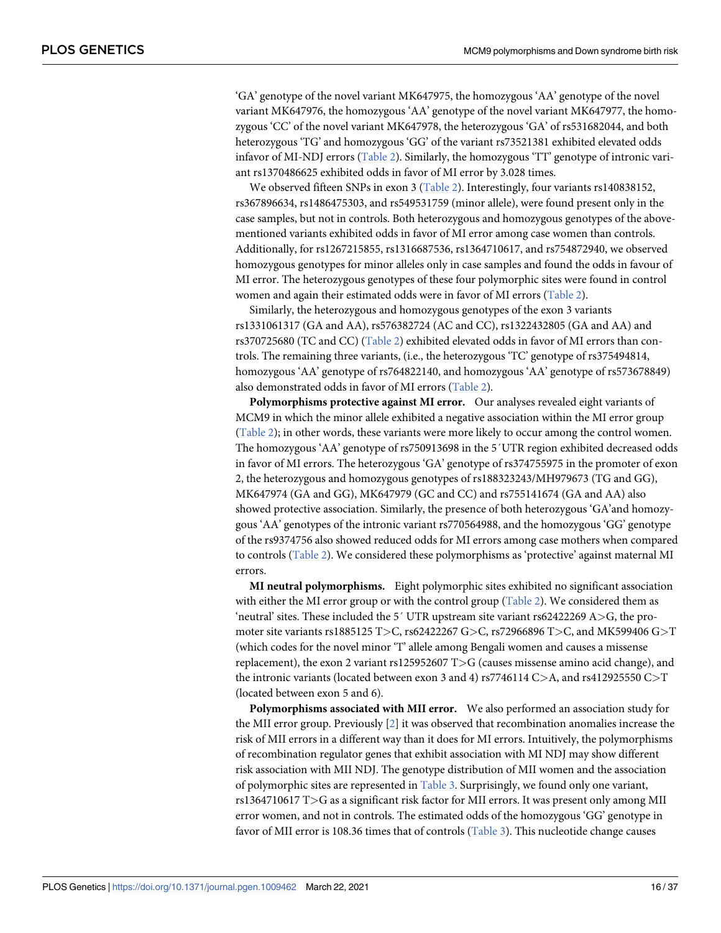'GA' genotype of the novel variant MK647975, the homozygous 'AA' genotype of the novel variant MK647976, the homozygous 'AA' genotype of the novel variant MK647977, the homozygous 'CC' of the novel variant MK647978, the heterozygous 'GA' of rs531682044, and both heterozygous 'TG' and homozygous 'GG' of the variant rs73521381 exhibited elevated odds infavor of MI-NDJ errors ([Table 2\)](#page-5-0). Similarly, the homozygous 'TT' genotype of intronic variant rs1370486625 exhibited odds in favor of MI error by 3.028 times.

We observed fifteen SNPs in exon 3  $(Table 2)$ . Interestingly, four variants rs140838152, rs367896634, rs1486475303, and rs549531759 (minor allele), were found present only in the case samples, but not in controls. Both heterozygous and homozygous genotypes of the abovementioned variants exhibited odds in favor of MI error among case women than controls. Additionally, for rs1267215855, rs1316687536, rs1364710617, and rs754872940, we observed homozygous genotypes for minor alleles only in case samples and found the odds in favour of MI error. The heterozygous genotypes of these four polymorphic sites were found in control women and again their estimated odds were in favor of MI errors ([Table 2](#page-5-0)).

Similarly, the heterozygous and homozygous genotypes of the exon 3 variants rs1331061317 (GA and AA), rs576382724 (AC and CC), rs1322432805 (GA and AA) and rs370725680 (TC and CC) [\(Table 2](#page-5-0)) exhibited elevated odds in favor of MI errors than controls. The remaining three variants, (i.e., the heterozygous 'TC' genotype of rs375494814, homozygous 'AA' genotype of rs764822140, and homozygous 'AA' genotype of rs573678849) also demonstrated odds in favor of MI errors [\(Table 2](#page-5-0)).

**Polymorphisms protective against MI error.** Our analyses revealed eight variants of MCM9 in which the minor allele exhibited a negative association within the MI error group [\(Table 2\)](#page-5-0); in other words, these variants were more likely to occur among the control women. The homozygous 'AA' genotype of rs750913698 in the 5´UTR region exhibited decreased odds in favor of MI errors. The heterozygous 'GA' genotype of rs374755975 in the promoter of exon 2, the heterozygous and homozygous genotypes of rs188323243/MH979673 (TG and GG), MK647974 (GA and GG), MK647979 (GC and CC) and rs755141674 (GA and AA) also showed protective association. Similarly, the presence of both heterozygous 'GA'and homozygous 'AA' genotypes of the intronic variant rs770564988, and the homozygous 'GG' genotype of the rs9374756 also showed reduced odds for MI errors among case mothers when compared to controls [\(Table 2\)](#page-5-0). We considered these polymorphisms as 'protective' against maternal MI errors.

**MI neutral polymorphisms.** Eight polymorphic sites exhibited no significant association with either the MI error group or with the control group  $(Table 2)$  $(Table 2)$ . We considered them as 'neutral' sites. These included the 5´ UTR upstream site variant rs62422269 A*>*G, the promoter site variants rs1885125 T*>*C, rs62422267 G*>*C, rs72966896 T*>*C, and MK599406 G*>*T (which codes for the novel minor 'T' allele among Bengali women and causes a missense replacement), the exon 2 variant rs125952607 T*>*G (causes missense amino acid change), and the intronic variants (located between exon 3 and 4) rs7746114 C*>*A, and rs412925550 C*>*T (located between exon 5 and 6).

**Polymorphisms associated with MII error.** We also performed an association study for the MII error group. Previously  $[2]$  $[2]$  it was observed that recombination anomalies increase the risk of MII errors in a different way than it does for MI errors. Intuitively, the polymorphisms of recombination regulator genes that exhibit association with MI NDJ may show different risk association with MII NDJ. The genotype distribution of MII women and the association of polymorphic sites are represented in [Table 3](#page-10-0). Surprisingly, we found only one variant, rs1364710617 T*>*G as a significant risk factor for MII errors. It was present only among MII error women, and not in controls. The estimated odds of the homozygous 'GG' genotype in favor of MII error is 108.36 times that of controls [\(Table 3](#page-10-0)). This nucleotide change causes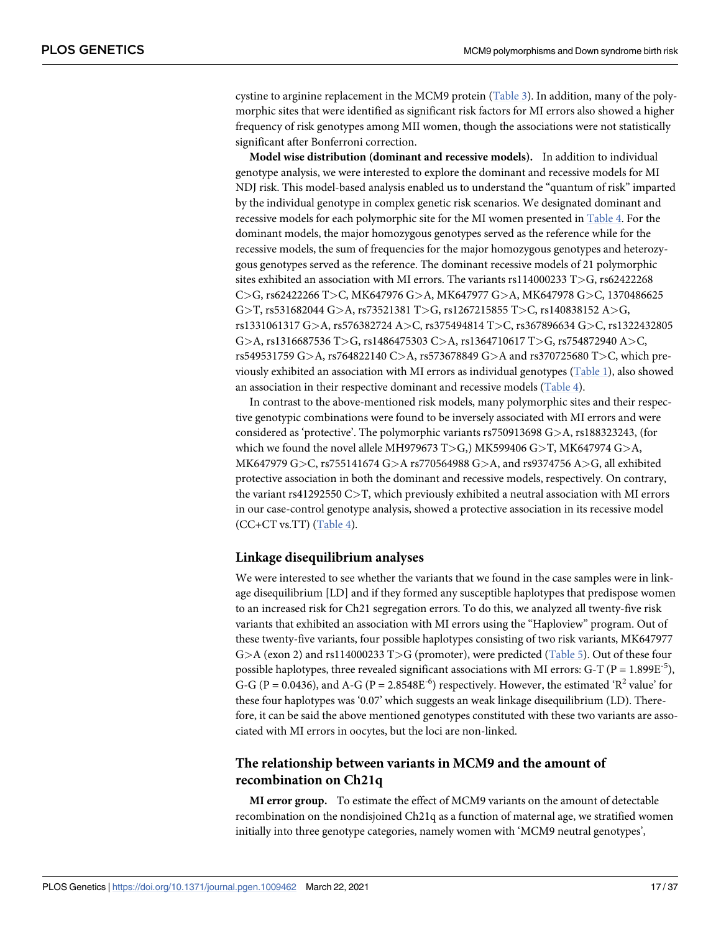<span id="page-16-0"></span>cystine to arginine replacement in the MCM9 protein ([Table 3\)](#page-10-0). In addition, many of the polymorphic sites that were identified as significant risk factors for MI errors also showed a higher frequency of risk genotypes among MII women, though the associations were not statistically significant after Bonferroni correction.

**Model wise distribution (dominant and recessive models).** In addition to individual genotype analysis, we were interested to explore the dominant and recessive models for MI NDJ risk. This model-based analysis enabled us to understand the "quantum of risk" imparted by the individual genotype in complex genetic risk scenarios. We designated dominant and recessive models for each polymorphic site for the MI women presented in [Table 4.](#page-17-0) For the dominant models, the major homozygous genotypes served as the reference while for the recessive models, the sum of frequencies for the major homozygous genotypes and heterozygous genotypes served as the reference. The dominant recessive models of 21 polymorphic sites exhibited an association with MI errors. The variants rs114000233 T*>*G, rs62422268 C*>*G, rs62422266 T*>*C, MK647976 G*>*A, MK647977 G*>*A, MK647978 G*>*C, 1370486625 G*>*T, rs531682044 G*>*A, rs73521381 T*>*G, rs1267215855 T*>*C, rs140838152 A*>*G, rs1331061317 G*>*A, rs576382724 A*>*C, rs375494814 T*>*C, rs367896634 G*>*C, rs1322432805 G*>*A, rs1316687536 T*>*G, rs1486475303 C*>*A, rs1364710617 T*>*G, rs754872940 A*>*C, rs549531759 G*>*A, rs764822140 C*>*A, rs573678849 G*>*A and rs370725680 T*>*C, which previously exhibited an association with MI errors as individual genotypes [\(Table 1\)](#page-3-0), also showed an association in their respective dominant and recessive models [\(Table 4\)](#page-17-0).

In contrast to the above-mentioned risk models, many polymorphic sites and their respective genotypic combinations were found to be inversely associated with MI errors and were considered as 'protective'. The polymorphic variants rs750913698 G*>*A, rs188323243, (for which we found the novel allele MH979673 T*>*G,) MK599406 G*>*T, MK647974 G*>*A, MK647979 G*>*C, rs755141674 G*>*A rs770564988 G*>*A, and rs9374756 A*>*G, all exhibited protective association in both the dominant and recessive models, respectively. On contrary, the variant rs41292550 C*>*T, which previously exhibited a neutral association with MI errors in our case-control genotype analysis, showed a protective association in its recessive model (CC+CT vs.TT) [\(Table 4](#page-17-0)).

#### **Linkage disequilibrium analyses**

We were interested to see whether the variants that we found in the case samples were in linkage disequilibrium [LD] and if they formed any susceptible haplotypes that predispose women to an increased risk for Ch21 segregation errors. To do this, we analyzed all twenty-five risk variants that exhibited an association with MI errors using the "Haploview" program. Out of these twenty-five variants, four possible haplotypes consisting of two risk variants, MK647977 G*>*A (exon 2) and rs114000233 T*>*G (promoter), were predicted [\(Table 5](#page-19-0)). Out of these four possible haplotypes, three revealed significant associations with MI errors: G-T ( $P = 1.899E^{-5}$ ), G-G (P = 0.0436), and A-G (P = 2.8548E<sup>-6</sup>) respectively. However, the estimated 'R<sup>2</sup> value' for these four haplotypes was '0.07' which suggests an weak linkage disequilibrium (LD). Therefore, it can be said the above mentioned genotypes constituted with these two variants are associated with MI errors in oocytes, but the loci are non-linked.

# **The relationship between variants in MCM9 and the amount of recombination on Ch21q**

**MI error group.** To estimate the effect of MCM9 variants on the amount of detectable recombination on the nondisjoined Ch21q as a function of maternal age, we stratified women initially into three genotype categories, namely women with 'MCM9 neutral genotypes',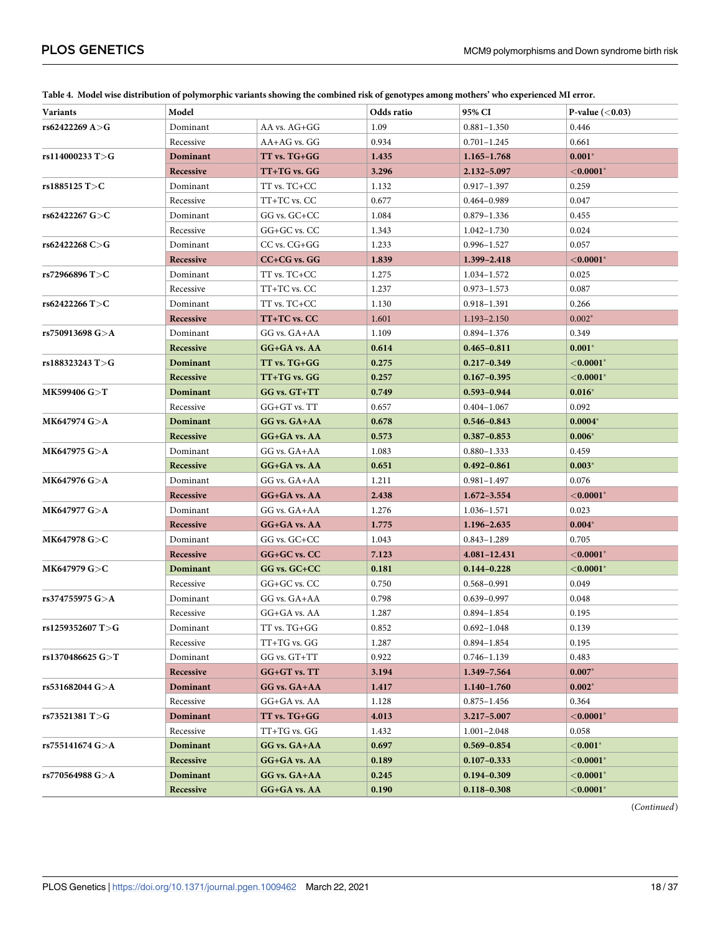| <b>Variants</b>     | Model           |                  | Odds ratio | 95% CI          | P-value $(0.03)$   |
|---------------------|-----------------|------------------|------------|-----------------|--------------------|
| rs62422269 A>G      | Dominant        | AA vs. AG+GG     | 1.09       | $0.881 - 1.350$ | 0.446              |
|                     | Recessive       | $AA+AG$ vs. $GG$ | 0.934      | $0.701 - 1.245$ | 0.661              |
| rs114000233 T>G     | Dominant        | TT vs. TG+GG     | 1.435      | $1.165 - 1.768$ | $0.001*$           |
|                     | Recessive       | TT+TG vs. GG     | 3.296      | 2.132-5.097     | ${<}0.0001*$       |
| rs1885125 T>C       | Dominant        | TT vs. TC+CC     | 1.132      | $0.917 - 1.397$ | 0.259              |
|                     | Recessive       | TT+TC vs. CC     | 0.677      | 0.464-0.989     | 0.047              |
| rs62422267 G>C      | Dominant        | GG vs. GC+CC     | 1.084      | $0.879 - 1.336$ | 0.455              |
|                     | Recessive       | GG+GC vs. CC     | 1.343      | $1.042 - 1.730$ | 0.024              |
| rs62422268 C>G      | Dominant        | CC vs. CG+GG     | 1.233      | $0.996 - 1.527$ | 0.057              |
|                     | Recessive       | CC+CG vs. GG     | 1.839      | 1.399-2.418     | ${<}0.0001*$       |
| rs72966896 T>C      | Dominant        | TT vs. TC+CC     | 1.275      | 1.034-1.572     | 0.025              |
|                     | Recessive       | TT+TC vs. CC     | 1.237      | $0.973 - 1.573$ | 0.087              |
| rs62422266 T>C      | Dominant        | TT vs. TC+CC     | 1.130      | 0.918-1.391     | 0.266              |
|                     | Recessive       | TT+TC vs. CC     | 1.601      | 1.193-2.150     | $0.002*$           |
| rs750913698 G>A     | Dominant        | GG vs. GA+AA     | 1.109      | $0.894 - 1.376$ | 0.349              |
|                     | Recessive       | GG+GA vs. AA     | 0.614      | $0.465 - 0.811$ | $0.001*$           |
| rs188323243 T>G     | <b>Dominant</b> | TT vs. TG+GG     | 0.275      | $0.217 - 0.349$ | ${<}0.0001*$       |
|                     | Recessive       | TT+TG vs. GG     | 0.257      | $0.167 - 0.395$ | $<$ 0.0001 $^\ast$ |
| MK599406 G>T        | Dominant        | GG vs. GT+TT     | 0.749      | 0.593-0.944     | $0.016*$           |
|                     | Recessive       | $GG+GT$ vs. $TT$ | 0.657      | $0.404 - 1.067$ | 0.092              |
| MK647974 G>A        | Dominant        | GG vs. GA+AA     | 0.678      | $0.546 - 0.843$ | $0.0004*$          |
|                     | Recessive       | GG+GA vs. AA     | 0.573      | $0.387 - 0.853$ | $0.006*$           |
| MK647975 G>A        | Dominant        | GG vs. GA+AA     | 1.083      | $0.880 - 1.333$ | 0.459              |
|                     | Recessive       | GG+GA vs. AA     | 0.651      | $0.492 - 0.861$ | $0.003*$           |
| MK647976 G>A        | Dominant        | GG vs. GA+AA     | 1.211      | $0.981 - 1.497$ | 0.076              |
|                     | Recessive       | GG+GA vs. AA     | 2.438      | $1.672 - 3.554$ | ${<}0.0001*$       |
| MK647977 G>A        | Dominant        | GG vs. GA+AA     | 1.276      | 1.036-1.571     | 0.023              |
|                     | Recessive       | GG+GA vs. AA     | 1.775      | 1.196-2.635     | $0.004*$           |
| MK647978 G>C        | Dominant        | GG vs. GC+CC     | 1.043      | $0.843 - 1.289$ | 0.705              |
|                     | Recessive       | GG+GC vs. CC     | 7.123      | 4.081-12.431    | $<$ 0.0001 $^\ast$ |
| MK647979 G>C        | Dominant        | GG vs. GC+CC     | 0.181      | $0.144 - 0.228$ | $<$ 0.0001 $^\ast$ |
|                     | Recessive       | GG+GC vs. CC     | 0.750      | 0.568-0.991     | 0.049              |
| rs374755975 $G > A$ | Dominant        | GG vs. GA+AA     | 0.798      | $0.639 - 0.997$ | 0.048              |
|                     | Recessive       | GG+GA vs. AA     | 1.287      | $0.894 - 1.854$ | 0.195              |
| rs1259352607 T>G    | Dominant        | TT vs. TG+GG     | 0.852      | $0.692 - 1.048$ | 0.139              |
|                     | Recessive       | TT+TG vs. GG     | 1.287      | $0.894 - 1.854$ | 0.195              |
| rs1370486625 G>T    | Dominant        | GG vs. GT+TT     | 0.922      | $0.746 - 1.139$ | 0.483              |
|                     | Recessive       | GG+GT vs. TT     | 3.194      | 1.349-7.564     | $0.007*$           |
| rs531682044 G>A     | Dominant        | GG vs. GA+AA     | 1.417      | $1.140 - 1.760$ | $0.002*$           |
|                     | Recessive       | GG+GA vs. AA     | 1.128      | $0.875 - 1.456$ | 0.364              |
| rs73521381 $T>G$    | Dominant        | TT vs. TG+GG     | 4.013      | 3.217-5.007     | ${<}0.0001*$       |
|                     | Recessive       | TT+TG vs. GG     | 1.432      | $1.001 - 2.048$ | 0.058              |
| rs755141674 G>A     | Dominant        | GG vs. GA+AA     | 0.697      | $0.569 - 0.854$ | $<$ 0.001 $^\ast$  |
|                     | Recessive       | GG+GA vs. AA     | 0.189      | $0.107 - 0.333$ | $<$ 0.0001 $^\ast$ |
| rs770564988 G>A     | Dominant        | GG vs. GA+AA     | 0.245      | $0.194 - 0.309$ | $<$ 0.0001 $^\ast$ |
|                     | Recessive       | GG+GA vs. AA     | 0.190      | $0.118 - 0.308$ | ${<}0.0001*$       |

<span id="page-17-0"></span>**[Table 4.](#page-16-0) Model wise distribution of polymorphic variants showing the combined risk of genotypes among mothers' who experienced MI error.**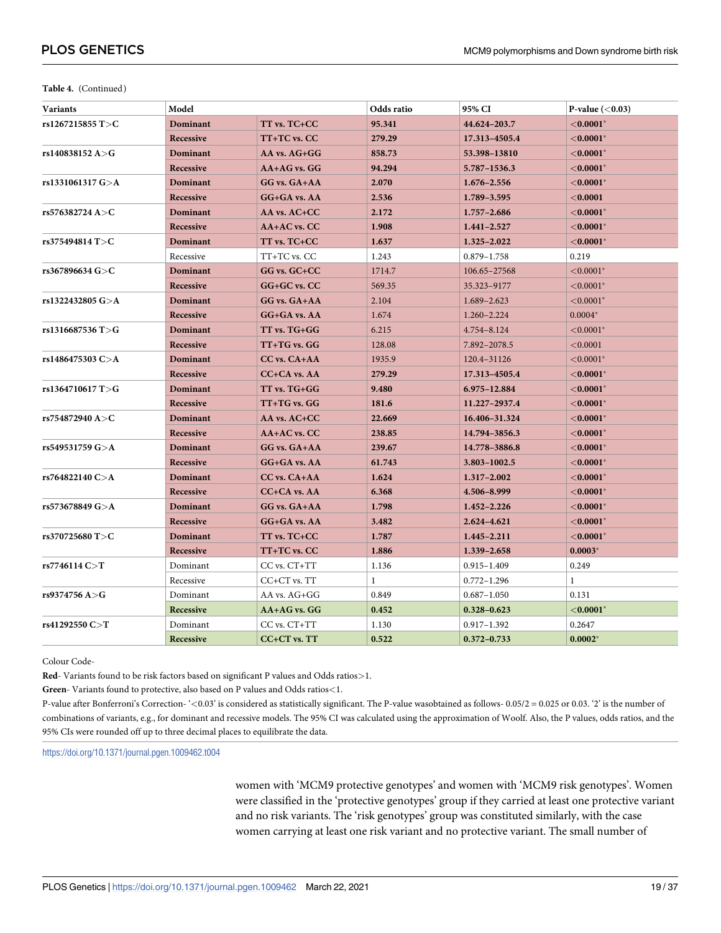| <b>Variants</b>  | Model           | Odds ratio       |              | 95% CI          | P-value $(0.03)$     |
|------------------|-----------------|------------------|--------------|-----------------|----------------------|
| rs1267215855 T>C | Dominant        | TT vs. TC+CC     | 95.341       | 44.624-203.7    | ${<}0.0001*$         |
|                  | Recessive       | TT+TC vs. CC     | 279.29       | 17.313-4505.4   | $<$ 0.0001 $^*$      |
| rs140838152 A>G  | Dominant        | AA vs. AG+GG     | 858.73       | 53.398-13810    | $<$ 0.0001 $^*$      |
|                  | Recessive       | AA+AG vs. GG     | 94.294       | 5.787-1536.3    | ${<}0.0001*$         |
| rs1331061317 G>A | Dominant        | GG vs. GA+AA     | 2.070        | $1.676 - 2.556$ | $<$ 0.0001 $^*$      |
|                  | Recessive       | GG+GA vs. AA     | 2.536        | 1.789-3.595     | $<$ 0.0001           |
| rs576382724 A>C  | Dominant        | AA vs. AC+CC     | 2.172        | $1.757 - 2.686$ | ${<}0.0001*$         |
|                  | Recessive       | AA+AC vs. CC     | 1.908        | $1.441 - 2.527$ | $<$ 0.0001 $^*$      |
| rs375494814 T>C  | Dominant        | TT vs. TC+CC     | 1.637        | 1.325-2.022     | $<$ 0.0001 $^*$      |
|                  | Recessive       | TT+TC vs. CC     | 1.243        | $0.879 - 1.758$ | 0.219                |
| rs367896634 G>C  | Dominant        | GG vs. GC+CC     | 1714.7       | 106.65-27568    | $< 0.0001$ *         |
|                  | Recessive       | GG+GC vs. CC     | 569.35       | 35.323-9177     | ${<}0.0001*$         |
| rs1322432805 G>A | Dominant        | GG vs. GA+AA     | 2.104        | 1.689-2.623     | $< 0.0001*$          |
|                  | Recessive       | GG+GA vs. AA     | 1.674        | 1.260-2.224     | $0.0004*$            |
| rs1316687536 T>G | Dominant        | TT vs. TG+GG     | 6.215        | 4.754-8.124     | $< 0.0001$ *         |
|                  | Recessive       | TT+TG vs. GG     | 128.08       | 7.892-2078.5    | < 0.0001             |
| rs1486475303 C>A | Dominant        | CC vs. CA+AA     | 1935.9       | 120.4-31126     | $< 0.0001$ *         |
|                  | Recessive       | CC+CA vs. AA     | 279.29       | 17.313-4505.4   | $<$ 0.0001 $^*$      |
| rs1364710617 T>G | Dominant        | TT vs. TG+GG     | 9.480        | 6.975-12.884    | ${<}0.0001*$         |
|                  | Recessive       | $TT+TG$ vs. $GG$ | 181.6        | 11.227-2937.4   | $<$ 0.0001 $^*$      |
| rs754872940 A>C  | Dominant        | AA vs. AC+CC     | 22.669       | 16.406-31.324   | $<$ 0.0001 $^*$      |
|                  | Recessive       | AA+AC vs. CC     | 238.85       | 14.794-3856.3   | $<$ 0.0001 $^{\ast}$ |
| rs549531759 G>A  | Dominant        | GG vs. GA+AA     | 239.67       | 14.778-3886.8   | $<$ 0.0001 $^*$      |
|                  | Recessive       | GG+GA vs. AA     | 61.743       | 3.803-1002.5    | ${<}0.0001*$         |
| rs764822140 C>A  | <b>Dominant</b> | CC vs. CA+AA     | 1.624        | 1.317-2.002     | ${<}0.0001*$         |
|                  | Recessive       | CC+CA vs. AA     | 6.368        | 4.506-8.999     | ${<}0.0001*$         |
| rs573678849 G>A  | Dominant        | GG vs. GA+AA     | 1.798        | $1.452 - 2.226$ | $<$ 0.0001 $^*$      |
|                  | Recessive       | GG+GA vs. AA     | 3.482        | 2.624-4.621     | ${<}0.0001*$         |
| rs370725680 T>C  | Dominant        | TT vs. TC+CC     | 1.787        | 1.445-2.211     | ${<}0.0001*$         |
|                  | Recessive       | TT+TC vs. CC     | 1.886        | 1.339-2.658     | $0.0003*$            |
| rs7746114 $C>T$  | Dominant        | CC vs. CT+TT     | 1.136        | $0.915 - 1.409$ | 0.249                |
|                  | Recessive       | CC+CT vs. TT     | $\mathbf{1}$ | $0.772 - 1.296$ | $\mathbf{1}$         |
| rs9374756 A>G    | Dominant        | AA vs. AG+GG     | 0.849        | $0.687 - 1.050$ | 0.131                |
|                  | Recessive       | AA+AG vs. GG     | 0.452        | $0.328 - 0.623$ | ${<}0.0001*$         |
| rs41292550 C>T   | Dominant        | CC vs. CT+TT     | 1.130        | $0.917 - 1.392$ | 0.2647               |
|                  | Recessive       | $CC+CT$ vs. $TT$ | 0.522        | $0.372 - 0.733$ | $0.0002*$            |

Colour Code-

**Red**- Variants found to be risk factors based on significant P values and Odds ratios*>*1.

**Green**- Variants found to protective, also based on P values and Odds ratios*<*1.

P-value after Bonferroni's Correction- '*<*0.03' is considered as statistically significant. The P-value wasobtained as follows- 0.05/2 = 0.025 or 0.03. '2' is the number of combinations of variants, e.g., for dominant and recessive models. The 95% CI was calculated using the approximation of Woolf. Also, the P values, odds ratios, and the 95% CIs were rounded off up to three decimal places to equilibrate the data.

<https://doi.org/10.1371/journal.pgen.1009462.t004>

women with 'MCM9 protective genotypes' and women with 'MCM9 risk genotypes'. Women were classified in the 'protective genotypes' group if they carried at least one protective variant and no risk variants. The 'risk genotypes' group was constituted similarly, with the case women carrying at least one risk variant and no protective variant. The small number of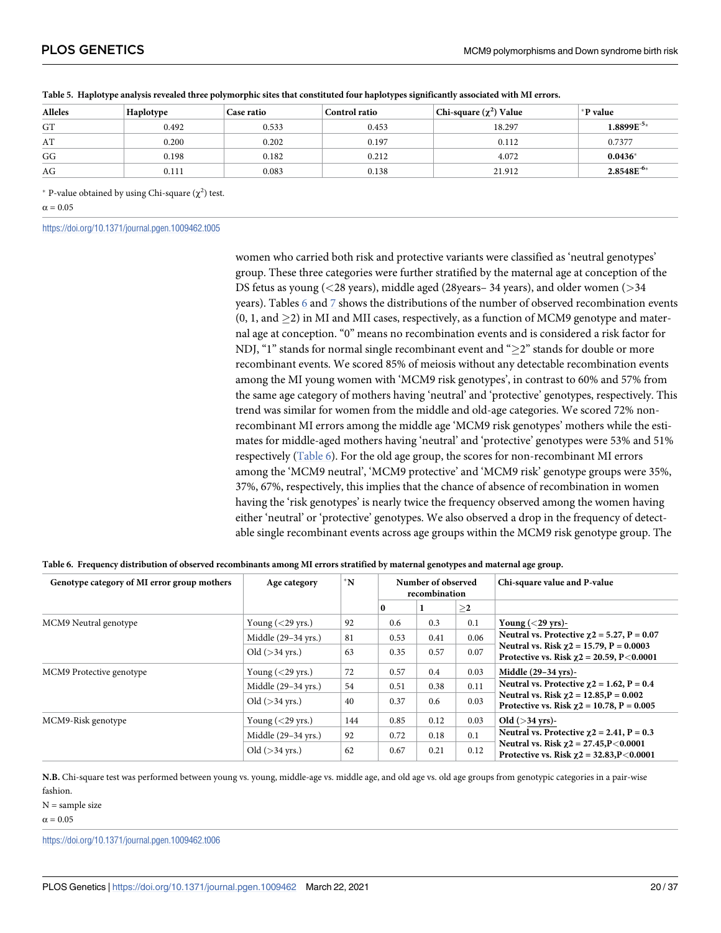| <b>Alleles</b> | Haplotype | Case ratio | <b>Control ratio</b> | Chi-square $(\chi^2)$ Value | *P value        |
|----------------|-----------|------------|----------------------|-----------------------------|-----------------|
| GT             | 0.492     | 0.533      | 0.453                | 18.297                      | $1.8899E^{-5*}$ |
| AT             | 0.200     | 0.202      | 0.197                | 0.112                       | 0.7377          |
| GG             | 0.198     | 0.182      | 0.212                | 4.072                       | $0.0436*$       |
| AG             | 0.111     | 0.083      | 0.138                | 21.912                      | $2.8548E^{-6*}$ |

<span id="page-19-0"></span>

|  |  |  |  | Table 5. Haplotype analysis revealed three polymorphic sites that constituted four haplotypes significantly associated with MI errors. |
|--|--|--|--|----------------------------------------------------------------------------------------------------------------------------------------|
|--|--|--|--|----------------------------------------------------------------------------------------------------------------------------------------|

\* P-value obtained by using Chi-square  $(\chi^2)$  test.

 $\alpha = 0.05$ 

<https://doi.org/10.1371/journal.pgen.1009462.t005>

women who carried both risk and protective variants were classified as 'neutral genotypes' group. These three categories were further stratified by the maternal age at conception of the DS fetus as young (*<*28 years), middle aged (28years– 34 years), and older women (*>*34 years). Tables  $6$  and  $7$  shows the distributions of the number of observed recombination events  $(0, 1, \text{ and } \geq 2)$  in MI and MII cases, respectively, as a function of MCM9 genotype and maternal age at conception. "0" means no recombination events and is considered a risk factor for NDJ, "1" stands for normal single recombinant event and " $\geq$ 2" stands for double or more recombinant events. We scored 85% of meiosis without any detectable recombination events among the MI young women with 'MCM9 risk genotypes', in contrast to 60% and 57% from the same age category of mothers having 'neutral' and 'protective' genotypes, respectively. This trend was similar for women from the middle and old-age categories. We scored 72% nonrecombinant MI errors among the middle age 'MCM9 risk genotypes' mothers while the estimates for middle-aged mothers having 'neutral' and 'protective' genotypes were 53% and 51% respectively (Table  $6$ ). For the old age group, the scores for non-recombinant MI errors among the 'MCM9 neutral', 'MCM9 protective' and 'MCM9 risk' genotype groups were 35%, 37%, 67%, respectively, this implies that the chance of absence of recombination in women having the 'risk genotypes' is nearly twice the frequency observed among the women having either 'neutral' or 'protective' genotypes. We also observed a drop in the frequency of detectable single recombinant events across age groups within the MCM9 risk genotype group. The

|  |  |  | Table 6. Frequency distribution of observed recombinants among MI errors stratified by maternal genotypes and maternal age group. |  |  |
|--|--|--|-----------------------------------------------------------------------------------------------------------------------------------|--|--|
|  |  |  |                                                                                                                                   |  |  |

| Genotype category of MI error group mothers | Age category        | $^*N$ |          | Number of observed<br>recombination |        | Chi-square value and P-value                                                                    |  |
|---------------------------------------------|---------------------|-------|----------|-------------------------------------|--------|-------------------------------------------------------------------------------------------------|--|
|                                             |                     |       | $\bf{0}$ |                                     | $\geq$ |                                                                                                 |  |
| MCM9 Neutral genotype                       | Young $(<$ 29 yrs.) | 92    | 0.6      | 0.3                                 | 0.1    | Young $(<$ 29 yrs)-                                                                             |  |
|                                             | Middle (29-34 yrs.) | 81    | 0.53     | 0.41                                | 0.06   | Neutral vs. Protective $\chi$ 2 = 5.27, P = 0.07                                                |  |
|                                             | Old $($ >34 yrs.)   | 63    | 0.35     | 0.57                                | 0.07   | Neutral vs. Risk $\chi$ 2 = 15.79, P = 0.0003<br>Protective vs. Risk $\chi$ 2 = 20.59, P<0.0001 |  |
| MCM9 Protective genotype                    | Young $(<$ 29 yrs.) | 72    | 0.57     | 0.4                                 | 0.03   | Middle (29-34 yrs)-                                                                             |  |
|                                             | Middle (29-34 yrs.) | 54    | 0.51     | 0.38                                | 0.11   | Neutral vs. Protective $\chi$ 2 = 1.62, P = 0.4                                                 |  |
|                                             | Old $($ >34 yrs.)   | 40    | 0.37     | 0.6                                 | 0.03   | Neutral vs. Risk $\chi$ 2 = 12.85, P = 0.002<br>Protective vs. Risk $\chi$ 2 = 10.78, P = 0.005 |  |
| MCM9-Risk genotype                          | Young $(<$ 29 yrs.) | 144   | 0.85     | 0.12                                | 0.03   | Old $($ >34 yrs)-                                                                               |  |
|                                             | Middle (29-34 yrs.) | 92    | 0.72     | 0.18                                | 0.1    | Neutral vs. Protective $\chi$ 2 = 2.41, P = 0.3                                                 |  |
|                                             | Old $($ >34 yrs.)   | 62    | 0.67     | 0.21                                | 0.12   | Neutral vs. Risk $\chi$ 2 = 27.45, P < 0.0001<br>Protective vs. Risk $\chi$ 2 = 32.83,P<0.0001  |  |

**N.B.** Chi-square test was performed between young vs. young, middle-age vs. middle age, and old age vs. old age groups from genotypic categories in a pair-wise fashion.

 $N =$ sample size

 $\alpha = 0.05$ 

<https://doi.org/10.1371/journal.pgen.1009462.t006>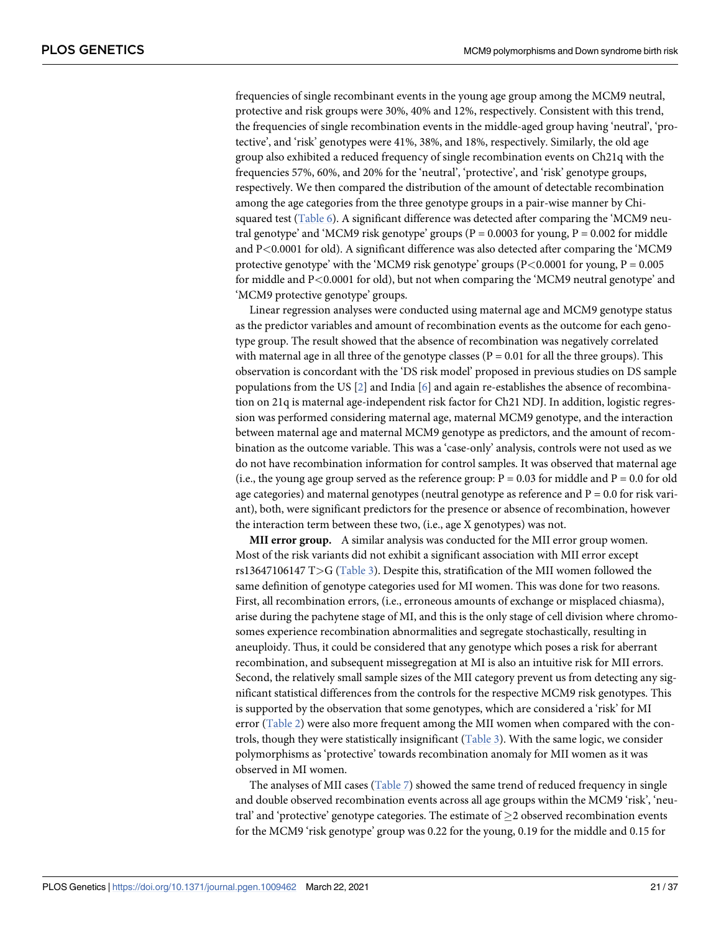frequencies of single recombinant events in the young age group among the MCM9 neutral, protective and risk groups were 30%, 40% and 12%, respectively. Consistent with this trend, the frequencies of single recombination events in the middle-aged group having 'neutral', 'protective', and 'risk' genotypes were 41%, 38%, and 18%, respectively. Similarly, the old age group also exhibited a reduced frequency of single recombination events on Ch21q with the frequencies 57%, 60%, and 20% for the 'neutral', 'protective', and 'risk' genotype groups, respectively. We then compared the distribution of the amount of detectable recombination among the age categories from the three genotype groups in a pair-wise manner by Chi-squared test [\(Table 6](#page-19-0)). A significant difference was detected after comparing the 'MCM9 neutral genotype' and 'MCM9 risk genotype' groups ( $P = 0.0003$  for young,  $P = 0.002$  for middle and P*<*0.0001 for old). A significant difference was also detected after comparing the 'MCM9 protective genotype' with the 'MCM9 risk genotype' groups (P*<*0.0001 for young, P = 0.005 for middle and P*<*0.0001 for old), but not when comparing the 'MCM9 neutral genotype' and 'MCM9 protective genotype' groups.

Linear regression analyses were conducted using maternal age and MCM9 genotype status as the predictor variables and amount of recombination events as the outcome for each genotype group. The result showed that the absence of recombination was negatively correlated with maternal age in all three of the genotype classes ( $P = 0.01$  for all the three groups). This observation is concordant with the 'DS risk model' proposed in previous studies on DS sample populations from the US  $[2]$  and India  $[6]$  $[6]$  and again re-establishes the absence of recombination on 21q is maternal age-independent risk factor for Ch21 NDJ. In addition, logistic regression was performed considering maternal age, maternal MCM9 genotype, and the interaction between maternal age and maternal MCM9 genotype as predictors, and the amount of recombination as the outcome variable. This was a 'case-only' analysis, controls were not used as we do not have recombination information for control samples. It was observed that maternal age (i.e., the young age group served as the reference group:  $P = 0.03$  for middle and  $P = 0.0$  for old age categories) and maternal genotypes (neutral genotype as reference and  $P = 0.0$  for risk variant), both, were significant predictors for the presence or absence of recombination, however the interaction term between these two, (i.e., age X genotypes) was not.

**MII error group.** A similar analysis was conducted for the MII error group women. Most of the risk variants did not exhibit a significant association with MII error except rs13647106147 T*>*G [\(Table 3\)](#page-10-0). Despite this, stratification of the MII women followed the same definition of genotype categories used for MI women. This was done for two reasons. First, all recombination errors, (i.e., erroneous amounts of exchange or misplaced chiasma), arise during the pachytene stage of MI, and this is the only stage of cell division where chromosomes experience recombination abnormalities and segregate stochastically, resulting in aneuploidy. Thus, it could be considered that any genotype which poses a risk for aberrant recombination, and subsequent missegregation at MI is also an intuitive risk for MII errors. Second, the relatively small sample sizes of the MII category prevent us from detecting any significant statistical differences from the controls for the respective MCM9 risk genotypes. This is supported by the observation that some genotypes, which are considered a 'risk' for MI error [\(Table 2](#page-5-0)) were also more frequent among the MII women when compared with the controls, though they were statistically insignificant [\(Table 3](#page-10-0)). With the same logic, we consider polymorphisms as 'protective' towards recombination anomaly for MII women as it was observed in MI women.

The analyses of MII cases [\(Table 7\)](#page-21-0) showed the same trend of reduced frequency in single and double observed recombination events across all age groups within the MCM9 'risk', 'neutral' and 'protective' genotype categories. The estimate of  $\geq$  2 observed recombination events for the MCM9 'risk genotype' group was 0.22 for the young, 0.19 for the middle and 0.15 for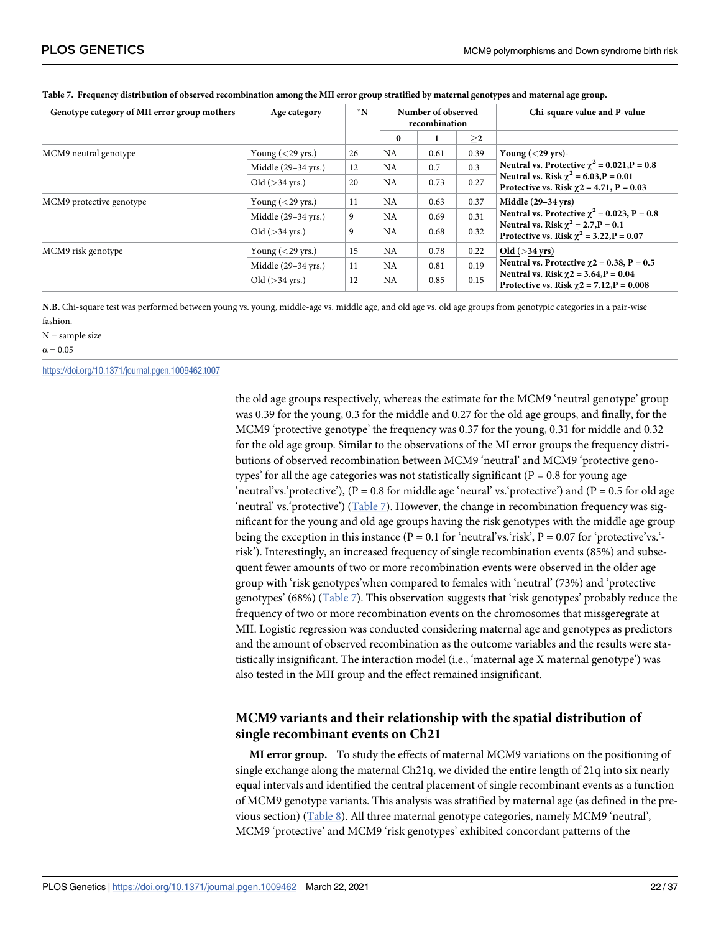| Genotype category of MII error group mothers | Age category        | $^*N$ |           | Number of observed<br>recombination |        | Chi-square value and P-value                                                                   |  |  |
|----------------------------------------------|---------------------|-------|-----------|-------------------------------------|--------|------------------------------------------------------------------------------------------------|--|--|
|                                              |                     |       | $\bf{0}$  | л.                                  | $\geq$ |                                                                                                |  |  |
| MCM9 neutral genotype                        | Young $(<$ 29 yrs.) | 26    | <b>NA</b> | 0.61                                | 0.39   | Young $(<$ 29 yrs)-                                                                            |  |  |
|                                              | Middle (29-34 yrs.) | 12    | <b>NA</b> | 0.7                                 | 0.3    | Neutral vs. Protective $\chi^2 = 0.021$ , P = 0.8                                              |  |  |
|                                              | Old $($ >34 yrs.)   | 20    | <b>NA</b> | 0.73                                | 0.27   | Neutral vs. Risk $\chi^2$ = 6.03, P = 0.01<br>Protective vs. Risk $\gamma$ 2 = 4.71, P = 0.03  |  |  |
| MCM9 protective genotype                     | Young $(<$ 29 yrs.) | 11    | <b>NA</b> | 0.63                                | 0.37   | Middle $(29-34 \text{ yrs})$                                                                   |  |  |
|                                              | Middle (29-34 yrs.) | 9     | NA        | 0.69                                | 0.31   | Neutral vs. Protective $\chi^2$ = 0.023, P = 0.8                                               |  |  |
|                                              | Old $($ >34 vrs.)   | 9     | <b>NA</b> | 0.68                                | 0.32   | Neutral vs. Risk $\chi^2$ = 2.7, P = 0.1<br>Protective vs. Risk $\chi^2$ = 3.22, P = 0.07      |  |  |
| MCM9 risk genotype                           | Young $(<$ 29 yrs.) | 15    | <b>NA</b> | 0.78                                | 0.22   | Old $($ >34 yrs)                                                                               |  |  |
|                                              | Middle (29-34 yrs.) | 11    | <b>NA</b> | 0.81                                | 0.19   | Neutral vs. Protective $\gamma$ 2 = 0.38, P = 0.5                                              |  |  |
|                                              | Old $($ >34 yrs.)   | 12    | NA        | 0.85                                | 0.15   | Neutral vs. Risk $\gamma$ 2 = 3.64, P = 0.04<br>Protective vs. Risk $\chi$ 2 = 7.12, P = 0.008 |  |  |

#### <span id="page-21-0"></span>**[Table 7.](#page-19-0) Frequency distribution of observed recombination among the MII error group stratified by maternal genotypes and maternal age group.**

**N.B.** Chi-square test was performed between young vs. young, middle-age vs. middle age, and old age vs. old age groups from genotypic categories in a pair-wise fashion.

 $N =$ sample size  $\alpha = 0.05$ 

<https://doi.org/10.1371/journal.pgen.1009462.t007>

the old age groups respectively, whereas the estimate for the MCM9 'neutral genotype' group was 0.39 for the young, 0.3 for the middle and 0.27 for the old age groups, and finally, for the MCM9 'protective genotype' the frequency was 0.37 for the young, 0.31 for middle and 0.32 for the old age group. Similar to the observations of the MI error groups the frequency distributions of observed recombination between MCM9 'neutral' and MCM9 'protective genotypes' for all the age categories was not statistically significant ( $P = 0.8$  for young age 'neutral'vs.'protective'),  $(P = 0.8$  for middle age 'neural' vs.'protective') and  $(P = 0.5$  for old age 'neutral' vs.'protective') (Table 7). However, the change in recombination frequency was significant for the young and old age groups having the risk genotypes with the middle age group being the exception in this instance ( $P = 0.1$  for 'neutral'vs.'risk',  $P = 0.07$  for 'protective'vs.'risk'). Interestingly, an increased frequency of single recombination events (85%) and subsequent fewer amounts of two or more recombination events were observed in the older age group with 'risk genotypes'when compared to females with 'neutral' (73%) and 'protective genotypes' (68%) (Table 7). This observation suggests that 'risk genotypes' probably reduce the frequency of two or more recombination events on the chromosomes that missgeregrate at MII. Logistic regression was conducted considering maternal age and genotypes as predictors and the amount of observed recombination as the outcome variables and the results were statistically insignificant. The interaction model (i.e., 'maternal age X maternal genotype') was also tested in the MII group and the effect remained insignificant.

# **MCM9 variants and their relationship with the spatial distribution of single recombinant events on Ch21**

**MI error group.** To study the effects of maternal MCM9 variations on the positioning of single exchange along the maternal Ch21q, we divided the entire length of 21q into six nearly equal intervals and identified the central placement of single recombinant events as a function of MCM9 genotype variants. This analysis was stratified by maternal age (as defined in the previous section) ([Table 8\)](#page-22-0). All three maternal genotype categories, namely MCM9 'neutral', MCM9 'protective' and MCM9 'risk genotypes' exhibited concordant patterns of the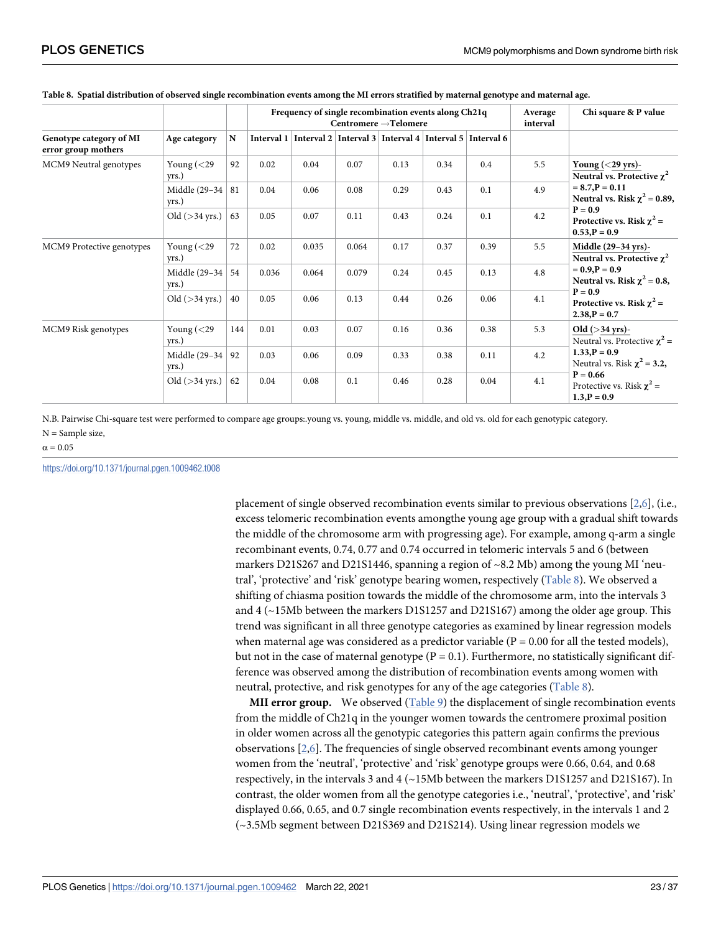|                                                |                                                                |                                                      |       | Frequency of single recombination events along Ch21q                        | Centromere $\rightarrow$ Telomere                                 |                                                                |                                                                |      | Average<br>interval | Chi square & P value                                              |
|------------------------------------------------|----------------------------------------------------------------|------------------------------------------------------|-------|-----------------------------------------------------------------------------|-------------------------------------------------------------------|----------------------------------------------------------------|----------------------------------------------------------------|------|---------------------|-------------------------------------------------------------------|
| Genotype category of MI<br>error group mothers | Age category                                                   | N                                                    |       | Interval 1   Interval 2   Interval 3   Interval 4   Interval 5   Interval 6 |                                                                   |                                                                |                                                                |      |                     |                                                                   |
| MCM9 Neutral genotypes                         | Young $(<$ 29<br>yrs.)                                         | 92                                                   | 0.02  | 0.04                                                                        | 0.07                                                              | 0.13                                                           | 0.34                                                           | 0.4  | 5.5                 | Young $(<$ 29 yrs)-<br>Neutral vs. Protective $\chi^2$            |
|                                                | Middle (29-34)<br>yrs.)                                        | 81                                                   | 0.04  | 0.06                                                                        | 0.08                                                              | 0.29                                                           | 0.43                                                           | 0.1  | 4.9                 | $= 8.7, P = 0.11$<br>Neutral vs. Risk $\chi^2$ = 0.89,            |
|                                                | Old $($ >34 yrs.)                                              | 63                                                   | 0.05  | 0.07                                                                        | 0.11                                                              | 0.43                                                           | 0.24                                                           | 0.1  | 4.2                 | $P = 0.9$<br>Protective vs. Risk $\chi^2$ =<br>$0.53$ , $P = 0.9$ |
| MCM9 Protective genotypes                      | Young $(<$ 29<br>yrs.)                                         | 0.02<br>0.17<br>72<br>0.035<br>0.064<br>0.37<br>0.39 |       | 5.5                                                                         | Middle $(29-34 \text{ yrs})$ -<br>Neutral vs. Protective $\chi^2$ |                                                                |                                                                |      |                     |                                                                   |
|                                                | Middle (29-34)<br>yrs.)                                        | 54                                                   | 0.036 | 0.064                                                                       | 0.079                                                             | 0.24                                                           | 0.45                                                           | 0.13 | 4.8                 | $= 0.9, P = 0.9$<br>Neutral vs. Risk $\chi^2$ = 0.8,              |
|                                                | Old $($ >34 yrs.)                                              | 0.05<br>0.13<br>40<br>0.06                           | 0.44  | 0.26                                                                        | 0.06                                                              | 4.1                                                            | $P = 0.9$<br>Protective vs. Risk $\chi^2$ =<br>$2.38, P = 0.7$ |      |                     |                                                                   |
| MCM9 Risk genotypes                            | Young $(<$ 29<br>yrs.)                                         | 144<br>0.01<br>0.03<br>0.16<br>0.36<br>0.38<br>0.07  | 5.3   | Old $($ >34 yrs)-<br>Neutral vs. Protective $\chi^2$ =                      |                                                                   |                                                                |                                                                |      |                     |                                                                   |
|                                                | Middle (29-34)<br>yrs.)                                        | 92                                                   | 0.03  | 0.06                                                                        | 0.09                                                              | 0.33                                                           | 0.38                                                           | 0.11 | 4.2                 | $1.33$ , $P = 0.9$<br>Neutral vs. Risk $\chi^2$ = 3.2,            |
|                                                | Old $($ >34 yrs.)<br>62<br>0.08<br>0.1<br>0.04<br>0.46<br>0.28 |                                                      |       | 0.04                                                                        | 4.1                                                               | $P = 0.66$<br>Protective vs. Risk $\chi^2$ =<br>$1.3, P = 0.9$ |                                                                |      |                     |                                                                   |

#### <span id="page-22-0"></span>**[Table 8.](#page-21-0) Spatial distribution of observed single recombination events among the MI errors stratified by maternal genotype and maternal age.**

N.B. Pairwise Chi-square test were performed to compare age groups:.young vs. young, middle vs. middle, and old vs. old for each genotypic category. N = Sample size,

#### $\alpha = 0.05$

<https://doi.org/10.1371/journal.pgen.1009462.t008>

placement of single observed recombination events similar to previous observations [\[2,6](#page-34-0)], (i.e., excess telomeric recombination events amongthe young age group with a gradual shift towards the middle of the chromosome arm with progressing age). For example, among q-arm a single recombinant events, 0.74, 0.77 and 0.74 occurred in telomeric intervals 5 and 6 (between markers D21S267 and D21S1446, spanning a region of  $\sim$ 8.2 Mb) among the young MI 'neutral', 'protective' and 'risk' genotype bearing women, respectively (Table 8). We observed a shifting of chiasma position towards the middle of the chromosome arm, into the intervals 3 and  $4$  ( $\sim$ 15Mb between the markers D1S1257 and D21S167) among the older age group. This trend was significant in all three genotype categories as examined by linear regression models when maternal age was considered as a predictor variable ( $P = 0.00$  for all the tested models), but not in the case of maternal genotype ( $P = 0.1$ ). Furthermore, no statistically significant difference was observed among the distribution of recombination events among women with neutral, protective, and risk genotypes for any of the age categories (Table 8).

**MII error group.** We observed [\(Table 9](#page-23-0)) the displacement of single recombination events from the middle of Ch21q in the younger women towards the centromere proximal position in older women across all the genotypic categories this pattern again confirms the previous observations [\[2,6\]](#page-34-0). The frequencies of single observed recombinant events among younger women from the 'neutral', 'protective' and 'risk' genotype groups were 0.66, 0.64, and 0.68 respectively, in the intervals 3 and 4 (~15Mb between the markers D1S1257 and D21S167). In contrast, the older women from all the genotype categories i.e., 'neutral', 'protective', and 'risk' displayed 0.66, 0.65, and 0.7 single recombination events respectively, in the intervals 1 and 2 (~3.5Mb segment between D21S369 and D21S214). Using linear regression models we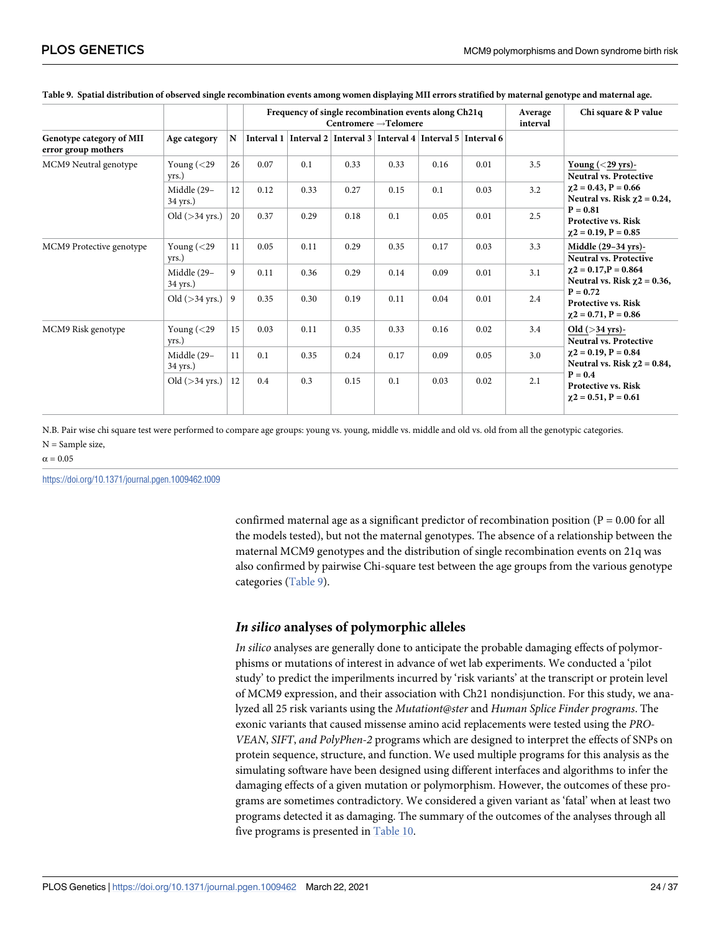|                                                 |                         |    |      |      |      | Frequency of single recombination events along Ch21q<br>Centromere $\rightarrow$ Telomere |      |      | Average<br>interval | Chi square & P value                                                    |
|-------------------------------------------------|-------------------------|----|------|------|------|-------------------------------------------------------------------------------------------|------|------|---------------------|-------------------------------------------------------------------------|
| Genotype category of MII<br>error group mothers | Age category            | N  |      |      |      | Interval 1   Interval 2   Interval 3   Interval 4   Interval 5   Interval 6               |      |      |                     |                                                                         |
| MCM9 Neutral genotype                           | Young $(<$ 29<br>yrs.)  | 26 | 0.07 | 0.1  | 0.33 | 0.33                                                                                      | 0.16 | 0.01 | 3.5                 | Young $(<$ 29 yrs)-<br><b>Neutral vs. Protective</b>                    |
|                                                 | Middle (29-<br>34 yrs.) | 12 | 0.12 | 0.33 | 0.27 | 0.15                                                                                      | 0.1  | 0.03 | 3.2                 | $\chi$ 2 = 0.43, P = 0.66<br>Neutral vs. Risk $\chi$ 2 = 0.24,          |
|                                                 | Old $($ >34 yrs.)       | 20 | 0.37 | 0.29 | 0.18 | 0.1                                                                                       | 0.05 | 0.01 | 2.5                 | $P = 0.81$<br><b>Protective vs. Risk</b><br>$\gamma$ 2 = 0.19, P = 0.85 |
| MCM9 Protective genotype                        | Young $(<$ 29<br>yrs.)  | 11 | 0.05 | 0.11 | 0.29 | 0.35                                                                                      | 0.17 | 0.03 | 3.3                 | Middle $(29-34 \text{ yrs})$ -<br><b>Neutral vs. Protective</b>         |
|                                                 | Middle (29-<br>34 yrs.) | 9  | 0.11 | 0.36 | 0.29 | 0.14                                                                                      | 0.09 | 0.01 | 3.1                 | $\chi$ 2 = 0.17, P = 0.864<br>Neutral vs. Risk $\chi$ 2 = 0.36,         |
|                                                 | Old $($ >34 yrs.)       | 9  | 0.35 | 0.30 | 0.19 | 0.11                                                                                      | 0.04 | 0.01 | 2.4                 | $P = 0.72$<br><b>Protective vs. Risk</b><br>$\gamma$ 2 = 0.71, P = 0.86 |
| MCM9 Risk genotype                              | Young $(<$ 29<br>yrs.)  | 15 | 0.03 | 0.11 | 0.35 | 0.33                                                                                      | 0.16 | 0.02 | 3.4                 | Old $($ >34 yrs)-<br><b>Neutral vs. Protective</b>                      |
|                                                 | Middle (29-<br>34 yrs.) | 11 | 0.1  | 0.35 | 0.24 | 0.17                                                                                      | 0.09 | 0.05 | 3.0                 | $\chi$ 2 = 0.19, P = 0.84<br>Neutral vs. Risk $\chi$ 2 = 0.84,          |
|                                                 | Old $($ >34 yrs.)       | 12 | 0.4  | 0.3  | 0.15 | 0.1                                                                                       | 0.03 | 0.02 | 2.1                 | $P = 0.4$<br><b>Protective vs. Risk</b><br>$\gamma$ 2 = 0.51, P = 0.61  |

#### <span id="page-23-0"></span>**[Table 9.](#page-22-0) Spatial distribution of observed single recombination events among women displaying MII errors stratified by maternal genotype and maternal age.**

N.B. Pair wise chi square test were performed to compare age groups: young vs. young, middle vs. middle and old vs. old from all the genotypic categories. N = Sample size,

 $\alpha = 0.05$ 

<https://doi.org/10.1371/journal.pgen.1009462.t009>

confirmed maternal age as a significant predictor of recombination position ( $P = 0.00$  for all the models tested), but not the maternal genotypes. The absence of a relationship between the maternal MCM9 genotypes and the distribution of single recombination events on 21q was also confirmed by pairwise Chi-square test between the age groups from the various genotype categories (Table 9).

# **In silico analyses of polymorphic alleles**

In silico analyses are generally done to anticipate the probable damaging effects of polymorphisms or mutations of interest in advance of wet lab experiments. We conducted a 'pilot study' to predict the imperilments incurred by 'risk variants' at the transcript or protein level of MCM9 expression, and their association with Ch21 nondisjunction. For this study, we analyzed all 25 risk variants using the Mutationt@ster and Human Splice Finder programs. The exonic variants that caused missense amino acid replacements were tested using the PRO-VEAN, SIFT, and PolyPhen-2 programs which are designed to interpret the effects of SNPs on protein sequence, structure, and function. We used multiple programs for this analysis as the simulating software have been designed using different interfaces and algorithms to infer the damaging effects of a given mutation or polymorphism. However, the outcomes of these programs are sometimes contradictory. We considered a given variant as 'fatal' when at least two programs detected it as damaging. The summary of the outcomes of the analyses through all five programs is presented in [Table 10](#page-24-0).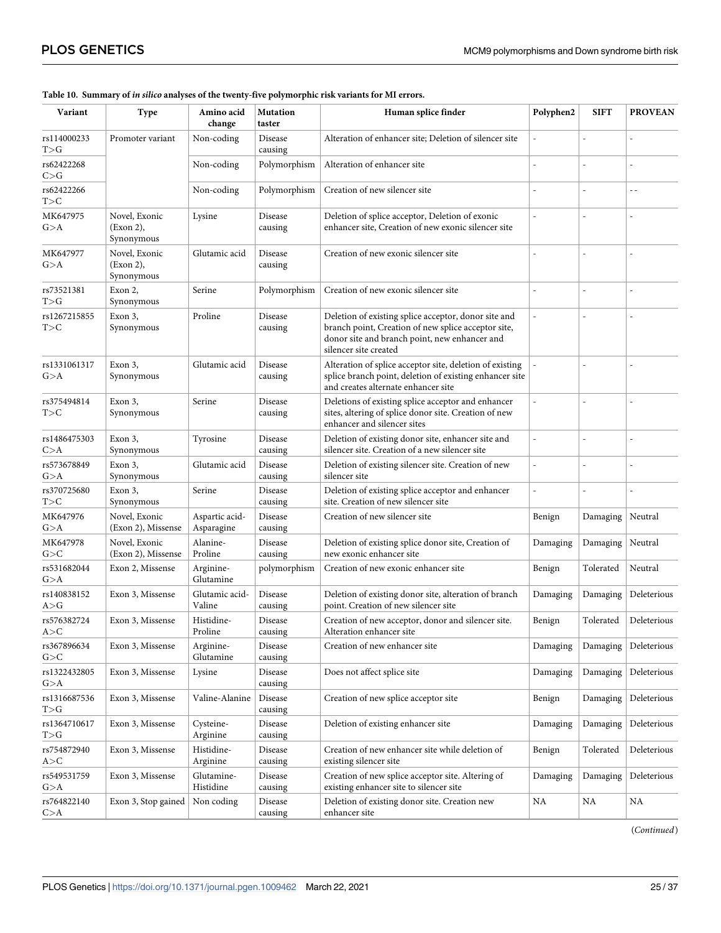| Variant                                | Amino acid<br><b>Mutation</b><br>Human splice finder<br><b>Type</b><br>change<br>taster |                              |                    |                                                                                                                                                                                       |          | <b>SIFT</b>    | <b>PROVEAN</b> |
|----------------------------------------|-----------------------------------------------------------------------------------------|------------------------------|--------------------|---------------------------------------------------------------------------------------------------------------------------------------------------------------------------------------|----------|----------------|----------------|
| rs114000233<br>$T{>}G$                 | Promoter variant                                                                        | Non-coding                   | Disease<br>causing | Alteration of enhancer site; Deletion of silencer site                                                                                                                                |          |                |                |
| rs62422268<br>C > G                    |                                                                                         | Non-coding                   | Polymorphism       | Alteration of enhancer site                                                                                                                                                           |          |                |                |
| rs62422266<br>T>C                      |                                                                                         | Non-coding                   | Polymorphism       | Creation of new silencer site                                                                                                                                                         |          | Ĭ.             | $\overline{a}$ |
| MK647975<br>G>A                        | Novel, Exonic<br>(Exon 2),<br>Synonymous                                                | Lysine                       | Disease<br>causing | Deletion of splice acceptor, Deletion of exonic<br>enhancer site, Creation of new exonic silencer site                                                                                |          | $\overline{a}$ |                |
| MK647977<br>G>A                        | Novel, Exonic<br>(Exon 2),<br>Synonymous                                                | Glutamic acid                | Disease<br>causing | Creation of new exonic silencer site                                                                                                                                                  |          | ÷,             | $\overline{a}$ |
| rs73521381<br>$T{>}G$                  | Exon 2,<br>Synonymous                                                                   | Serine                       | Polymorphism       | Creation of new exonic silencer site                                                                                                                                                  |          |                |                |
| rs1267215855<br>T>C                    | Exon 3,<br>Synonymous                                                                   | Proline                      | Disease<br>causing | Deletion of existing splice acceptor, donor site and<br>branch point, Creation of new splice acceptor site,<br>donor site and branch point, new enhancer and<br>silencer site created |          | L,             |                |
| rs1331061317<br>G>A                    | Exon 3,<br>Synonymous                                                                   | Glutamic acid                | Disease<br>causing | Alteration of splice acceptor site, deletion of existing<br>splice branch point, deletion of existing enhancer site<br>and creates alternate enhancer site                            |          | $\overline{a}$ | $\overline{a}$ |
| rs375494814<br>T>C                     | Exon 3,<br>Synonymous                                                                   | Serine                       | Disease<br>causing | Deletions of existing splice acceptor and enhancer<br>sites, altering of splice donor site. Creation of new<br>enhancer and silencer sites                                            | L.       | ÷,             | $\overline{a}$ |
| rs1486475303<br>C>A                    | Exon 3,<br>Synonymous                                                                   | Tyrosine                     | Disease<br>causing | Deletion of existing donor site, enhancer site and<br>silencer site. Creation of a new silencer site                                                                                  |          |                |                |
| rs573678849<br>G>A                     | Exon 3,<br>Synonymous                                                                   | Glutamic acid                | Disease<br>causing | Deletion of existing silencer site. Creation of new<br>silencer site                                                                                                                  |          | $\overline{a}$ |                |
| rs370725680<br>T>C                     | Exon 3,<br>Synonymous                                                                   | Serine                       | Disease<br>causing | Deletion of existing splice acceptor and enhancer<br>site. Creation of new silencer site                                                                                              |          | $\overline{a}$ |                |
| MK647976<br>G>A                        | Novel, Exonic<br>(Exon 2), Missense                                                     | Aspartic acid-<br>Asparagine | Disease<br>causing | Creation of new silencer site                                                                                                                                                         | Benign   | Damaging       | Neutral        |
| MK647978<br>G>C                        | Novel, Exonic<br>(Exon 2), Missense                                                     | Alanine-<br>Proline          | Disease<br>causing | Deletion of existing splice donor site, Creation of<br>new exonic enhancer site                                                                                                       | Damaging | Damaging       | Neutral        |
| rs531682044<br>G>A                     | Exon 2, Missense                                                                        | Arginine-<br>Glutamine       | polymorphism       | Creation of new exonic enhancer site                                                                                                                                                  | Benign   | Tolerated      | Neutral        |
| rs140838152<br>A>G                     | Exon 3, Missense                                                                        | Glutamic acid-<br>Valine     | Disease<br>causing | Deletion of existing donor site, alteration of branch<br>point. Creation of new silencer site                                                                                         | Damaging | Damaging       | Deleterious    |
| rs576382724<br>A>C                     | Exon 3, Missense                                                                        | Histidine-<br>Proline        | Disease<br>causing | Creation of new acceptor, donor and silencer site.<br>Alteration enhancer site                                                                                                        | Benign   | Tolerated      | Deleterious    |
| rs367896634<br>G>C                     | Exon 3, Missense                                                                        | Arginine-<br>Glutamine       | Disease<br>causing | Creation of new enhancer site                                                                                                                                                         | Damaging | Damaging       | Deleterious    |
| rs1322432805<br>G>A                    | Exon 3, Missense                                                                        | Lysine                       | Disease<br>causing | Does not affect splice site                                                                                                                                                           | Damaging | Damaging       | Deleterious    |
| rs1316687536<br>$\mbox{T}{>} \mbox{G}$ | Exon 3, Missense                                                                        | Valine-Alanine               | Disease<br>causing | Creation of new splice acceptor site                                                                                                                                                  | Benign   | Damaging       | Deleterious    |
| rs1364710617<br>T>G                    | Exon 3, Missense                                                                        | Cysteine-<br>Arginine        | Disease<br>causing | Deletion of existing enhancer site                                                                                                                                                    | Damaging | Damaging       | Deleterious    |
| rs754872940<br>A>C                     | Exon 3, Missense                                                                        | Histidine-<br>Arginine       | Disease<br>causing | Creation of new enhancer site while deletion of<br>existing silencer site                                                                                                             | Benign   | Tolerated      | Deleterious    |
| rs549531759<br>G>A                     | Exon 3, Missense                                                                        | Glutamine-<br>Histidine      | Disease<br>causing | Creation of new splice acceptor site. Altering of<br>existing enhancer site to silencer site                                                                                          | Damaging | Damaging       | Deleterious    |
| rs764822140<br>C>A                     | Exon 3, Stop gained                                                                     | Non coding                   | Disease<br>causing | Deletion of existing donor site. Creation new<br>enhancer site                                                                                                                        | NA       | NA             | NA             |

#### <span id="page-24-0"></span>**[Table 10.](#page-23-0) Summary of in silico analyses of the twenty-five polymorphic risk variants for MI errors.**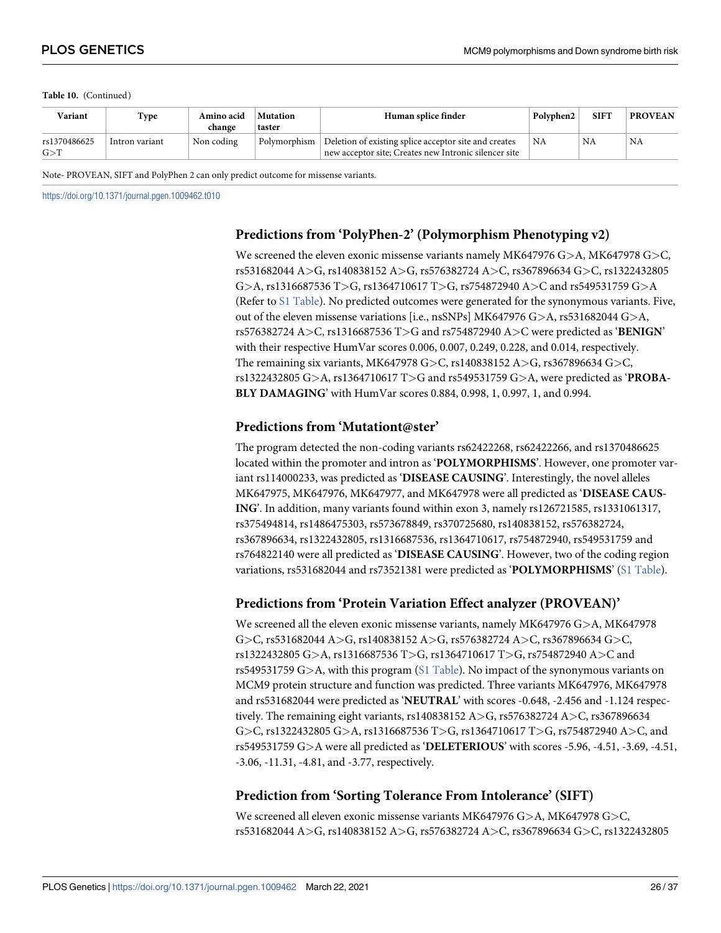| Variant               | Type           | Amino acid<br>change | Mutation<br>taster | Human splice finder                                                                                                           | Polyphen2       | <b>SIFT</b> | <b>PROVEAN</b> |
|-----------------------|----------------|----------------------|--------------------|-------------------------------------------------------------------------------------------------------------------------------|-----------------|-------------|----------------|
| rs1370486625<br>G > T | Intron variant | Non coding           |                    | Polymorphism   Deletion of existing splice acceptor site and creates<br>new acceptor site; Creates new Intronic silencer site | $^{\dagger}$ NA | NA          | NA             |

Note- PROVEAN, SIFT and PolyPhen 2 can only predict outcome for missense variants.

<https://doi.org/10.1371/journal.pgen.1009462.t010>

# **Predictions from 'PolyPhen-2' (Polymorphism Phenotyping v2)**

We screened the eleven exonic missense variants namely MK647976 G*>*A, MK647978 G*>*C, rs531682044 A*>*G, rs140838152 A*>*G, rs576382724 A*>*C, rs367896634 G*>*C, rs1322432805 G*>*A, rs1316687536 T*>*G, rs1364710617 T*>*G, rs754872940 A*>*C and rs549531759 G*>*A (Refer to [S1 Table](#page-33-0)). No predicted outcomes were generated for the synonymous variants. Five, out of the eleven missense variations [i.e., nsSNPs] MK647976 G*>*A, rs531682044 G*>*A, rs576382724 A*>*C, rs1316687536 T*>*G and rs754872940 A*>*C were predicted as '**BENIGN**' with their respective HumVar scores 0.006, 0.007, 0.249, 0.228, and 0.014, respectively. The remaining six variants, MK647978 G*>*C, rs140838152 A*>*G, rs367896634 G*>*C, rs1322432805 G*>*A, rs1364710617 T*>*G and rs549531759 G*>*A, were predicted as '**PROBA-BLY DAMAGING**' with HumVar scores 0.884, 0.998, 1, 0.997, 1, and 0.994.

# **Predictions from 'Mutationt@ster'**

The program detected the non-coding variants rs62422268, rs62422266, and rs1370486625 located within the promoter and intron as '**POLYMORPHISMS**'. However, one promoter variant rs114000233, was predicted as '**DISEASE CAUSING**'. Interestingly, the novel alleles MK647975, MK647976, MK647977, and MK647978 were all predicted as '**DISEASE CAUS-ING**'. In addition, many variants found within exon 3, namely rs126721585, rs1331061317, rs375494814, rs1486475303, rs573678849, rs370725680, rs140838152, rs576382724, rs367896634, rs1322432805, rs1316687536, rs1364710617, rs754872940, rs549531759 and rs764822140 were all predicted as '**DISEASE CAUSING**'. However, two of the coding region variations, rs531682044 and rs73521381 were predicted as '**POLYMORPHISMS**' [\(S1 Table](#page-33-0)).

# **Predictions from 'Protein Variation Effect analyzer (PROVEAN)'**

We screened all the eleven exonic missense variants, namely MK647976 G*>*A, MK647978 G*>*C, rs531682044 A*>*G, rs140838152 A*>*G, rs576382724 A*>*C, rs367896634 G*>*C, rs1322432805 G*>*A, rs1316687536 T*>*G, rs1364710617 T*>*G, rs754872940 A*>*C and rs549531759 G*>*A, with this program ([S1 Table\)](#page-33-0). No impact of the synonymous variants on MCM9 protein structure and function was predicted. Three variants MK647976, MK647978 and rs531682044 were predicted as '**NEUTRAL**' with scores -0.648, -2.456 and -1.124 respectively. The remaining eight variants, rs140838152 A*>*G, rs576382724 A*>*C, rs367896634 G*>*C, rs1322432805 G*>*A, rs1316687536 T*>*G, rs1364710617 T*>*G, rs754872940 A*>*C, and rs549531759 G*>*A were all predicted as '**DELETERIOUS**' with scores -5.96, -4.51, -3.69, -4.51, -3.06, -11.31, -4.81, and -3.77, respectively.

# **Prediction from 'Sorting Tolerance From Intolerance' (SIFT)**

We screened all eleven exonic missense variants MK647976 G*>*A, MK647978 G*>*C, rs531682044 A*>*G, rs140838152 A*>*G, rs576382724 A*>*C, rs367896634 G*>*C, rs1322432805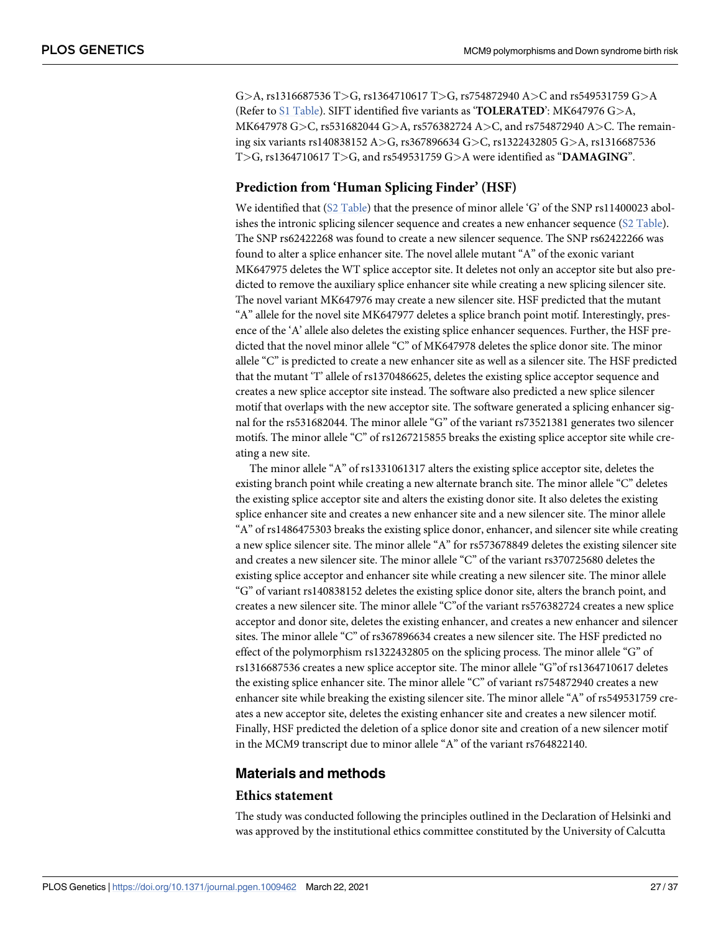G*>*A, rs1316687536 T*>*G, rs1364710617 T*>*G, rs754872940 A*>*C and rs549531759 G*>*A (Refer to [S1 Table](#page-33-0)). SIFT identified five variants as '**TOLERATED**': MK647976 G*>*A, MK647978 G*>*C, rs531682044 G*>*A, rs576382724 A*>*C, and rs754872940 A*>*C. The remaining six variants rs140838152 A*>*G, rs367896634 G*>*C, rs1322432805 G*>*A, rs1316687536 T*>*G, rs1364710617 T*>*G, and rs549531759 G*>*A were identified as "**DAMAGING**".

# **Prediction from 'Human Splicing Finder' (HSF)**

We identified that ([S2 Table\)](#page-33-0) that the presence of minor allele 'G' of the SNP rs11400023 abolishes the intronic splicing silencer sequence and creates a new enhancer sequence ([S2 Table\)](#page-33-0). The SNP rs62422268 was found to create a new silencer sequence. The SNP rs62422266 was found to alter a splice enhancer site. The novel allele mutant "A" of the exonic variant MK647975 deletes the WT splice acceptor site. It deletes not only an acceptor site but also predicted to remove the auxiliary splice enhancer site while creating a new splicing silencer site. The novel variant MK647976 may create a new silencer site. HSF predicted that the mutant "A" allele for the novel site MK647977 deletes a splice branch point motif. Interestingly, presence of the 'A' allele also deletes the existing splice enhancer sequences. Further, the HSF predicted that the novel minor allele "C" of MK647978 deletes the splice donor site. The minor allele "C" is predicted to create a new enhancer site as well as a silencer site. The HSF predicted that the mutant 'T' allele of rs1370486625, deletes the existing splice acceptor sequence and creates a new splice acceptor site instead. The software also predicted a new splice silencer motif that overlaps with the new acceptor site. The software generated a splicing enhancer signal for the rs531682044. The minor allele "G" of the variant rs73521381 generates two silencer motifs. The minor allele "C" of rs1267215855 breaks the existing splice acceptor site while creating a new site.

The minor allele "A" of rs1331061317 alters the existing splice acceptor site, deletes the existing branch point while creating a new alternate branch site. The minor allele "C" deletes the existing splice acceptor site and alters the existing donor site. It also deletes the existing splice enhancer site and creates a new enhancer site and a new silencer site. The minor allele "A" of rs1486475303 breaks the existing splice donor, enhancer, and silencer site while creating a new splice silencer site. The minor allele "A" for rs573678849 deletes the existing silencer site and creates a new silencer site. The minor allele "C" of the variant rs370725680 deletes the existing splice acceptor and enhancer site while creating a new silencer site. The minor allele "G" of variant rs140838152 deletes the existing splice donor site, alters the branch point, and creates a new silencer site. The minor allele "C"of the variant rs576382724 creates a new splice acceptor and donor site, deletes the existing enhancer, and creates a new enhancer and silencer sites. The minor allele "C" of rs367896634 creates a new silencer site. The HSF predicted no effect of the polymorphism rs1322432805 on the splicing process. The minor allele "G" of rs1316687536 creates a new splice acceptor site. The minor allele "G"of rs1364710617 deletes the existing splice enhancer site. The minor allele "C" of variant rs754872940 creates a new enhancer site while breaking the existing silencer site. The minor allele "A" of rs549531759 creates a new acceptor site, deletes the existing enhancer site and creates a new silencer motif. Finally, HSF predicted the deletion of a splice donor site and creation of a new silencer motif in the MCM9 transcript due to minor allele "A" of the variant rs764822140.

#### **Materials and methods**

#### **Ethics statement**

The study was conducted following the principles outlined in the Declaration of Helsinki and was approved by the institutional ethics committee constituted by the University of Calcutta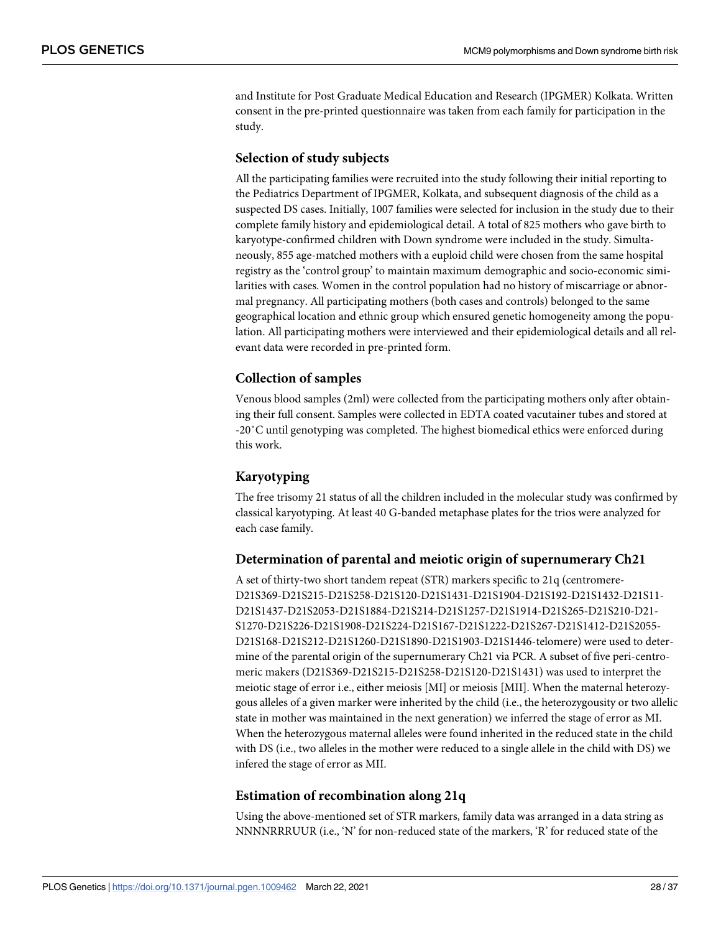and Institute for Post Graduate Medical Education and Research (IPGMER) Kolkata. Written consent in the pre-printed questionnaire was taken from each family for participation in the study.

#### **Selection of study subjects**

All the participating families were recruited into the study following their initial reporting to the Pediatrics Department of IPGMER, Kolkata, and subsequent diagnosis of the child as a suspected DS cases. Initially, 1007 families were selected for inclusion in the study due to their complete family history and epidemiological detail. A total of 825 mothers who gave birth to karyotype-confirmed children with Down syndrome were included in the study. Simultaneously, 855 age-matched mothers with a euploid child were chosen from the same hospital registry as the 'control group' to maintain maximum demographic and socio-economic similarities with cases. Women in the control population had no history of miscarriage or abnormal pregnancy. All participating mothers (both cases and controls) belonged to the same geographical location and ethnic group which ensured genetic homogeneity among the population. All participating mothers were interviewed and their epidemiological details and all relevant data were recorded in pre-printed form.

## **Collection of samples**

Venous blood samples (2ml) were collected from the participating mothers only after obtaining their full consent. Samples were collected in EDTA coated vacutainer tubes and stored at -20˚C until genotyping was completed. The highest biomedical ethics were enforced during this work.

# **Karyotyping**

The free trisomy 21 status of all the children included in the molecular study was confirmed by classical karyotyping. At least 40 G-banded metaphase plates for the trios were analyzed for each case family.

#### **Determination of parental and meiotic origin of supernumerary Ch21**

A set of thirty-two short tandem repeat (STR) markers specific to 21q (centromere-D21S369-D21S215-D21S258-D21S120-D21S1431-D21S1904-D21S192-D21S1432-D21S11- D21S1437-D21S2053-D21S1884-D21S214-D21S1257-D21S1914-D21S265-D21S210-D21- S1270-D21S226-D21S1908-D21S224-D21S167-D21S1222-D21S267-D21S1412-D21S2055- D21S168-D21S212-D21S1260-D21S1890-D21S1903-D21S1446-telomere) were used to determine of the parental origin of the supernumerary Ch21 via PCR. A subset of five peri-centromeric makers (D21S369-D21S215-D21S258-D21S120-D21S1431) was used to interpret the meiotic stage of error i.e., either meiosis [MI] or meiosis [MII]. When the maternal heterozygous alleles of a given marker were inherited by the child (i.e., the heterozygousity or two allelic state in mother was maintained in the next generation) we inferred the stage of error as MI. When the heterozygous maternal alleles were found inherited in the reduced state in the child with DS (i.e., two alleles in the mother were reduced to a single allele in the child with DS) we infered the stage of error as MII.

#### **Estimation of recombination along 21q**

Using the above-mentioned set of STR markers, family data was arranged in a data string as NNNNRRRUUR (i.e., 'N' for non-reduced state of the markers, 'R' for reduced state of the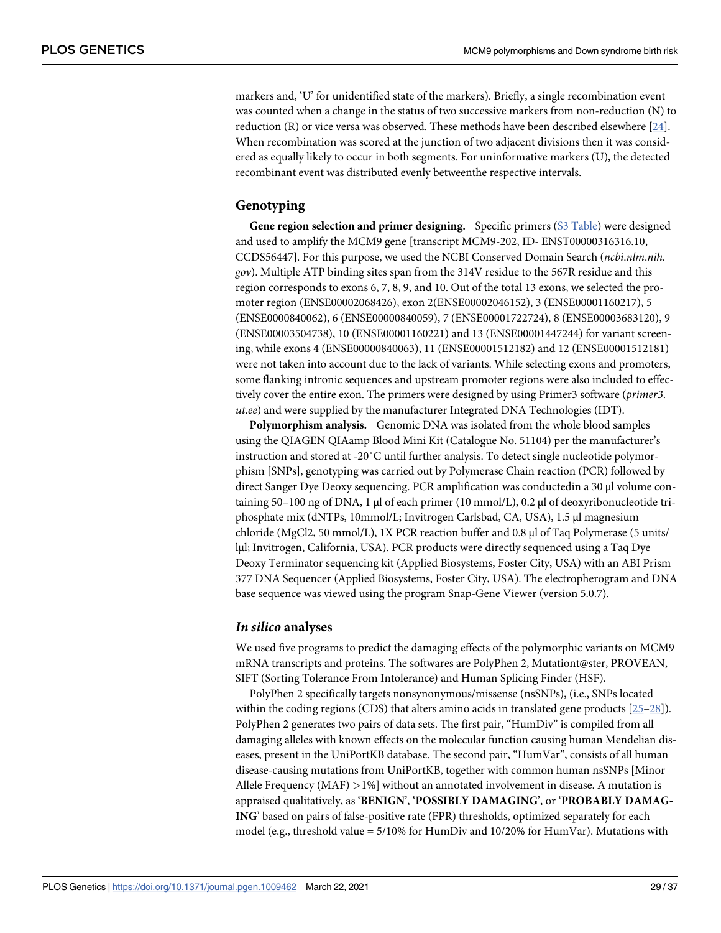<span id="page-28-0"></span>markers and, 'U' for unidentified state of the markers). Briefly, a single recombination event was counted when a change in the status of two successive markers from non-reduction (N) to reduction (R) or vice versa was observed. These methods have been described elsewhere [\[24\]](#page-35-0). When recombination was scored at the junction of two adjacent divisions then it was considered as equally likely to occur in both segments. For uninformative markers (U), the detected recombinant event was distributed evenly betweenthe respective intervals.

#### **Genotyping**

**Gene region selection and primer designing.** Specific primers ([S3 Table\)](#page-33-0) were designed and used to amplify the MCM9 gene [transcript MCM9-202, ID- ENST00000316316.10, CCDS56447]. For this purpose, we used the NCBI Conserved Domain Search (ncbi.nlm.nih. gov). Multiple ATP binding sites span from the 314V residue to the 567R residue and this region corresponds to exons 6, 7, 8, 9, and 10. Out of the total 13 exons, we selected the promoter region (ENSE00002068426), exon 2(ENSE00002046152), 3 (ENSE00001160217), 5 (ENSE0000840062), 6 (ENSE00000840059), 7 (ENSE00001722724), 8 (ENSE00003683120), 9 (ENSE00003504738), 10 (ENSE00001160221) and 13 (ENSE00001447244) for variant screening, while exons 4 (ENSE00000840063), 11 (ENSE00001512182) and 12 (ENSE00001512181) were not taken into account due to the lack of variants. While selecting exons and promoters, some flanking intronic sequences and upstream promoter regions were also included to effectively cover the entire exon. The primers were designed by using Primer3 software (primer3. ut.ee) and were supplied by the manufacturer Integrated DNA Technologies (IDT).

**Polymorphism analysis.** Genomic DNA was isolated from the whole blood samples using the QIAGEN QIAamp Blood Mini Kit (Catalogue No. 51104) per the manufacturer's instruction and stored at -20˚C until further analysis. To detect single nucleotide polymorphism [SNPs], genotyping was carried out by Polymerase Chain reaction (PCR) followed by direct Sanger Dye Deoxy sequencing. PCR amplification was conductedin a 30 μl volume containing 50–100 ng of DNA, 1 μl of each primer (10 mmol/L), 0.2 μl of deoxyribonucleotide triphosphate mix (dNTPs, 10mmol/L; Invitrogen Carlsbad, CA, USA), 1.5 μl magnesium chloride (MgCl2, 50 mmol/L), 1X PCR reaction buffer and 0.8 μl of Taq Polymerase (5 units/ lμl; Invitrogen, California, USA). PCR products were directly sequenced using a Taq Dye Deoxy Terminator sequencing kit (Applied Biosystems, Foster City, USA) with an ABI Prism 377 DNA Sequencer (Applied Biosystems, Foster City, USA). The electropherogram and DNA base sequence was viewed using the program Snap-Gene Viewer (version 5.0.7).

#### **In silico analyses**

We used five programs to predict the damaging effects of the polymorphic variants on MCM9 mRNA transcripts and proteins. The softwares are PolyPhen 2, Mutationt@ster, PROVEAN, SIFT (Sorting Tolerance From Intolerance) and Human Splicing Finder (HSF).

PolyPhen 2 specifically targets nonsynonymous/missense (nsSNPs), (i.e., SNPs located within the coding regions (CDS) that alters amino acids in translated gene products [\[25–28](#page-35-0)]). PolyPhen 2 generates two pairs of data sets. The first pair, "HumDiv" is compiled from all damaging alleles with known effects on the molecular function causing human Mendelian diseases, present in the UniPortKB database. The second pair, "HumVar", consists of all human disease-causing mutations from UniPortKB, together with common human nsSNPs [Minor Allele Frequency (MAF) *>*1%] without an annotated involvement in disease. A mutation is appraised qualitatively, as '**BENIGN**', '**POSSIBLY DAMAGING**', or '**PROBABLY DAMAG-ING**' based on pairs of false-positive rate (FPR) thresholds, optimized separately for each model (e.g., threshold value =  $5/10\%$  for HumDiv and  $10/20\%$  for HumVar). Mutations with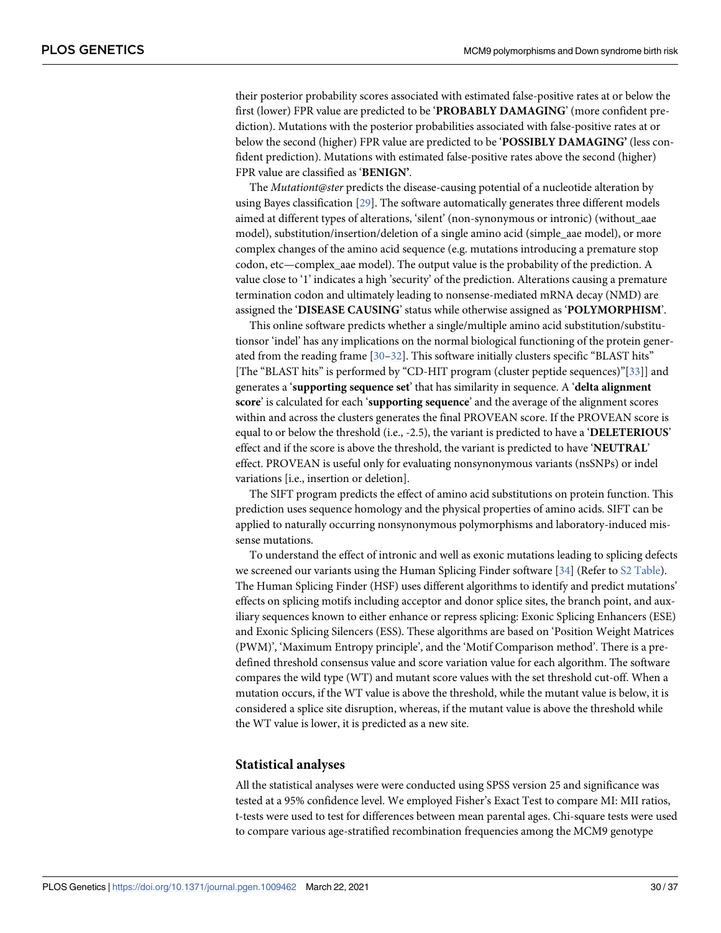<span id="page-29-0"></span>their posterior probability scores associated with estimated false-positive rates at or below the first (lower) FPR value are predicted to be '**PROBABLY DAMAGING**' (more confident prediction). Mutations with the posterior probabilities associated with false-positive rates at or below the second (higher) FPR value are predicted to be '**POSSIBLY DAMAGING'** (less confident prediction). Mutations with estimated false-positive rates above the second (higher) FPR value are classified as '**BENIGN'**.

The Mutationt@ster predicts the disease-causing potential of a nucleotide alteration by using Bayes classification [\[29\]](#page-35-0). The software automatically generates three different models aimed at different types of alterations, 'silent' (non-synonymous or intronic) (without\_aae model), substitution/insertion/deletion of a single amino acid (simple\_aae model), or more complex changes of the amino acid sequence (e.g. mutations introducing a premature stop codon, etc—complex\_aae model). The output value is the probability of the prediction. A value close to '1' indicates a high 'security' of the prediction. Alterations causing a premature termination codon and ultimately leading to nonsense-mediated mRNA decay (NMD) are assigned the '**DISEASE CAUSING**' status while otherwise assigned as '**POLYMORPHISM**'.

This online software predicts whether a single/multiple amino acid substitution/substitutionsor 'indel' has any implications on the normal biological functioning of the protein generated from the reading frame  $[30-32]$ . This software initially clusters specific "BLAST hits" [The "BLAST hits" is performed by "CD-HIT program (cluster peptide sequences)"[[33\]](#page-35-0)] and generates a '**supporting sequence set**' that has similarity in sequence. A '**delta alignment score**' is calculated for each '**supporting sequence**' and the average of the alignment scores within and across the clusters generates the final PROVEAN score. If the PROVEAN score is equal to or below the threshold (i.e., -2.5), the variant is predicted to have a '**DELETERIOUS**' effect and if the score is above the threshold, the variant is predicted to have '**NEUTRAL**' effect. PROVEAN is useful only for evaluating nonsynonymous variants (nsSNPs) or indel variations [i.e., insertion or deletion].

The SIFT program predicts the effect of amino acid substitutions on protein function. This prediction uses sequence homology and the physical properties of amino acids. SIFT can be applied to naturally occurring nonsynonymous polymorphisms and laboratory-induced missense mutations.

To understand the effect of intronic and well as exonic mutations leading to splicing defects we screened our variants using the Human Splicing Finder software [[34](#page-36-0)] (Refer to [S2 Table\)](#page-33-0). The Human Splicing Finder (HSF) uses different algorithms to identify and predict mutations' effects on splicing motifs including acceptor and donor splice sites, the branch point, and auxiliary sequences known to either enhance or repress splicing: Exonic Splicing Enhancers (ESE) and Exonic Splicing Silencers (ESS). These algorithms are based on 'Position Weight Matrices (PWM)', 'Maximum Entropy principle', and the 'Motif Comparison method'. There is a predefined threshold consensus value and score variation value for each algorithm. The software compares the wild type (WT) and mutant score values with the set threshold cut-off. When a mutation occurs, if the WT value is above the threshold, while the mutant value is below, it is considered a splice site disruption, whereas, if the mutant value is above the threshold while the WT value is lower, it is predicted as a new site.

#### **Statistical analyses**

All the statistical analyses were were conducted using SPSS version 25 and significance was tested at a 95% confidence level. We employed Fisher's Exact Test to compare MI: MII ratios, t-tests were used to test for differences between mean parental ages. Chi-square tests were used to compare various age-stratified recombination frequencies among the MCM9 genotype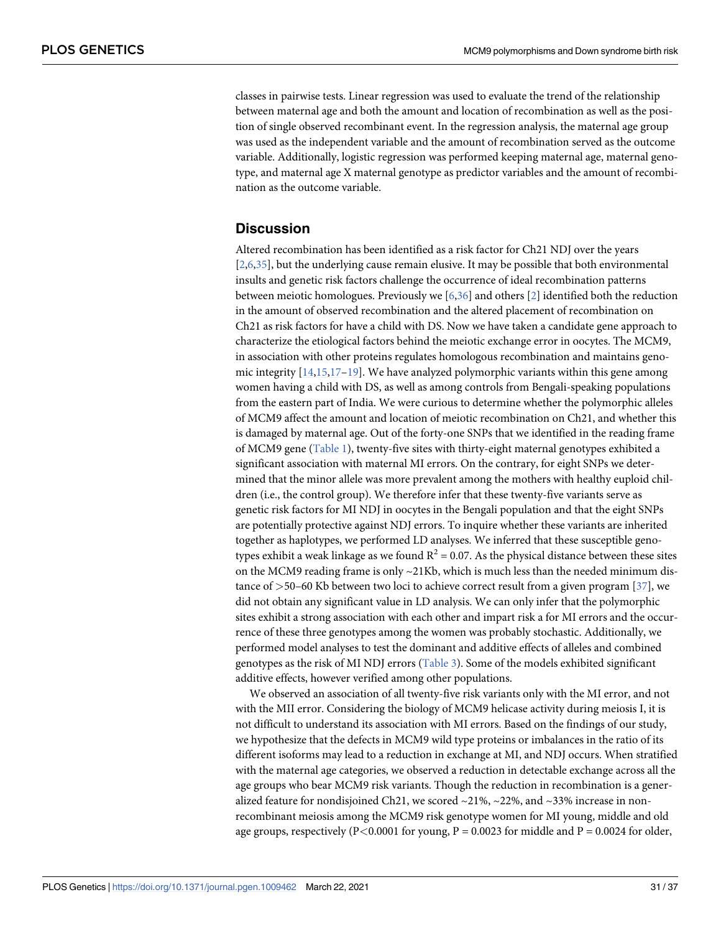<span id="page-30-0"></span>classes in pairwise tests. Linear regression was used to evaluate the trend of the relationship between maternal age and both the amount and location of recombination as well as the position of single observed recombinant event. In the regression analysis, the maternal age group was used as the independent variable and the amount of recombination served as the outcome variable. Additionally, logistic regression was performed keeping maternal age, maternal genotype, and maternal age X maternal genotype as predictor variables and the amount of recombination as the outcome variable.

# **Discussion**

Altered recombination has been identified as a risk factor for Ch21 NDJ over the years [\[2,6](#page-34-0)[,35\]](#page-36-0), but the underlying cause remain elusive. It may be possible that both environmental insults and genetic risk factors challenge the occurrence of ideal recombination patterns between meiotic homologues. Previously we  $[6,36]$  $[6,36]$  and others [\[2\]](#page-34-0) identified both the reduction in the amount of observed recombination and the altered placement of recombination on Ch21 as risk factors for have a child with DS. Now we have taken a candidate gene approach to characterize the etiological factors behind the meiotic exchange error in oocytes. The MCM9, in association with other proteins regulates homologous recombination and maintains genomic integrity  $[14,15,17-19]$  $[14,15,17-19]$  $[14,15,17-19]$ . We have analyzed polymorphic variants within this gene among women having a child with DS, as well as among controls from Bengali-speaking populations from the eastern part of India. We were curious to determine whether the polymorphic alleles of MCM9 affect the amount and location of meiotic recombination on Ch21, and whether this is damaged by maternal age. Out of the forty-one SNPs that we identified in the reading frame of MCM9 gene ([Table 1\)](#page-3-0), twenty-five sites with thirty-eight maternal genotypes exhibited a significant association with maternal MI errors. On the contrary, for eight SNPs we determined that the minor allele was more prevalent among the mothers with healthy euploid children (i.e., the control group). We therefore infer that these twenty-five variants serve as genetic risk factors for MI NDJ in oocytes in the Bengali population and that the eight SNPs are potentially protective against NDJ errors. To inquire whether these variants are inherited together as haplotypes, we performed LD analyses. We inferred that these susceptible genotypes exhibit a weak linkage as we found  $R^2$  = 0.07. As the physical distance between these sites on the MCM9 reading frame is only  $\sim$ 21Kb, which is much less than the needed minimum distance of *>*50–60 Kb between two loci to achieve correct result from a given program [\[37\]](#page-36-0), we did not obtain any significant value in LD analysis. We can only infer that the polymorphic sites exhibit a strong association with each other and impart risk a for MI errors and the occurrence of these three genotypes among the women was probably stochastic. Additionally, we performed model analyses to test the dominant and additive effects of alleles and combined genotypes as the risk of MI NDJ errors ([Table 3\)](#page-10-0). Some of the models exhibited significant additive effects, however verified among other populations.

We observed an association of all twenty-five risk variants only with the MI error, and not with the MII error. Considering the biology of MCM9 helicase activity during meiosis I, it is not difficult to understand its association with MI errors. Based on the findings of our study, we hypothesize that the defects in MCM9 wild type proteins or imbalances in the ratio of its different isoforms may lead to a reduction in exchange at MI, and NDJ occurs. When stratified with the maternal age categories, we observed a reduction in detectable exchange across all the age groups who bear MCM9 risk variants. Though the reduction in recombination is a generalized feature for nondisjoined Ch21, we scored  $\sim$ 21%,  $\sim$ 22%, and  $\sim$ 33% increase in nonrecombinant meiosis among the MCM9 risk genotype women for MI young, middle and old age groups, respectively ( $P < 0.0001$  for young,  $P = 0.0023$  for middle and  $P = 0.0024$  for older,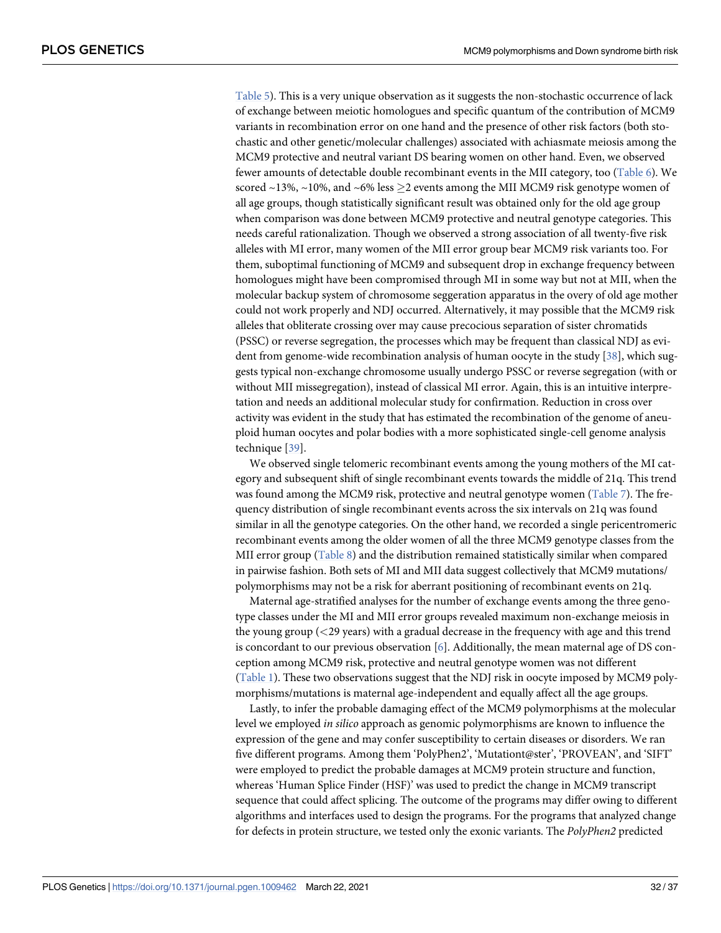<span id="page-31-0"></span>[Table 5](#page-19-0)). This is a very unique observation as it suggests the non-stochastic occurrence of lack of exchange between meiotic homologues and specific quantum of the contribution of MCM9 variants in recombination error on one hand and the presence of other risk factors (both stochastic and other genetic/molecular challenges) associated with achiasmate meiosis among the MCM9 protective and neutral variant DS bearing women on other hand. Even, we observed fewer amounts of detectable double recombinant events in the MII category, too [\(Table 6](#page-19-0)). We scored ~13%, ~10%, and ~6% less  $\geq$  events among the MII MCM9 risk genotype women of all age groups, though statistically significant result was obtained only for the old age group when comparison was done between MCM9 protective and neutral genotype categories. This needs careful rationalization. Though we observed a strong association of all twenty-five risk alleles with MI error, many women of the MII error group bear MCM9 risk variants too. For them, suboptimal functioning of MCM9 and subsequent drop in exchange frequency between homologues might have been compromised through MI in some way but not at MII, when the molecular backup system of chromosome seggeration apparatus in the overy of old age mother could not work properly and NDJ occurred. Alternatively, it may possible that the MCM9 risk alleles that obliterate crossing over may cause precocious separation of sister chromatids (PSSC) or reverse segregation, the processes which may be frequent than classical NDJ as evident from genome-wide recombination analysis of human oocyte in the study [\[38\]](#page-36-0), which suggests typical non-exchange chromosome usually undergo PSSC or reverse segregation (with or without MII missegregation), instead of classical MI error. Again, this is an intuitive interpretation and needs an additional molecular study for confirmation. Reduction in cross over activity was evident in the study that has estimated the recombination of the genome of aneuploid human oocytes and polar bodies with a more sophisticated single-cell genome analysis technique [\[39\]](#page-36-0).

We observed single telomeric recombinant events among the young mothers of the MI category and subsequent shift of single recombinant events towards the middle of 21q. This trend was found among the MCM9 risk, protective and neutral genotype women ([Table 7\)](#page-21-0). The frequency distribution of single recombinant events across the six intervals on 21q was found similar in all the genotype categories. On the other hand, we recorded a single pericentromeric recombinant events among the older women of all the three MCM9 genotype classes from the MII error group [\(Table 8](#page-22-0)) and the distribution remained statistically similar when compared in pairwise fashion. Both sets of MI and MII data suggest collectively that MCM9 mutations/ polymorphisms may not be a risk for aberrant positioning of recombinant events on 21q.

Maternal age-stratified analyses for the number of exchange events among the three genotype classes under the MI and MII error groups revealed maximum non-exchange meiosis in the young group (*<*29 years) with a gradual decrease in the frequency with age and this trend is concordant to our previous observation  $[6]$  $[6]$ . Additionally, the mean maternal age of DS conception among MCM9 risk, protective and neutral genotype women was not different [\(Table 1\)](#page-3-0). These two observations suggest that the NDJ risk in oocyte imposed by MCM9 polymorphisms/mutations is maternal age-independent and equally affect all the age groups.

Lastly, to infer the probable damaging effect of the MCM9 polymorphisms at the molecular level we employed in silico approach as genomic polymorphisms are known to influence the expression of the gene and may confer susceptibility to certain diseases or disorders. We ran five different programs. Among them 'PolyPhen2', 'Mutationt@ster', 'PROVEAN', and 'SIFT' were employed to predict the probable damages at MCM9 protein structure and function, whereas 'Human Splice Finder (HSF)' was used to predict the change in MCM9 transcript sequence that could affect splicing. The outcome of the programs may differ owing to different algorithms and interfaces used to design the programs. For the programs that analyzed change for defects in protein structure, we tested only the exonic variants. The PolyPhen2 predicted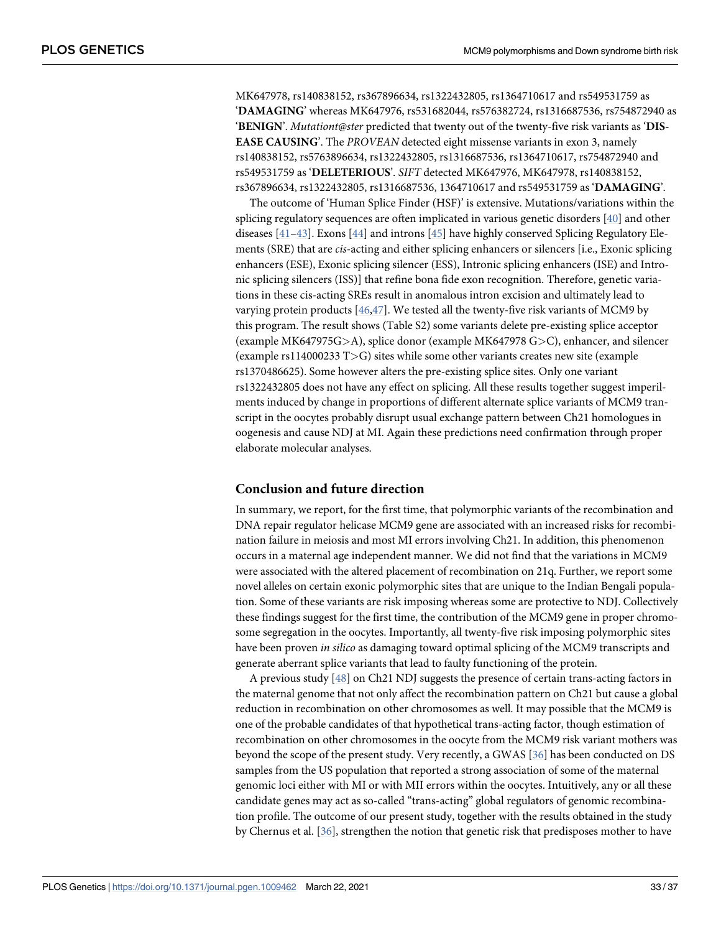<span id="page-32-0"></span>MK647978, rs140838152, rs367896634, rs1322432805, rs1364710617 and rs549531759 as '**DAMAGING**' whereas MK647976, rs531682044, rs576382724, rs1316687536, rs754872940 as '**BENIGN**'. Mutationt@ster predicted that twenty out of the twenty-five risk variants as '**DIS-EASE CAUSING**'. The PROVEAN detected eight missense variants in exon 3, namely rs140838152, rs5763896634, rs1322432805, rs1316687536, rs1364710617, rs754872940 and rs549531759 as '**DELETERIOUS**'. SIFT detected MK647976, MK647978, rs140838152, rs367896634, rs1322432805, rs1316687536, 1364710617 and rs549531759 as '**DAMAGING**'.

The outcome of 'Human Splice Finder (HSF)' is extensive. Mutations/variations within the splicing regulatory sequences are often implicated in various genetic disorders [[40](#page-36-0)] and other diseases  $[41-43]$ . Exons  $[44]$  and introns  $[45]$  have highly conserved Splicing Regulatory Elements (SRE) that are *cis*-acting and either splicing enhancers or silencers [i.e., Exonic splicing enhancers (ESE), Exonic splicing silencer (ESS), Intronic splicing enhancers (ISE) and Intronic splicing silencers (ISS)] that refine bona fide exon recognition. Therefore, genetic variations in these cis-acting SREs result in anomalous intron excision and ultimately lead to varying protein products  $[46,47]$  $[46,47]$ . We tested all the twenty-five risk variants of MCM9 by this program. The result shows (Table S2) some variants delete pre-existing splice acceptor (example MK647975G*>*A), splice donor (example MK647978 G*>*C), enhancer, and silencer (example rs114000233 T*>*G) sites while some other variants creates new site (example rs1370486625). Some however alters the pre-existing splice sites. Only one variant rs1322432805 does not have any effect on splicing. All these results together suggest imperilments induced by change in proportions of different alternate splice variants of MCM9 transcript in the oocytes probably disrupt usual exchange pattern between Ch21 homologues in oogenesis and cause NDJ at MI. Again these predictions need confirmation through proper elaborate molecular analyses.

#### **Conclusion and future direction**

In summary, we report, for the first time, that polymorphic variants of the recombination and DNA repair regulator helicase MCM9 gene are associated with an increased risks for recombination failure in meiosis and most MI errors involving Ch21. In addition, this phenomenon occurs in a maternal age independent manner. We did not find that the variations in MCM9 were associated with the altered placement of recombination on 21q. Further, we report some novel alleles on certain exonic polymorphic sites that are unique to the Indian Bengali population. Some of these variants are risk imposing whereas some are protective to NDJ. Collectively these findings suggest for the first time, the contribution of the MCM9 gene in proper chromosome segregation in the oocytes. Importantly, all twenty-five risk imposing polymorphic sites have been proven in silico as damaging toward optimal splicing of the MCM9 transcripts and generate aberrant splice variants that lead to faulty functioning of the protein.

A previous study [[48](#page-36-0)] on Ch21 NDJ suggests the presence of certain trans-acting factors in the maternal genome that not only affect the recombination pattern on Ch21 but cause a global reduction in recombination on other chromosomes as well. It may possible that the MCM9 is one of the probable candidates of that hypothetical trans-acting factor, though estimation of recombination on other chromosomes in the oocyte from the MCM9 risk variant mothers was beyond the scope of the present study. Very recently, a GWAS [\[36\]](#page-36-0) has been conducted on DS samples from the US population that reported a strong association of some of the maternal genomic loci either with MI or with MII errors within the oocytes. Intuitively, any or all these candidate genes may act as so-called "trans-acting" global regulators of genomic recombination profile. The outcome of our present study, together with the results obtained in the study by Chernus et al. [\[36\]](#page-36-0), strengthen the notion that genetic risk that predisposes mother to have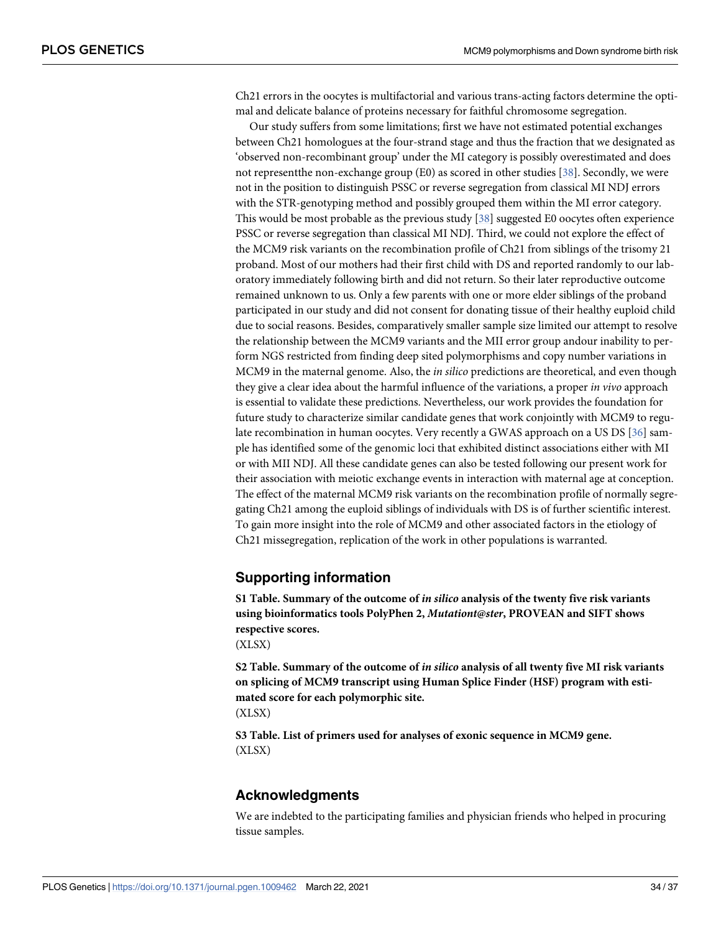<span id="page-33-0"></span>Ch21 errors in the oocytes is multifactorial and various trans-acting factors determine the optimal and delicate balance of proteins necessary for faithful chromosome segregation.

Our study suffers from some limitations; first we have not estimated potential exchanges between Ch21 homologues at the four-strand stage and thus the fraction that we designated as 'observed non-recombinant group' under the MI category is possibly overestimated and does not representthe non-exchange group (E0) as scored in other studies [[38](#page-36-0)]. Secondly, we were not in the position to distinguish PSSC or reverse segregation from classical MI NDJ errors with the STR-genotyping method and possibly grouped them within the MI error category. This would be most probable as the previous study  $[38]$  $[38]$  $[38]$  suggested E0 oocytes often experience PSSC or reverse segregation than classical MI NDJ. Third, we could not explore the effect of the MCM9 risk variants on the recombination profile of Ch21 from siblings of the trisomy 21 proband. Most of our mothers had their first child with DS and reported randomly to our laboratory immediately following birth and did not return. So their later reproductive outcome remained unknown to us. Only a few parents with one or more elder siblings of the proband participated in our study and did not consent for donating tissue of their healthy euploid child due to social reasons. Besides, comparatively smaller sample size limited our attempt to resolve the relationship between the MCM9 variants and the MII error group andour inability to perform NGS restricted from finding deep sited polymorphisms and copy number variations in MCM9 in the maternal genome. Also, the in silico predictions are theoretical, and even though they give a clear idea about the harmful influence of the variations, a proper in vivo approach is essential to validate these predictions. Nevertheless, our work provides the foundation for future study to characterize similar candidate genes that work conjointly with MCM9 to regulate recombination in human oocytes. Very recently a GWAS approach on a US DS [[36](#page-36-0)] sample has identified some of the genomic loci that exhibited distinct associations either with MI or with MII NDJ. All these candidate genes can also be tested following our present work for their association with meiotic exchange events in interaction with maternal age at conception. The effect of the maternal MCM9 risk variants on the recombination profile of normally segregating Ch21 among the euploid siblings of individuals with DS is of further scientific interest. To gain more insight into the role of MCM9 and other associated factors in the etiology of Ch21 missegregation, replication of the work in other populations is warranted.

# **Supporting information**

**[S1 Table.](http://journals.plos.org/plosgenetics/article/asset?unique&id=info:doi/10.1371/journal.pgen.1009462.s001) Summary of the outcome of in silico analysis of the twenty five risk variants using bioinformatics tools PolyPhen 2, Mutationt@ster, PROVEAN and SIFT shows respective scores.**

(XLSX)

**[S2 Table.](http://journals.plos.org/plosgenetics/article/asset?unique&id=info:doi/10.1371/journal.pgen.1009462.s002) Summary of the outcome of in silico analysis of all twenty five MI risk variants on splicing of MCM9 transcript using Human Splice Finder (HSF) program with estimated score for each polymorphic site.** (XLSX)

**[S3 Table.](http://journals.plos.org/plosgenetics/article/asset?unique&id=info:doi/10.1371/journal.pgen.1009462.s003) List of primers used for analyses of exonic sequence in MCM9 gene.** (XLSX)

# **Acknowledgments**

We are indebted to the participating families and physician friends who helped in procuring tissue samples.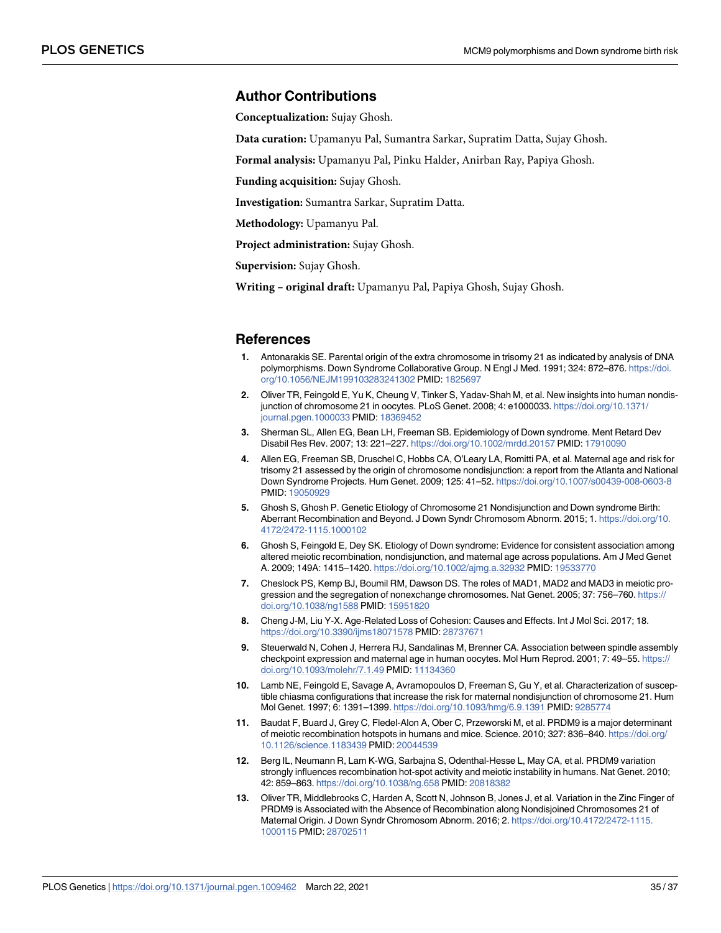### <span id="page-34-0"></span>**Author Contributions**

**Conceptualization:** Sujay Ghosh.

**Data curation:** Upamanyu Pal, Sumantra Sarkar, Supratim Datta, Sujay Ghosh.

**Formal analysis:** Upamanyu Pal, Pinku Halder, Anirban Ray, Papiya Ghosh.

**Funding acquisition:** Sujay Ghosh.

**Investigation:** Sumantra Sarkar, Supratim Datta.

**Methodology:** Upamanyu Pal.

**Project administration:** Sujay Ghosh.

**Supervision:** Sujay Ghosh.

**Writing – original draft:** Upamanyu Pal, Papiya Ghosh, Sujay Ghosh.

#### **References**

- **[1](#page-1-0).** Antonarakis SE. Parental origin of the extra chromosome in trisomy 21 as indicated by analysis of DNA polymorphisms. Down Syndrome Collaborative Group. N Engl J Med. 1991; 324: 872-876. [https://doi.](https://doi.org/10.1056/NEJM199103283241302) [org/10.1056/NEJM199103283241302](https://doi.org/10.1056/NEJM199103283241302) PMID: [1825697](http://www.ncbi.nlm.nih.gov/pubmed/1825697)
- **[2](#page-1-0).** Oliver TR, Feingold E, Yu K, Cheung V, Tinker S, Yadav-Shah M, et al. New insights into human nondisjunction of chromosome 21 in oocytes. PLoS Genet. 2008; 4: e1000033. [https://doi.org/10.1371/](https://doi.org/10.1371/journal.pgen.1000033) [journal.pgen.1000033](https://doi.org/10.1371/journal.pgen.1000033) PMID: [18369452](http://www.ncbi.nlm.nih.gov/pubmed/18369452)
- **[3](#page-1-0).** Sherman SL, Allen EG, Bean LH, Freeman SB. Epidemiology of Down syndrome. Ment Retard Dev Disabil Res Rev. 2007; 13: 221–227. <https://doi.org/10.1002/mrdd.20157> PMID: [17910090](http://www.ncbi.nlm.nih.gov/pubmed/17910090)
- **[4](#page-1-0).** Allen EG, Freeman SB, Druschel C, Hobbs CA, O'Leary LA, Romitti PA, et al. Maternal age and risk for trisomy 21 assessed by the origin of chromosome nondisjunction: a report from the Atlanta and National Down Syndrome Projects. Hum Genet. 2009; 125: 41–52. <https://doi.org/10.1007/s00439-008-0603-8> PMID: [19050929](http://www.ncbi.nlm.nih.gov/pubmed/19050929)
- **[5](#page-1-0).** Ghosh S, Ghosh P. Genetic Etiology of Chromosome 21 Nondisjunction and Down syndrome Birth: Aberrant Recombination and Beyond. J Down Syndr Chromosom Abnorm. 2015; 1. [https://doi.org/10.](https://doi.org/10.4172/2472-1115.1000102) [4172/2472-1115.1000102](https://doi.org/10.4172/2472-1115.1000102)
- **[6](#page-1-0).** Ghosh S, Feingold E, Dey SK. Etiology of Down syndrome: Evidence for consistent association among altered meiotic recombination, nondisjunction, and maternal age across populations. Am J Med Genet A. 2009; 149A: 1415–1420. <https://doi.org/10.1002/ajmg.a.32932> PMID: [19533770](http://www.ncbi.nlm.nih.gov/pubmed/19533770)
- **[7](#page-1-0).** Cheslock PS, Kemp BJ, Boumil RM, Dawson DS. The roles of MAD1, MAD2 and MAD3 in meiotic progression and the segregation of nonexchange chromosomes. Nat Genet. 2005; 37: 756–760. [https://](https://doi.org/10.1038/ng1588) [doi.org/10.1038/ng1588](https://doi.org/10.1038/ng1588) PMID: [15951820](http://www.ncbi.nlm.nih.gov/pubmed/15951820)
- **[8](#page-1-0).** Cheng J-M, Liu Y-X. Age-Related Loss of Cohesion: Causes and Effects. Int J Mol Sci. 2017; 18. <https://doi.org/10.3390/ijms18071578> PMID: [28737671](http://www.ncbi.nlm.nih.gov/pubmed/28737671)
- **[9](#page-1-0).** Steuerwald N, Cohen J, Herrera RJ, Sandalinas M, Brenner CA. Association between spindle assembly checkpoint expression and maternal age in human oocytes. Mol Hum Reprod. 2001; 7: 49–55. [https://](https://doi.org/10.1093/molehr/7.1.49) [doi.org/10.1093/molehr/7.1.49](https://doi.org/10.1093/molehr/7.1.49) PMID: [11134360](http://www.ncbi.nlm.nih.gov/pubmed/11134360)
- **[10](#page-1-0).** Lamb NE, Feingold E, Savage A, Avramopoulos D, Freeman S, Gu Y, et al. Characterization of susceptible chiasma configurations that increase the risk for maternal nondisjunction of chromosome 21. Hum Mol Genet. 1997; 6: 1391–1399. <https://doi.org/10.1093/hmg/6.9.1391> PMID: [9285774](http://www.ncbi.nlm.nih.gov/pubmed/9285774)
- **[11](#page-2-0).** Baudat F, Buard J, Grey C, Fledel-Alon A, Ober C, Przeworski M, et al. PRDM9 is a major determinant of meiotic recombination hotspots in humans and mice. Science. 2010; 327: 836–840. [https://doi.org/](https://doi.org/10.1126/science.1183439) [10.1126/science.1183439](https://doi.org/10.1126/science.1183439) PMID: [20044539](http://www.ncbi.nlm.nih.gov/pubmed/20044539)
- **[12](#page-2-0).** Berg IL, Neumann R, Lam K-WG, Sarbajna S, Odenthal-Hesse L, May CA, et al. PRDM9 variation strongly influences recombination hot-spot activity and meiotic instability in humans. Nat Genet. 2010; 42: 859–863. <https://doi.org/10.1038/ng.658> PMID: [20818382](http://www.ncbi.nlm.nih.gov/pubmed/20818382)
- **[13](#page-2-0).** Oliver TR, Middlebrooks C, Harden A, Scott N, Johnson B, Jones J, et al. Variation in the Zinc Finger of PRDM9 is Associated with the Absence of Recombination along Nondisjoined Chromosomes 21 of Maternal Origin. J Down Syndr Chromosom Abnorm. 2016; 2. [https://doi.org/10.4172/2472-1115.](https://doi.org/10.4172/2472-1115.1000115) [1000115](https://doi.org/10.4172/2472-1115.1000115) PMID: [28702511](http://www.ncbi.nlm.nih.gov/pubmed/28702511)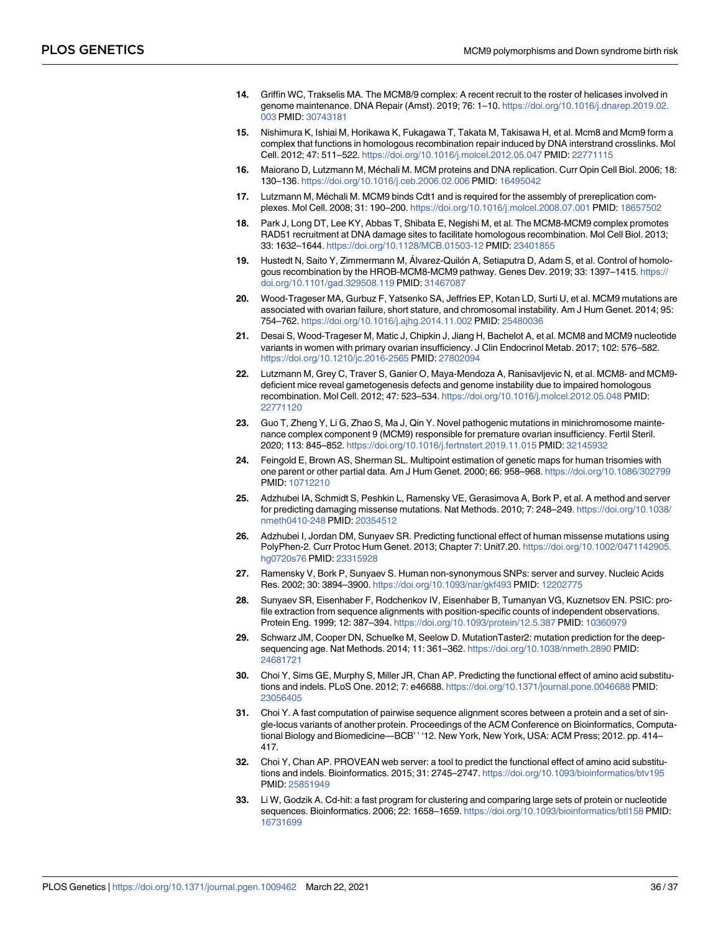- <span id="page-35-0"></span>**[14](#page-2-0).** Griffin WC, Trakselis MA. The MCM8/9 complex: A recent recruit to the roster of helicases involved in genome maintenance. DNA Repair (Amst). 2019; 76: 1–10. [https://doi.org/10.1016/j.dnarep.2019.02.](https://doi.org/10.1016/j.dnarep.2019.02.003) [003](https://doi.org/10.1016/j.dnarep.2019.02.003) PMID: [30743181](http://www.ncbi.nlm.nih.gov/pubmed/30743181)
- **[15](#page-2-0).** Nishimura K, Ishiai M, Horikawa K, Fukagawa T, Takata M, Takisawa H, et al. Mcm8 and Mcm9 form a complex that functions in homologous recombination repair induced by DNA interstrand crosslinks. Mol Cell. 2012; 47: 511–522. <https://doi.org/10.1016/j.molcel.2012.05.047> PMID: [22771115](http://www.ncbi.nlm.nih.gov/pubmed/22771115)
- **[16](#page-2-0).** Maiorano D, Lutzmann M, Méchali M. MCM proteins and DNA replication. Curr Opin Cell Biol. 2006; 18: 130–136. <https://doi.org/10.1016/j.ceb.2006.02.006> PMID: [16495042](http://www.ncbi.nlm.nih.gov/pubmed/16495042)
- **[17](#page-2-0).** Lutzmann M, Méchali M. MCM9 binds Cdt1 and is required for the assembly of prereplication complexes. Mol Cell. 2008; 31: 190–200. <https://doi.org/10.1016/j.molcel.2008.07.001> PMID: [18657502](http://www.ncbi.nlm.nih.gov/pubmed/18657502)
- **[18](#page-2-0).** Park J, Long DT, Lee KY, Abbas T, Shibata E, Negishi M, et al. The MCM8-MCM9 complex promotes RAD51 recruitment at DNA damage sites to facilitate homologous recombination. Mol Cell Biol. 2013; 33: 1632–1644. <https://doi.org/10.1128/MCB.01503-12> PMID: [23401855](http://www.ncbi.nlm.nih.gov/pubmed/23401855)
- **[19](#page-2-0).** Hustedt N, Saito Y, Zimmermann M, Álvarez-Quilón A, Setiaputra D, Adam S, et al. Control of homologous recombination by the HROB-MCM8-MCM9 pathway. Genes Dev. 2019; 33: 1397-1415. [https://](https://doi.org/10.1101/gad.329508.119) [doi.org/10.1101/gad.329508.119](https://doi.org/10.1101/gad.329508.119) PMID: [31467087](http://www.ncbi.nlm.nih.gov/pubmed/31467087)
- **[20](#page-2-0).** Wood-Trageser MA, Gurbuz F, Yatsenko SA, Jeffries EP, Kotan LD, Surti U, et al. MCM9 mutations are associated with ovarian failure, short stature, and chromosomal instability. Am J Hum Genet. 2014; 95: 754–762. <https://doi.org/10.1016/j.ajhg.2014.11.002> PMID: [25480036](http://www.ncbi.nlm.nih.gov/pubmed/25480036)
- **[21](#page-2-0).** Desai S, Wood-Trageser M, Matic J, Chipkin J, Jiang H, Bachelot A, et al. MCM8 and MCM9 nucleotide variants in women with primary ovarian insufficiency. J Clin Endocrinol Metab. 2017; 102: 576–582. <https://doi.org/10.1210/jc.2016-2565> PMID: [27802094](http://www.ncbi.nlm.nih.gov/pubmed/27802094)
- **[22](#page-2-0).** Lutzmann M, Grey C, Traver S, Ganier O, Maya-Mendoza A, Ranisavljevic N, et al. MCM8- and MCM9 deficient mice reveal gametogenesis defects and genome instability due to impaired homologous recombination. Mol Cell. 2012; 47: 523–534. <https://doi.org/10.1016/j.molcel.2012.05.048> PMID: [22771120](http://www.ncbi.nlm.nih.gov/pubmed/22771120)
- **[23](#page-2-0).** Guo T, Zheng Y, Li G, Zhao S, Ma J, Qin Y. Novel pathogenic mutations in minichromosome maintenance complex component 9 (MCM9) responsible for premature ovarian insufficiency. Fertil Steril. 2020; 113: 845–852. <https://doi.org/10.1016/j.fertnstert.2019.11.015> PMID: [32145932](http://www.ncbi.nlm.nih.gov/pubmed/32145932)
- **[24](#page-28-0).** Feingold E, Brown AS, Sherman SL. Multipoint estimation of genetic maps for human trisomies with one parent or other partial data. Am J Hum Genet. 2000; 66: 958–968. <https://doi.org/10.1086/302799> PMID: [10712210](http://www.ncbi.nlm.nih.gov/pubmed/10712210)
- **[25](#page-28-0).** Adzhubei IA, Schmidt S, Peshkin L, Ramensky VE, Gerasimova A, Bork P, et al. A method and server for predicting damaging missense mutations. Nat Methods. 2010; 7: 248–249. [https://doi.org/10.1038/](https://doi.org/10.1038/nmeth0410-248) [nmeth0410-248](https://doi.org/10.1038/nmeth0410-248) PMID: [20354512](http://www.ncbi.nlm.nih.gov/pubmed/20354512)
- **26.** Adzhubei I, Jordan DM, Sunyaev SR. Predicting functional effect of human missense mutations using PolyPhen-2. Curr Protoc Hum Genet. 2013; Chapter 7: Unit7.20. [https://doi.org/10.1002/0471142905.](https://doi.org/10.1002/0471142905.hg0720s76) [hg0720s76](https://doi.org/10.1002/0471142905.hg0720s76) PMID: [23315928](http://www.ncbi.nlm.nih.gov/pubmed/23315928)
- **27.** Ramensky V, Bork P, Sunyaev S. Human non-synonymous SNPs: server and survey. Nucleic Acids Res. 2002; 30: 3894–3900. <https://doi.org/10.1093/nar/gkf493> PMID: [12202775](http://www.ncbi.nlm.nih.gov/pubmed/12202775)
- **[28](#page-28-0).** Sunyaev SR, Eisenhaber F, Rodchenkov IV, Eisenhaber B, Tumanyan VG, Kuznetsov EN. PSIC: profile extraction from sequence alignments with position-specific counts of independent observations. Protein Eng. 1999; 12: 387–394. <https://doi.org/10.1093/protein/12.5.387> PMID: [10360979](http://www.ncbi.nlm.nih.gov/pubmed/10360979)
- **[29](#page-29-0).** Schwarz JM, Cooper DN, Schuelke M, Seelow D. MutationTaster2: mutation prediction for the deepsequencing age. Nat Methods. 2014; 11: 361–362. <https://doi.org/10.1038/nmeth.2890> PMID: [24681721](http://www.ncbi.nlm.nih.gov/pubmed/24681721)
- **[30](#page-29-0).** Choi Y, Sims GE, Murphy S, Miller JR, Chan AP. Predicting the functional effect of amino acid substitutions and indels. PLoS One. 2012; 7: e46688. <https://doi.org/10.1371/journal.pone.0046688> PMID: [23056405](http://www.ncbi.nlm.nih.gov/pubmed/23056405)
- **31.** Choi Y. A fast computation of pairwise sequence alignment scores between a protein and a set of single-locus variants of another protein. Proceedings of the ACM Conference on Bioinformatics, Computational Biology and Biomedicine—BCB' ' '12. New York, New York, USA: ACM Press; 2012. pp. 414– 417.
- **[32](#page-29-0).** Choi Y, Chan AP. PROVEAN web server: a tool to predict the functional effect of amino acid substitutions and indels. Bioinformatics. 2015; 31: 2745–2747. <https://doi.org/10.1093/bioinformatics/btv195> PMID: [25851949](http://www.ncbi.nlm.nih.gov/pubmed/25851949)
- **[33](#page-29-0).** Li W, Godzik A. Cd-hit: a fast program for clustering and comparing large sets of protein or nucleotide sequences. Bioinformatics. 2006; 22: 1658–1659. <https://doi.org/10.1093/bioinformatics/btl158> PMID: [16731699](http://www.ncbi.nlm.nih.gov/pubmed/16731699)